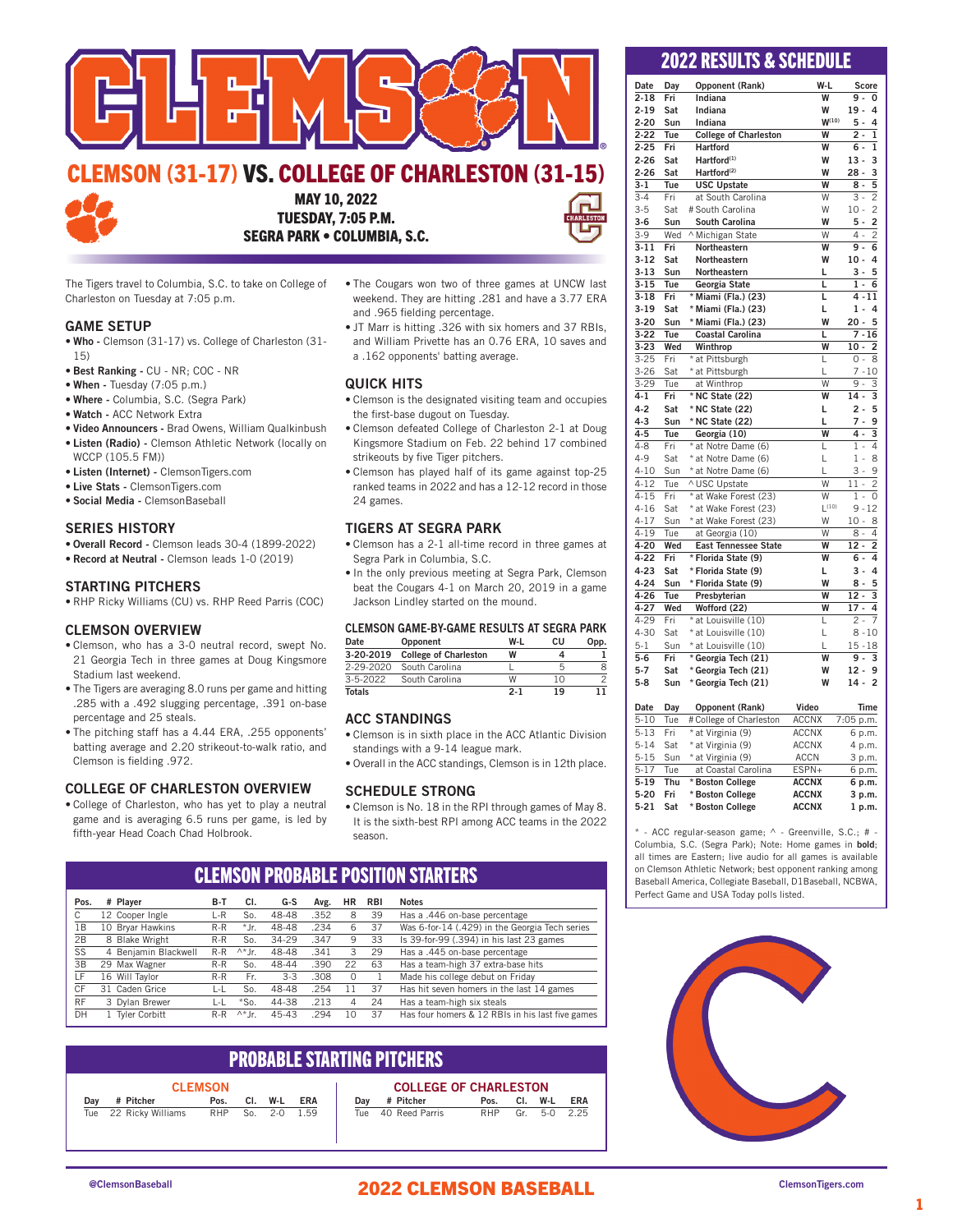

### EMSON (31-17) VS. COLLEGE OF CHARLESTON (31-15)



MAY 10, 2022 TUESDAY, 7:05 P.M. SEGRA PARK • COLUMBIA, S.C.

The Tigers travel to Columbia, S.C. to take on College of Charleston on Tuesday at 7:05 p.m.

### GAME SETUP

- Who Clemson (31-17) vs. College of Charleston (31- 15)
- Best Ranking CU NR; COC NR
- When Tuesday (7:05 p.m.)
- Where Columbia, S.C. (Segra Park)
- Watch ACC Network Extra
- Video Announcers Brad Owens, William Qualkinbush • Listen (Radio) - Clemson Athletic Network (locally on
- WCCP (105.5 FM))
- Listen (Internet) ClemsonTigers.com • Live Stats - ClemsonTigers.com
- Social Media ClemsonBaseball
- 

### SERIES HISTORY

- Overall Record Clemson leads 30-4 (1899-2022)
- Record at Neutral Clemson leads 1-0 (2019)

### STARTING PITCHERS

• RHP Ricky Williams (CU) vs. RHP Reed Parris (COC)

### CLEMSON OVERVIEW

- Clemson, who has a 3-0 neutral record, swept No. 21 Georgia Tech in three games at Doug Kingsmore Stadium last weekend.
- The Tigers are averaging 8.0 runs per game and hitting .285 with a .492 slugging percentage, .391 on-base percentage and 25 steals.
- The pitching staff has a 4.44 ERA, .255 opponents' batting average and 2.20 strikeout-to-walk ratio, and Clemson is fielding .972.

### COLLEGE OF CHARLESTON OVERVIEW

• College of Charleston, who has yet to play a neutral game and is averaging 6.5 runs per game, is led by fifth-year Head Coach Chad Holbrook.

- The Cougars won two of three games at UNCW last weekend. They are hitting .281 and have a 3.77 ERA and .965 fielding percentage.
- JT Marr is hitting .326 with six homers and 37 RBIs, and William Privette has an 0.76 ERA, 10 saves and a .162 opponents' batting average.

### QUICK HITS

- Clemson is the designated visiting team and occupies the first-base dugout on Tuesday.
- Clemson defeated College of Charleston 2-1 at Doug Kingsmore Stadium on Feb. 22 behind 17 combined strikeouts by five Tiger pitchers.
- Clemson has played half of its game against top-25 ranked teams in 2022 and has a 12-12 record in those 24 games.

### TIGERS AT SEGRA PARK

- Clemson has a 2-1 all-time record in three games at Segra Park in Columbia, S.C.
- In the only previous meeting at Segra Park, Clemson beat the Cougars 4-1 on March 20, 2019 in a game Jackson Lindley started on the mound.

|--|

| Date            | Opponent                     | W-I     | сu | Opp. |  |  |  |  |  |
|-----------------|------------------------------|---------|----|------|--|--|--|--|--|
| 3-20-2019       | <b>College of Charleston</b> | W       |    |      |  |  |  |  |  |
| $2 - 29 - 2020$ | South Carolina               |         |    | 8    |  |  |  |  |  |
| $3 - 5 - 2022$  | South Carolina               | W       | 10 |      |  |  |  |  |  |
| <b>Totals</b>   |                              | $2 - 1$ | 19 |      |  |  |  |  |  |

### ACC STANDINGS

- Clemson is in sixth place in the ACC Atlantic Division standings with a 9-14 league mark.
- Overall in the ACC standings, Clemson is in 12th place.

### SCHEDULE STRONG

• Clemson is No. 18 in the RPI through games of May 8. It is the sixth-best RPI among ACC teams in the 2022 season.

|           | VEEMJVN I NVPAPEE I VJITIVN JIANTENJ |                      |       |                |           |      |          |            |                                                  |
|-----------|--------------------------------------|----------------------|-------|----------------|-----------|------|----------|------------|--------------------------------------------------|
| Pos.      |                                      | # Plaver             | B-T   | CI.            | G-S       | Avg. | ΗR       | <b>RBI</b> | <b>Notes</b>                                     |
| C         |                                      | 12 Cooper Ingle      | L-R   | So.            | 48-48     | .352 | 8        | 39         | Has a .446 on-base percentage                    |
| 1B        |                                      | 10 Bryar Hawkins     | R-R   | *Jr.           | 48-48     | .234 | 6        | 37         | Was 6-for-14 (.429) in the Georgia Tech series   |
| 2B        |                                      | 8 Blake Wright       | R-R   | So.            | 34-29     | .347 | 9        | 33         | Is 39-for-99 (.394) in his last 23 games         |
| SS        |                                      | 4 Benjamin Blackwell | $R-R$ | $\wedge^*$  r. | 48-48     | .341 | 3        | 29         | Has a .445 on-base percentage                    |
| 3B        |                                      | 29 Max Wagner        | $R-R$ | So.            | 48-44     | .390 | 22       | 63         | Has a team-high 37 extra-base hits               |
| LF        |                                      | 16 Will Taylor       | $R-R$ | Fr.            | $3-3$     | .308 | $\Omega$ |            | Made his college debut on Friday                 |
| CF        |                                      | 31 Caden Grice       | L-L   | So.            | 48-48     | .254 | 11       | 37         | Has hit seven homers in the last 14 games        |
| <b>RF</b> |                                      | 3 Dylan Brewer       | L-L   | $*$ So.        | 44-38     | .213 | 4        | 24         | Has a team-high six steals                       |
| DH        |                                      | 1 Tyler Corbitt      | $R-R$ | $\wedge^*$  r. | $45 - 43$ | .294 | 10       | 37         | Has four homers & 12 RBIs in his last five games |

CLEMSON PROPADLE POSITION STARTERS

### PROBABLE STARTING PITCHERS

| <b>CLEMSON</b> |  |                       |      |  |              |  |
|----------------|--|-----------------------|------|--|--------------|--|
|                |  | Dav # Pitcher         | Pos. |  | CI. W-L ERA  |  |
|                |  | Tue 22 Ricky Williams | RHP  |  | So. 2-0 1.59 |  |

| <b>COLLEGE OF CHARLESTON</b> |  |                    |      |  |             |     |
|------------------------------|--|--------------------|------|--|-------------|-----|
|                              |  | Dav # Pitcher      | Pos. |  | CI. W-L     | FRA |
|                              |  | Tue 40 Reed Parris | RHP  |  | Gr 5-0 2.25 |     |

### 2022 RESULTS & SCHEDULE

| Date                | Day | Opponent (Rank)              | W-L        | Score                               |
|---------------------|-----|------------------------------|------------|-------------------------------------|
| $2 - 18$            | Fri | Indiana                      | W          | 9 -<br>0                            |
| $2 - 19$            | Sat | Indiana                      | W          | $19 -$<br>4                         |
| $2 - 20$            | Sun | Indiana                      | $W^{(10)}$ | $5 -$<br>4                          |
| $2 - 22$            | Tue | <b>College of Charleston</b> | W          | $2 -$<br>1                          |
| $2 - 25$            | Fri | <b>Hartford</b>              | W          | 6 -<br>1                            |
| $2 - 26$            | Sat | Hartford <sup>(1)</sup>      | W          | 3<br>$13 -$                         |
| $2 - 26$            | Sat | Hartford <sup>(2)</sup>      | W          | $28 -$<br>3                         |
| $3-1$               | Tue | <b>USC Upstate</b>           | W          | 5<br>$8 -$                          |
| $3 - 4$             | Fri | at South Carolina            | W          | $3 -$<br>$\overline{c}$             |
| $3 - 5$             | Sat | # South Carolina             | W          | $\overline{c}$<br>$10 -$            |
| $3-6$               | Sun | South Carolina               | W          | $5 -$<br>2                          |
| $3-9$               | Wed | ^ Michigan State             | W          | 2<br>4 -                            |
| $3 - 11$            | Fri | Northeastern                 | W          | 9.<br>6                             |
| $3 - 12$            | Sat | Northeastern                 | W          | $10 -$<br>4                         |
| $3 - 13$            | Sun | Northeastern                 | г          | 3 -<br>5                            |
| $3 - 15$            | Tue | Georgia State                | г          | $1 -$<br>6                          |
| $3 - 18$            | Fri | * Miami (Fla.) (23)          | L          | 4 - 11                              |
| $3 - 19$            | Sat | * Miami (Fla.) (23)          | г          | $1 -$<br>4                          |
| $3 - 20$            | Sun | * Miami (Fla.) (23)          | W          | $20 -$<br>5                         |
| $3 - 22$            | Tue | <b>Coastal Carolina</b>      | L          | $7 - 16$                            |
| $\overline{3} - 23$ | Wed | Winthrop                     | W          | $10 -$<br>2                         |
| $3 - 25$            | Fri | * at Pittsburgh              | L          | 0 -<br>8                            |
| $3 - 26$            | Sat | * at Pittsburgh              | L          | $7 - 10$                            |
| $3-29$              | Tue | at Winthrop                  | W          | $9 -$<br>3                          |
|                     |     |                              |            |                                     |
|                     |     |                              |            |                                     |
| $4 - 1$             | Fri | * NC State (22)              | W          | $14 -$<br>3                         |
| $4 - 2$             | Sat | * NC State (22)              | L          | 2 -<br>5                            |
| $4 - 3$             | Sun | * NC State (22)              | L          | $7 -$<br>9                          |
| $4 - 5$             | Tue | Georgia (10)                 | W          | 4.<br>3                             |
| $4 - 8$             | Fri | * at Notre Dame (6)          | L          | $\overline{1}$ .<br>4               |
| $4 - 9$             | Sat | * at Notre Dame (6)          | L          | $1 -$<br>8                          |
| $4 - 10$            | Sun | * at Notre Dame (6)          | L          | $3 -$<br>9                          |
| $4 - 12$            | Tue | ^ USC Upstate                | W          | $\overline{11}$ -<br>$\overline{c}$ |
| $4 - 15$            | Fri | * at Wake Forest (23)        | W          | $1 -$<br>0                          |
| $4 - 16$            | Sat | * at Wake Forest (23)        | $L^{(10)}$ | $9 - 12$                            |
| $4 - 17$            | Sun | * at Wake Forest (23)        | W          | $10 -$<br>8                         |
| $4 - 19$            | Tue | at Georgia (10)              | W          | $8 -$<br>4                          |
| 4-20                | Wed | <b>East Tennessee State</b>  | W          | $12 -$<br>$\overline{a}$            |
| $4 - 22$            | Fri | * Florida State (9)          | W          | 6 -<br>4                            |
| $4 - 23$            | Sat | * Florida State (9)          | г          | $3 -$<br>4                          |
| $4 - 24$            | Sun | * Florida State (9)          | W          | 8 -<br>5                            |
| $4 - 26$            | Tue | Presbyterian                 | W          | $12 -$<br>3                         |
| 4-27                | Wed | Wofford (22)                 | W          | $17 -$<br>4                         |
| 4-29                | Fri | * at Louisville (10)         | L          | $2 -$<br>7                          |
| 4-30                | Sat | * at Louisville (10)         | L          | $8 - 10$                            |
| $5 - 1$             | Sun | * at Louisville (10)         | L          | $15 - 18$                           |
| $5 - 6$             | Fri | * Georgia Tech (21)          | W          | 9 -<br>3                            |
| $5-7$               | Sat | * Georgia Tech (21)          | W          | $12 -$<br>9                         |
| $5-8$               | Sun | * Georgia Tech (21)          | W          | $\overline{2}$<br>$14 -$            |

| Date     | Dav  | Opponent (Rank)         | Video        | Time      |
|----------|------|-------------------------|--------------|-----------|
| $5 - 10$ | Tue  | # College of Charleston | <b>ACCNX</b> | 7:05 p.m. |
| $5 - 13$ | Fri  | * at Virginia (9)       | <b>ACCNX</b> | 6 p.m.    |
| $5 - 14$ | Sat  | * at Virginia (9)       | <b>ACCNX</b> | 4 p.m.    |
| $5 - 15$ | Sun  | * at Virginia (9)       | <b>ACCN</b>  | 3 p.m.    |
| $5 - 17$ | Tue: | at Coastal Carolina     | ESPN+        | 6 p.m.    |
| $5-19$   | Thu  | * Boston College        | <b>ACCNX</b> | 6 p.m.    |
| $5 - 20$ | Fri  | * Boston College        | <b>ACCNX</b> | 3 p.m.    |
| $5 - 21$ | Sat  | * Boston College        | <b>ACCNX</b> | 1 p.m.    |

\* - ACC regular-season game; ^ - Greenville, S.C.; # - Columbia, S.C. (Segra Park); Note: Home games in bold; all times are Eastern; live audio for all games is available on Clemson Athletic Network; best opponent ranking among Baseball America, Collegiate Baseball, D1Baseball, NCBWA, Perfect Game and USA Today polls listed.



### @ClemsonBaseball ClemsonTigers.com 2022 CLEMSON BASEBALL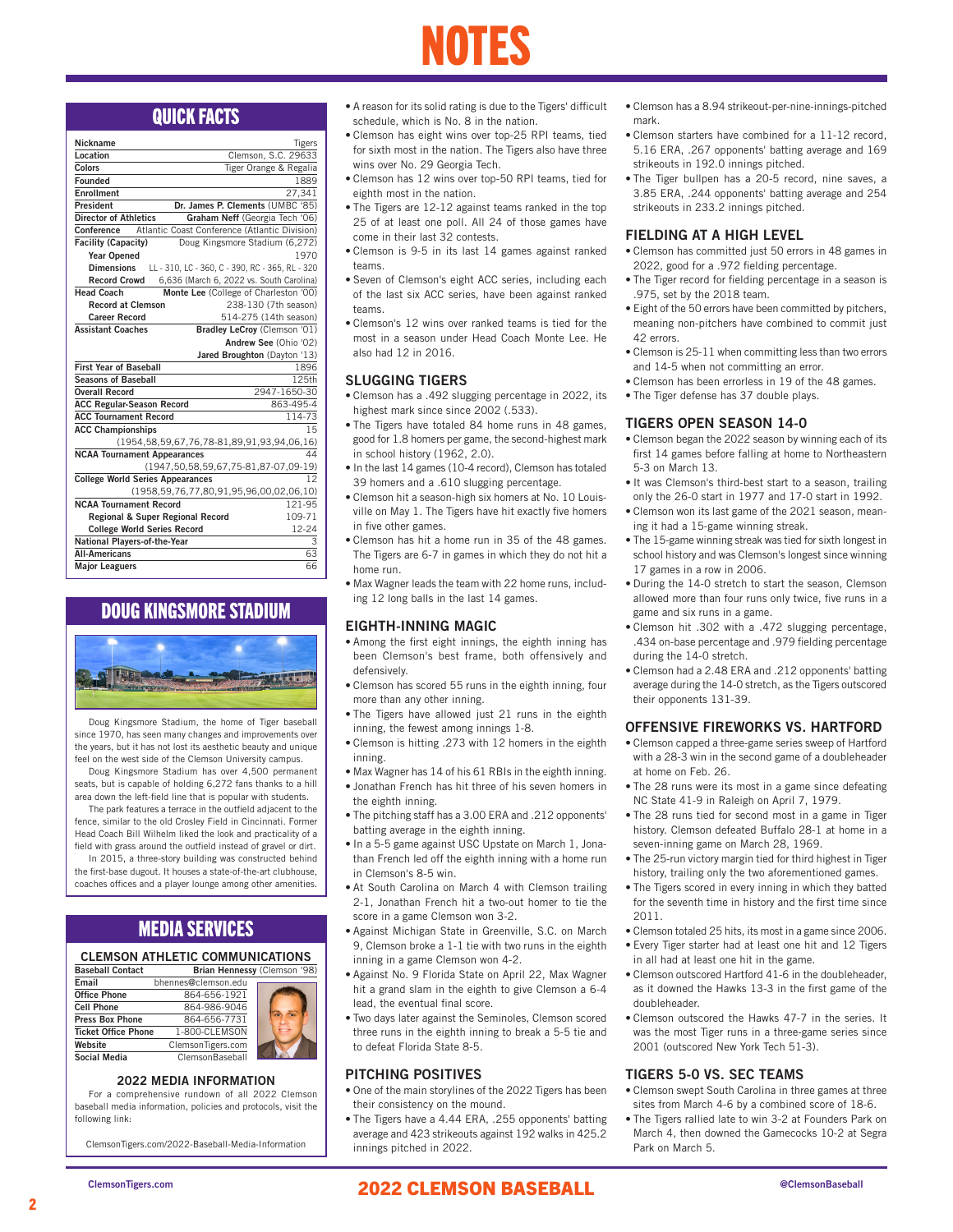### NOTES

| Nickname                                | <b>Tigers</b>                                         |
|-----------------------------------------|-------------------------------------------------------|
| Location                                | Clemson, S.C. 29633                                   |
| Colors                                  | Tiger Orange & Regalia                                |
| <b>Founded</b>                          | 1889                                                  |
| <b>Enrollment</b>                       | 27.341                                                |
| President                               | Dr. James P. Clements (UMBC '85)                      |
| <b>Director of Athletics</b>            | Graham Neff (Georgia Tech '06)                        |
| <b>Conference</b>                       | Atlantic Coast Conference (Atlantic Division)         |
| <b>Facility (Capacity)</b>              | Doug Kingsmore Stadium (6,272)                        |
| <b>Year Opened</b>                      | 1970                                                  |
| <b>Dimensions</b>                       | LL - 310, LC - 360, C - 390, RC - 365, RL - 320       |
| <b>Record Crowd</b>                     | 6,636 (March 6, 2022 vs. South Carolina)              |
| <b>Head Coach</b>                       | Monte Lee (College of Charleston '00)                 |
| <b>Record at Clemson</b>                | 238-130 (7th season)                                  |
| <b>Career Record</b>                    | 514-275 (14th season)                                 |
| <b>Assistant Coaches</b>                | Bradley LeCroy (Clemson '01)                          |
|                                         | Andrew See (Ohio '02)                                 |
|                                         | Jared Broughton (Dayton '13)                          |
| <b>First Year of Baseball</b>           | 1896                                                  |
| <b>Seasons of Baseball</b>              | 125th                                                 |
| <b>Overall Record</b>                   | 2947-1650-30                                          |
| <b>ACC Regular-Season Record</b>        | 863-495-4                                             |
| <b>ACC Tournament Record</b>            | 114-73                                                |
| <b>ACC Championships</b>                | 15                                                    |
|                                         | (1954, 58, 59, 67, 76, 78-81, 89, 91, 93, 94, 06, 16) |
| <b>NCAA Tournament Appearances</b>      | 44                                                    |
|                                         | (1947, 50, 58, 59, 67, 75-81, 87-07, 09-19)           |
| <b>College World Series Appearances</b> | $12^{12}$                                             |
|                                         | (1958, 59, 76, 77, 80, 91, 95, 96, 00, 02, 06, 10)    |
| <b>NCAA Tournament Record</b>           | 121-95                                                |
| Regional & Super Regional Record        | 109-71                                                |
| <b>College World Series Record</b>      | 12-24                                                 |
| National Players-of-the-Year            | 3                                                     |
| <b>All-Americans</b>                    | 63                                                    |
| <b>Major Leaguers</b>                   | 66                                                    |

### DOUG KINGSMORE STADIUM



Doug Kingsmore Stadium, the home of Tiger baseball since 1970, has seen many changes and improvements over the years, but it has not lost its aesthetic beauty and unique feel on the west side of the Clemson University campus.

Doug Kingsmore Stadium has over 4,500 permanent seats, but is capable of holding 6,272 fans thanks to a hill area down the left-field line that is popular with students.

The park features a terrace in the outfield adjacent to the fence, similar to the old Crosley Field in Cincinnati. Former Head Coach Bill Wilhelm liked the look and practicality of a field with grass around the outfield instead of gravel or dirt.

In 2015, a three-story building was constructed behind the first-base dugout. It houses a state-of-the-art clubhouse, coaches offices and a player lounge among other amenities.

### MEDIA SERVICES

### CLEMSON ATHLETIC COMMUNICATIONS

| <b>Baseball Contact</b>    |                        | Brian Hennessy (Clemson '98) |
|----------------------------|------------------------|------------------------------|
| Email                      | bhennes@clemson.edu    |                              |
| <b>Office Phone</b>        | 864-656-1921           |                              |
| <b>Cell Phone</b>          | 864-986-9046           |                              |
| <b>Press Box Phone</b>     | 864-656-7731           |                              |
| <b>Ticket Office Phone</b> | 1-800-CLEMSON          |                              |
| Website                    | ClemsonTigers.com      |                              |
| <b>Social Media</b>        | <b>ClemsonBaseball</b> |                              |

### 2022 MEDIA INFORMATION

For a comprehensive rundown of all 2022 Clemson baseball media information, policies and protocols, visit the following link:

ClemsonTigers.com/2022-Baseball-Media-Information

- **QUICK FACTS** A reason for its solid rating is due to the Tigers' difficult Clemson has a 8.94 strikeout-per-nine-innings-pitched<br>mark. The mation of the nation. schedule, which is No. 8 in the nation.
	- Clemson has eight wins over top-25 RPI teams, tied for sixth most in the nation. The Tigers also have three wins over No. 29 Georgia Tech.
	- Clemson has 12 wins over top-50 RPI teams, tied for eighth most in the nation.
	- The Tigers are 12-12 against teams ranked in the top 25 of at least one poll. All 24 of those games have come in their last 32 contests.
	- Clemson is 9-5 in its last 14 games against ranked teams.
	- Seven of Clemson's eight ACC series, including each of the last six ACC series, have been against ranked teams.
	- Clemson's 12 wins over ranked teams is tied for the most in a season under Head Coach Monte Lee. He also had 12 in 2016.

### SLUGGING TIGERS

- Clemson has a .492 slugging percentage in 2022, its highest mark since since 2002 (.533).
- The Tigers have totaled 84 home runs in 48 games, good for 1.8 homers per game, the second-highest mark in school history (1962, 2.0).
- In the last 14 games (10-4 record), Clemson has totaled 39 homers and a .610 slugging percentage.
- Clemson hit a season-high six homers at No. 10 Louisville on May 1. The Tigers have hit exactly five homers in five other games.
- Clemson has hit a home run in 35 of the 48 games. The Tigers are 6-7 in games in which they do not hit a home run.
- Max Wagner leads the team with 22 home runs, including 12 long balls in the last 14 games.

### EIGHTH-INNING MAGIC

- Among the first eight innings, the eighth inning has been Clemson's best frame, both offensively and defensively.
- Clemson has scored 55 runs in the eighth inning, four more than any other inning.
- The Tigers have allowed just 21 runs in the eighth inning, the fewest among innings 1-8.
- Clemson is hitting .273 with 12 homers in the eighth inning.
- Max Wagner has 14 of his 61 RBIs in the eighth inning.
- Jonathan French has hit three of his seven homers in the eighth inning.
- The pitching staff has a 3.00 ERA and .212 opponents' batting average in the eighth inning.
- In a 5-5 game against USC Upstate on March 1, Jonathan French led off the eighth inning with a home run in Clemson's 8-5 win.
- At South Carolina on March 4 with Clemson trailing 2-1, Jonathan French hit a two-out homer to tie the score in a game Clemson won 3-2.
- Against Michigan State in Greenville, S.C. on March 9, Clemson broke a 1-1 tie with two runs in the eighth inning in a game Clemson won 4-2.
- Against No. 9 Florida State on April 22, Max Wagner hit a grand slam in the eighth to give Clemson a 6-4 lead, the eventual final score.
- Two days later against the Seminoles, Clemson scored three runs in the eighth inning to break a 5-5 tie and to defeat Florida State 8-5.

### PITCHING POSITIVES

- One of the main storylines of the 2022 Tigers has been their consistency on the mound.
- The Tigers have a 4.44 ERA, .255 opponents' batting average and 423 strikeouts against 192 walks in 425.2 innings pitched in 2022.
- mark.
- Clemson starters have combined for a 11-12 record, 5.16 ERA, .267 opponents' batting average and 169 strikeouts in 192.0 innings pitched.
- The Tiger bullpen has a 20-5 record, nine saves, a 3.85 ERA, .244 opponents' batting average and 254 strikeouts in 233.2 innings pitched.

### FIELDING AT A HIGH LEVEL

- Clemson has committed just 50 errors in 48 games in 2022, good for a .972 fielding percentage.
- The Tiger record for fielding percentage in a season is .975, set by the 2018 team.
- Eight of the 50 errors have been committed by pitchers, meaning non-pitchers have combined to commit just 42 errors.
- Clemson is 25-11 when committing less than two errors and 14-5 when not committing an error.
- Clemson has been errorless in 19 of the 48 games.
- The Tiger defense has 37 double plays.

### TIGERS OPEN SEASON 14-0

- Clemson began the 2022 season by winning each of its first 14 games before falling at home to Northeastern 5-3 on March 13.
- It was Clemson's third-best start to a season, trailing only the 26-0 start in 1977 and 17-0 start in 1992.
- Clemson won its last game of the 2021 season, meaning it had a 15-game winning streak.
- The 15-game winning streak was tied for sixth longest in school history and was Clemson's longest since winning 17 games in a row in 2006.
- During the 14-0 stretch to start the season, Clemson allowed more than four runs only twice, five runs in a game and six runs in a game.
- Clemson hit .302 with a .472 slugging percentage, .434 on-base percentage and .979 fielding percentage during the 14-0 stretch.
- Clemson had a 2.48 ERA and .212 opponents' batting average during the 14-0 stretch, as the Tigers outscored their opponents 131-39.

### OFFENSIVE FIREWORKS VS. HARTFORD

- Clemson capped a three-game series sweep of Hartford with a 28-3 win in the second game of a doubleheader at home on Feb. 26.
- The 28 runs were its most in a game since defeating NC State 41-9 in Raleigh on April 7, 1979.
- The 28 runs tied for second most in a game in Tiger history. Clemson defeated Buffalo 28-1 at home in a seven-inning game on March 28, 1969.
- The 25-run victory margin tied for third highest in Tiger history, trailing only the two aforementioned games.
- The Tigers scored in every inning in which they batted for the seventh time in history and the first time since 2011.
- Clemson totaled 25 hits, its most in a game since 2006.
- Every Tiger starter had at least one hit and 12 Tigers in all had at least one hit in the game.
- Clemson outscored Hartford 41-6 in the doubleheader, as it downed the Hawks 13-3 in the first game of the doubleheader.
- Clemson outscored the Hawks 47-7 in the series. It was the most Tiger runs in a three-game series since 2001 (outscored New York Tech 51-3).

### TIGERS 5-0 VS. SEC TEAMS

- Clemson swept South Carolina in three games at three sites from March 4-6 by a combined score of 18-6.
- The Tigers rallied late to win 3-2 at Founders Park on March 4, then downed the Gamecocks 10-2 at Segra Park on March 5.

2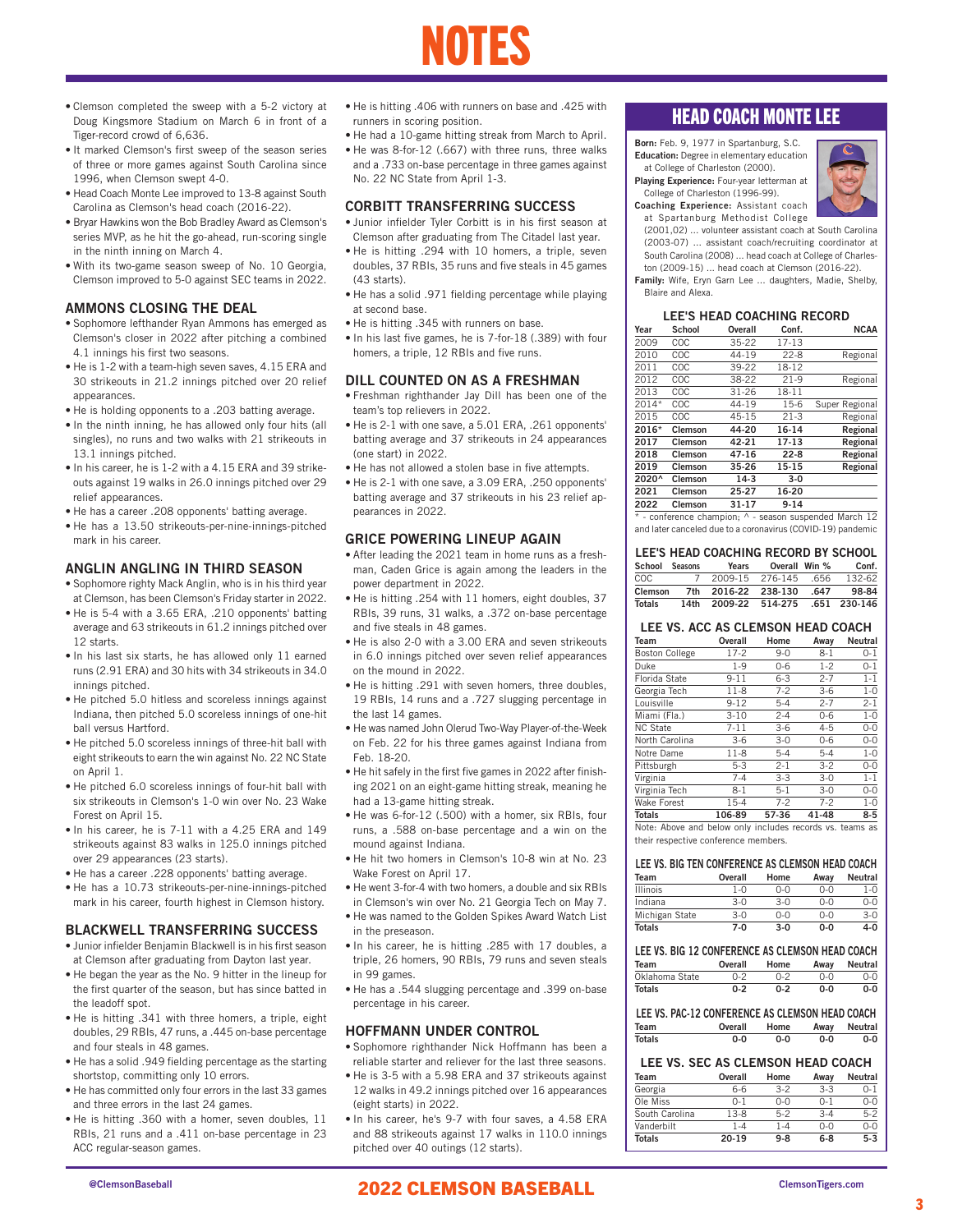- Clemson completed the sweep with a 5-2 victory at Doug Kingsmore Stadium on March 6 in front of a Tiger-record crowd of 6,636.
- It marked Clemson's first sweep of the season series of three or more games against South Carolina since 1996, when Clemson swept 4-0.
- Head Coach Monte Lee improved to 13-8 against South Carolina as Clemson's head coach (2016-22).
- Bryar Hawkins won the Bob Bradley Award as Clemson's series MVP, as he hit the go-ahead, run-scoring single in the ninth inning on March 4.
- With its two-game season sweep of No. 10 Georgia, Clemson improved to 5-0 against SEC teams in 2022.

### AMMONS CLOSING THE DEAL

- Sophomore lefthander Ryan Ammons has emerged as Clemson's closer in 2022 after pitching a combined 4.1 innings his first two seasons.
- He is 1-2 with a team-high seven saves, 4.15 ERA and 30 strikeouts in 21.2 innings pitched over 20 relief appearances.
- He is holding opponents to a .203 batting average.
- In the ninth inning, he has allowed only four hits (all singles), no runs and two walks with 21 strikeouts in 13.1 innings pitched.
- In his career, he is 1-2 with a 4.15 ERA and 39 strikeouts against 19 walks in 26.0 innings pitched over 29 relief appearances.
- He has a career .208 opponents' batting average.
- He has a 13.50 strikeouts-per-nine-innings-pitched mark in his career.

### ANGLIN ANGLING IN THIRD SEASON

- Sophomore righty Mack Anglin, who is in his third year at Clemson, has been Clemson's Friday starter in 2022.
- He is 5-4 with a 3.65 ERA, .210 opponents' batting average and 63 strikeouts in 61.2 innings pitched over 12 starts.
- In his last six starts, he has allowed only 11 earned runs (2.91 ERA) and 30 hits with 34 strikeouts in 34.0 innings pitched.
- He pitched 5.0 hitless and scoreless innings against Indiana, then pitched 5.0 scoreless innings of one-hit ball versus Hartford.
- He pitched 5.0 scoreless innings of three-hit ball with eight strikeouts to earn the win against No. 22 NC State on April 1.
- He pitched 6.0 scoreless innings of four-hit ball with six strikeouts in Clemson's 1-0 win over No. 23 Wake Forest on April 15.
- In his career, he is 7-11 with a 4.25 ERA and 149 strikeouts against 83 walks in 125.0 innings pitched over 29 appearances (23 starts).
- He has a career .228 opponents' batting average.
- He has a 10.73 strikeouts-per-nine-innings-pitched mark in his career, fourth highest in Clemson history.

### BLACKWELL TRANSFERRING SUCCESS

- Junior infielder Benjamin Blackwell is in his first season at Clemson after graduating from Dayton last year.
- He began the year as the No. 9 hitter in the lineup for the first quarter of the season, but has since batted in the leadoff spot.
- He is hitting .341 with three homers, a triple, eight doubles, 29 RBIs, 47 runs, a .445 on-base percentage and four steals in 48 games.
- He has a solid .949 fielding percentage as the starting shortstop, committing only 10 errors.
- He has committed only four errors in the last 33 games and three errors in the last 24 games.
- He is hitting .360 with a homer, seven doubles, 11 RBIs, 21 runs and a .411 on-base percentage in 23 ACC regular-season games.

• He is hitting .406 with runners on base and .425 with runners in scoring position.

NOTES

• He had a 10-game hitting streak from March to April. • He was 8-for-12 (.667) with three runs, three walks and a .733 on-base percentage in three games against No. 22 NC State from April 1-3.

### CORBITT TRANSFERRING SUCCESS

- Junior infielder Tyler Corbitt is in his first season at Clemson after graduating from The Citadel last year.
- He is hitting .294 with 10 homers, a triple, seven doubles, 37 RBIs, 35 runs and five steals in 45 games (43 starts).
- He has a solid .971 fielding percentage while playing at second base.
- He is hitting .345 with runners on base.
- In his last five games, he is 7-for-18 (.389) with four homers, a triple, 12 RBIs and five runs.

### DILL COUNTED ON AS A FRESHMAN

- Freshman righthander Jay Dill has been one of the team's top relievers in 2022.
- He is 2-1 with one save, a 5.01 ERA, .261 opponents' batting average and 37 strikeouts in 24 appearances (one start) in 2022.
- He has not allowed a stolen base in five attempts.
- He is 2-1 with one save, a 3.09 ERA, .250 opponents' batting average and 37 strikeouts in his 23 relief appearances in 2022.

### GRICE POWERING LINEUP AGAIN

- After leading the 2021 team in home runs as a freshman, Caden Grice is again among the leaders in the power department in 2022.
- He is hitting .254 with 11 homers, eight doubles, 37 RBIs, 39 runs, 31 walks, a .372 on-base percentage and five steals in 48 games.
- He is also 2-0 with a 3.00 ERA and seven strikeouts in 6.0 innings pitched over seven relief appearances on the mound in 2022.
- He is hitting .291 with seven homers, three doubles, 19 RBIs, 14 runs and a .727 slugging percentage in the last 14 games.
- He was named John Olerud Two-Way Player-of-the-Week on Feb. 22 for his three games against Indiana from Feb. 18-20.
- He hit safely in the first five games in 2022 after finishing 2021 on an eight-game hitting streak, meaning he had a 13-game hitting streak.
- He was 6-for-12 (.500) with a homer, six RBIs, four runs, a .588 on-base percentage and a win on the mound against Indiana.
- He hit two homers in Clemson's 10-8 win at No. 23 Wake Forest on April 17.
- He went 3-for-4 with two homers, a double and six RBIs in Clemson's win over No. 21 Georgia Tech on May 7.
- He was named to the Golden Spikes Award Watch List in the preseason.
- In his career, he is hitting .285 with 17 doubles, a triple, 26 homers, 90 RBIs, 79 runs and seven steals in 99 games.
- He has a .544 slugging percentage and .399 on-base percentage in his career.

### HOFFMANN UNDER CONTROL

- Sophomore righthander Nick Hoffmann has been a reliable starter and reliever for the last three seasons.
- He is 3-5 with a 5.98 ERA and 37 strikeouts against 12 walks in 49.2 innings pitched over 16 appearances (eight starts) in 2022.
- In his career, he's 9-7 with four saves, a 4.58 ERA and 88 strikeouts against 17 walks in 110.0 innings pitched over 40 outings (12 starts).

### HEAD COACH MONTE LEE

Born: Feb. 9, 1977 in Spartanburg, S.C.



- Playing Experience: Four-year letterman at College of Charleston (1996-99).
- Coaching Experience: Assistant coach at Spartanburg Methodist College
- (2001,02) ... volunteer assistant coach at South Carolina (2003-07) ... assistant coach/recruiting coordinator at South Carolina (2008) ... head coach at College of Charles-
- ton (2009-15) ... head coach at Clemson (2016-22).
- Family: Wife, Eryn Garn Lee ... daughters, Madie, Shelby, Blaire and Alexa.

### LEE'S HEAD COACHING RECORD

| Year  | School         | <b>Overall</b> | Conf.    | <b>NCAA</b>    |
|-------|----------------|----------------|----------|----------------|
| 2009  | COC            | 35-22          | $17-13$  |                |
| 2010  | COC            | 44-19          | $22 - 8$ | Regional       |
| 2011  | COC            | 39-22          | 18-12    |                |
| 2012  | COC            | 38-22          | $21-9$   | Regional       |
| 2013  | COC            | 31-26          | 18-11    |                |
| 2014* | COC            | 44-19          | $15-6$   | Super Regional |
| 2015  | COC            | 45-15          | $21-3$   | Regional       |
| 2016* | <b>Clemson</b> | 44-20          | 16-14    | Regional       |
| 2017  | Clemson        | 42-21          | 17-13    | Regional       |
| 2018  | Clemson        | $47 - 16$      | $22 - 8$ | Regional       |
| 2019  | Clemson        | 35-26          | 15-15    | Regional       |
| 2020^ | Clemson        | $14-3$         | $3-0$    |                |
| 2021  | <b>Clemson</b> | 25-27          | 16-20    |                |
| 2022  | Clemson        | 31-17          | $9 - 14$ |                |
|       | .              |                |          |                |

\* - conference champion; ^ - season suspended March 12 and later canceled due to a coronavirus (COVID-19) pandemic

#### LEE'S HEAD COACHING RECORD BY SCHOOL

| School Seasons |   | Years                             | Overall Win % | Conf.  |
|----------------|---|-----------------------------------|---------------|--------|
| COC.           | 7 | 2009-15 276-145 656               |               | 132-62 |
| Clemson        |   | 7th 2016-22 238-130 .647          |               | 98-84  |
| Totals         |   | 14th 2009-22 514-275 .651 230-146 |               |        |

### LEE VS. ACC AS CLEMSON HEAD COACH

| Team                                                     | Overall  | Home    | Awav    | <b>Neutral</b> |
|----------------------------------------------------------|----------|---------|---------|----------------|
| <b>Boston College</b>                                    | $17-2$   | $9 - 0$ | $8 - 1$ | $0 - 1$        |
| Duke                                                     | $1 - 9$  | $0 - 6$ | $1-2$   | $0 - 1$        |
| Florida State                                            | $9 - 11$ | $6 - 3$ | $2 - 7$ | $1 - 1$        |
| Georgia Tech                                             | $11-8$   | $7 - 2$ | $3-6$   | $1 - 0$        |
| Louisville                                               | $9 - 12$ | $5 - 4$ | $2 - 7$ | $2 - 1$        |
| Miami (Fla.)                                             | $3 - 10$ | $2 - 4$ | $0 - 6$ | $1 - 0$        |
| <b>NC State</b>                                          | 7-11     | $3-6$   | $4 - 5$ | $0 - 0$        |
| North Carolina                                           | $3-6$    | $3 - 0$ | $0 - 6$ | $0 - 0$        |
| Notre Dame                                               | $11-8$   | $5 - 4$ | $5 - 4$ | $1 - 0$        |
| Pittsburgh                                               | $5 - 3$  | $2 - 1$ | $3 - 2$ | $0 - 0$        |
| Virginia                                                 | $7 - 4$  | $3 - 3$ | $3 - 0$ | $1 - 1$        |
| Virginia Tech                                            | 8-1      | $5-1$   | $3-0$   | $O-O$          |
| <b>Wake Forest</b>                                       | $15 - 4$ | $7 - 2$ | $7-2$   | $1 - 0$        |
| <b>Totals</b>                                            | 106-89   | 57-36   | 41-48   | $8 - 5$        |
| Note: Above and below only includes records vs. teams as |          |         |         |                |

their respective conference members.

### LEE VS. BIG TEN CONFERENCE AS CLEMSON HEAD COACH

| Team            | Overall | Home    | Away  | <b>Neutral</b> |
|-----------------|---------|---------|-------|----------------|
| <b>Illinois</b> | $1 - 0$ | $0 - 0$ | $0-0$ | $1 - 0$        |
| Indiana         | $3-0$   | $3 - 0$ | $0-0$ | $O - O$        |
| Michigan State  | $3-0$   | $0 - 0$ | $0-0$ | $3-0$          |
| <b>Totals</b>   | $7-0$   | $3-0$   | $0-0$ | $4-0$          |

### LEE VS. BIG 12 CONFERENCE AS CLEMSON HEAD COACH Team Overall Home Away Neutral

| Oklahoma State | $0 - 2$ | $0 - 2$ | $0 - 0$ | $0 - 0$ |
|----------------|---------|---------|---------|---------|
| Totals         | $0 - 2$ | $0 - 2$ | 0-0     | $0 - 0$ |

#### LEE VS. PAC-12 CONFERENCE AS CLEMSON HEAD COACH Team Overall Home Away Neutral Totals 0-0 0-0 0-0 0-0

### LEE VS. SEC AS CLEMSON HEAD COACH

| <b>Team</b>    | Overall | Home    | Away    | Neutral |
|----------------|---------|---------|---------|---------|
| Georgia        | 6-6     | $3-2$   | $3-3$   | $0 - 1$ |
| Ole Miss       | $0 - 1$ | $0 - 0$ | $0 - 1$ | $0 - 0$ |
| South Carolina | $13-8$  | $5-2$   | $3 - 4$ | $5 - 2$ |
| Vanderbilt     | $1 - 4$ | 1-4     | $0-0$   | $0 - 0$ |
| <b>Totals</b>  | 20-19   | $9 - 8$ | $6-8$   | $5 - 3$ |

### @ClemsonBaseball ClemsonTigers.com 2022 CLEMSON BASEBALL

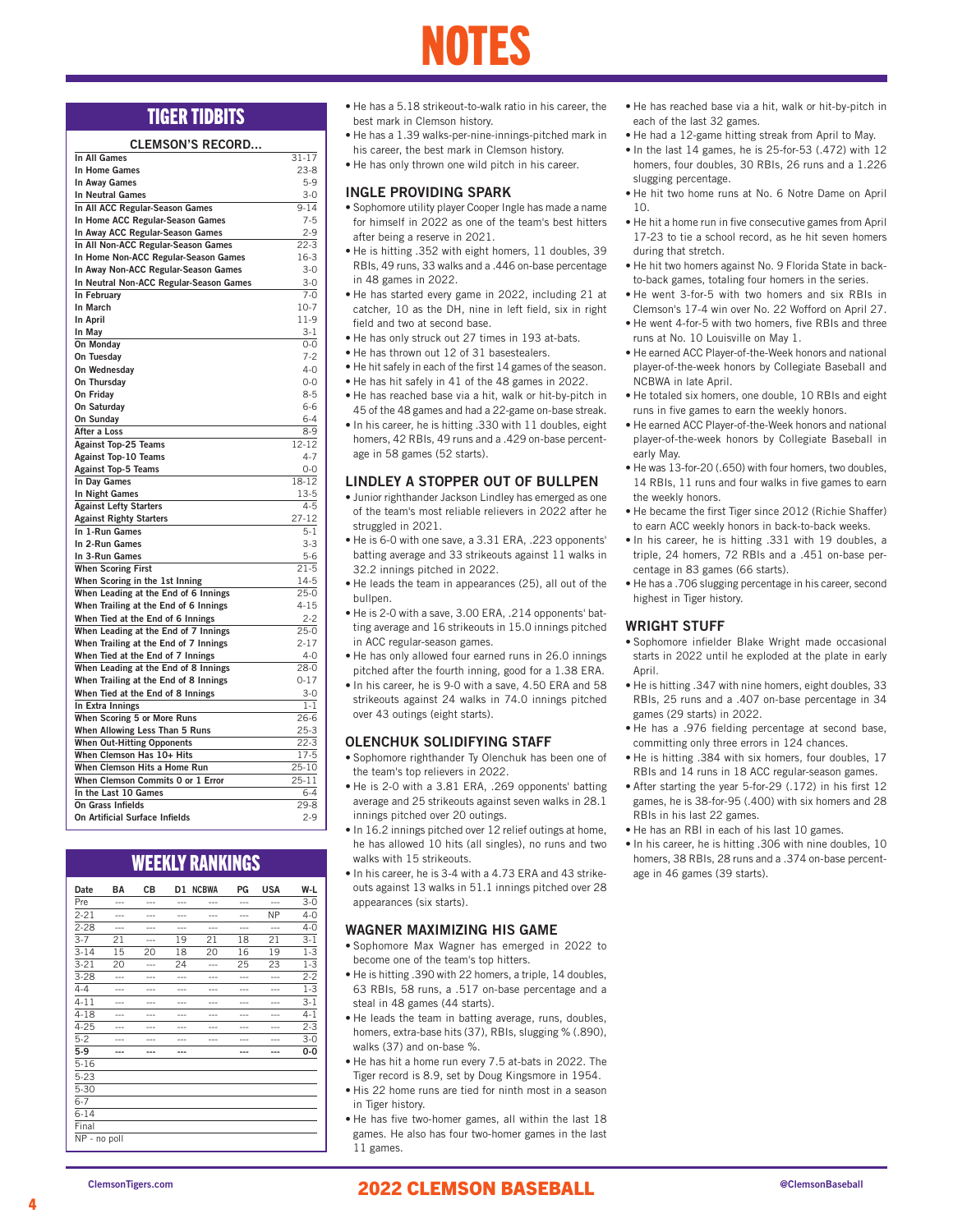### NOTES

### CLEMSON'S RECORD

| In All Games                            | $31 - 17$ |
|-----------------------------------------|-----------|
| In Home Games                           | $23-8$    |
| In Away Games                           | $5-9$     |
| <b>In Neutral Games</b>                 | $3 - 0$   |
| In All ACC Regular-Season Games         | $9 - 14$  |
| In Home ACC Regular-Season Games        | $7-5$     |
| In Away ACC Regular-Season Games        | $2 - 9$   |
| In All Non-ACC Regular-Season Games     | $22-3$    |
| In Home Non-ACC Regular-Season Games    | $16-3$    |
| In Away Non-ACC Regular-Season Games    | $3 - 0$   |
| In Neutral Non-ACC Regular-Season Games | $3 - 0$   |
| In February                             | $7-0$     |
| In March                                | $10-7$    |
| In April                                | $11-9$    |
| In May                                  | $3 - 1$   |
| On Monday                               | $0 - 0$   |
| On Tuesday                              | $7-2$     |
| On Wednesday                            | $4 - 0$   |
| On Thursday                             | $0 - 0$   |
| On Friday                               | $8 - 5$   |
| On Saturday                             | 6-6       |
| On Sunday                               | $6 - 4$   |
| After a Loss                            | $8 - 9$   |
| <b>Against Top-25 Teams</b>             | 12-12     |
| <b>Against Top-10 Teams</b>             | $4 - 7$   |
| <b>Against Top-5 Teams</b>              | $0 - 0$   |
| In Day Games                            | 18-12     |
| In Night Games                          | $13-5$    |
| <b>Against Lefty Starters</b>           | $4 - 5$   |
| <b>Against Righty Starters</b>          | $27 - 12$ |
| In 1-Run Games                          | $5 - 1$   |
| In 2-Run Games                          | $3 - 3$   |
| In 3-Run Games                          | $5 - 6$   |
| <b>When Scoring First</b>               | $21 - 5$  |
| When Scoring in the 1st Inning          | $14-5$    |
| When Leading at the End of 6 Innings    | $25-0$    |
| When Trailing at the End of 6 Innings   | $4 - 15$  |
| When Tied at the End of 6 Innings       | $2 - 2$   |
| When Leading at the End of 7 Innings    | $25-0$    |
| When Trailing at the End of 7 Innings   | $2 - 17$  |
| When Tied at the End of 7 Innings       | $4 - 0$   |
| When Leading at the End of 8 Innings    | $28-0$    |
| When Trailing at the End of 8 Innings   | $0 - 17$  |
| When Tied at the End of 8 Innings       | $3 - 0$   |
| In Extra Innings                        | $1 - 1$   |
| When Scoring 5 or More Runs             | $26-6$    |
| When Allowing Less Than 5 Runs          | $25-3$    |
| <b>When Out-Hitting Opponents</b>       | $22-3$    |
| When Clemson Has 10+ Hits               | $17-5$    |
| When Clemson Hits a Home Run            | 25-10     |
| When Clemson Commits 0 or 1 Error       | $25 - 11$ |
| In the Last 10 Games                    | $6 - 4$   |
| On Grass Infields                       | $29 - 8$  |
| On Artificial Surface Infields          | $2 - 9$   |
|                                         |           |

### WEEKLY RANKINGS

| Date         | BA  | CВ  | D1      | <b>NCBWA</b> | PG      | USA       | W-L     |
|--------------|-----|-----|---------|--------------|---------|-----------|---------|
| Pre          | --- | --- | ---     | ---          | $- - -$ | ---       | $3 - 0$ |
| $2 - 21$     | --- | --- | $- - -$ | $- - -$      | ---     | <b>NP</b> | $4 - 0$ |
| $2 - 28$     | --- | --- | ---     | $- - -$      | ---     | ---       | $4 - 0$ |
| $3 - 7$      | 21  | --- | 19      | 21           | 18      | 21        | $3 - 1$ |
| $3 - 14$     | 15  | 20  | 18      | 20           | 16      | 19        | $1 - 3$ |
| $3 - 21$     | 20  | --- | 24      | ---          | 25      | 23        | $1 - 3$ |
| $3 - 28$     | --- |     | ---     | ---          | ---     | ---       | $2 - 2$ |
| $4 - 4$      | --- | --- | ---     | $- - -$      | ---     | ---       | $1 - 3$ |
| $4 - 11$     | --- | --- | ---     | $- - -$      | ---     | ---       | $3 - 1$ |
| $4 - 18$     | --- | --- | ---     | $- - -$      | ---     | ---       | $4 - 1$ |
| $4 - 25$     | --- | --- | ---     | ---          | ---     | ---       | $2 - 3$ |
| $5 - 2$      | --- | --- | ---     | $- - -$      | ---     | ---       | $3 - 0$ |
| $5-9$        | --- | --- | ---     |              | ---     | ---       | $0-0$   |
| $5 - 16$     |     |     |         |              |         |           |         |
| $5 - 23$     |     |     |         |              |         |           |         |
| $5 - 30$     |     |     |         |              |         |           |         |
| $6 - 7$      |     |     |         |              |         |           |         |
| $6 - 14$     |     |     |         |              |         |           |         |
| Final        |     |     |         |              |         |           |         |
| NP - no poll |     |     |         |              |         |           |         |

- **TIGER TIDBITS** He has a 5.18 strikeout-to-walk ratio in his career, the best mark in Clemson history.
	- He has a 1.39 walks-per-nine-innings-pitched mark in his career, the best mark in Clemson history.
	- He has only thrown one wild pitch in his career.

### INGLE PROVIDING SPARK

- Sophomore utility player Cooper Ingle has made a name for himself in 2022 as one of the team's best hitters after being a reserve in 2021.
- He is hitting .352 with eight homers, 11 doubles, 39 RBIs, 49 runs, 33 walks and a .446 on-base percentage in 48 games in 2022.
- He has started every game in 2022, including 21 at catcher, 10 as the DH, nine in left field, six in right field and two at second base.
- He has only struck out 27 times in 193 at-bats.
- He has thrown out 12 of 31 basestealers.
- He hit safely in each of the first 14 games of the season.
- He has hit safely in 41 of the 48 games in 2022.
- He has reached base via a hit, walk or hit-by-pitch in 45 of the 48 games and had a 22-game on-base streak.
- In his career, he is hitting .330 with 11 doubles, eight homers, 42 RBIs, 49 runs and a .429 on-base percentage in 58 games (52 starts).

### LINDLEY A STOPPER OUT OF BULLPEN

- Junior righthander Jackson Lindley has emerged as one of the team's most reliable relievers in 2022 after he struggled in 2021.
- He is 6-0 with one save, a 3.31 ERA, .223 opponents' batting average and 33 strikeouts against 11 walks in 32.2 innings pitched in 2022.
- He leads the team in appearances (25), all out of the bullpen.
- He is 2-0 with a save, 3.00 ERA, .214 opponents' batting average and 16 strikeouts in 15.0 innings pitched in ACC regular-season games.
- He has only allowed four earned runs in 26.0 innings pitched after the fourth inning, good for a 1.38 ERA.
- In his career, he is 9-0 with a save, 4.50 ERA and 58 strikeouts against 24 walks in 74.0 innings pitched over 43 outings (eight starts).

### OLENCHUK SOLIDIFYING STAFF

- Sophomore righthander Ty Olenchuk has been one of the team's top relievers in 2022.
- He is 2-0 with a 3.81 ERA, .269 opponents' batting average and 25 strikeouts against seven walks in 28.1 innings pitched over 20 outings.
- In 16.2 innings pitched over 12 relief outings at home, he has allowed 10 hits (all singles), no runs and two walks with 15 strikeouts.
- In his career, he is 3-4 with a 4.73 ERA and 43 strikeouts against 13 walks in 51.1 innings pitched over 28 appearances (six starts).

### WAGNER MAXIMIZING HIS GAME

- Sophomore Max Wagner has emerged in 2022 to become one of the team's top hitters.
- He is hitting .390 with 22 homers, a triple, 14 doubles, 63 RBIs, 58 runs, a .517 on-base percentage and a steal in 48 games (44 starts).
- He leads the team in batting average, runs, doubles, homers, extra-base hits (37), RBIs, slugging % (.890), walks (37) and on-base %.
- He has hit a home run every 7.5 at-bats in 2022. The Tiger record is 8.9, set by Doug Kingsmore in 1954.
- His 22 home runs are tied for ninth most in a season in Tiger history.
- He has five two-homer games, all within the last 18 games. He also has four two-homer games in the last 11 games.
- He has reached base via a hit, walk or hit-by-pitch in each of the last 32 games.
- He had a 12-game hitting streak from April to May.
- In the last 14 games, he is 25-for-53 (.472) with 12 homers, four doubles, 30 RBIs, 26 runs and a 1.226 slugging percentage.
- He hit two home runs at No. 6 Notre Dame on April 10.
- He hit a home run in five consecutive games from April 17-23 to tie a school record, as he hit seven homers during that stretch.
- He hit two homers against No. 9 Florida State in backto-back games, totaling four homers in the series.
- He went 3-for-5 with two homers and six RBIs in
- Clemson's 17-4 win over No. 22 Wofford on April 27. • He went 4-for-5 with two homers, five RBIs and three runs at No. 10 Louisville on May 1.
- He earned ACC Player-of-the-Week honors and national player-of-the-week honors by Collegiate Baseball and NCBWA in late April.
- He totaled six homers, one double, 10 RBIs and eight runs in five games to earn the weekly honors.
- He earned ACC Player-of-the-Week honors and national player-of-the-week honors by Collegiate Baseball in early May.
- He was 13-for-20 (.650) with four homers, two doubles, 14 RBIs, 11 runs and four walks in five games to earn the weekly honors.
- He became the first Tiger since 2012 (Richie Shaffer) to earn ACC weekly honors in back-to-back weeks.
- In his career, he is hitting .331 with 19 doubles, a triple, 24 homers, 72 RBIs and a .451 on-base percentage in 83 games (66 starts).
- He has a .706 slugging percentage in his career, second highest in Tiger history.

### WRIGHT STUFF

- Sophomore infielder Blake Wright made occasional starts in 2022 until he exploded at the plate in early April.
- He is hitting .347 with nine homers, eight doubles, 33 RBIs, 25 runs and a .407 on-base percentage in 34 games (29 starts) in 2022.
- He has a .976 fielding percentage at second base, committing only three errors in 124 chances.
- He is hitting .384 with six homers, four doubles, 17 RBIs and 14 runs in 18 ACC regular-season games.
- After starting the year 5-for-29 (.172) in his first 12 games, he is 38-for-95 (.400) with six homers and 28 RBIs in his last 22 games.
- He has an RBI in each of his last 10 games.
- In his career, he is hitting .306 with nine doubles, 10 homers, 38 RBIs, 28 runs and a .374 on-base percentage in 46 games (39 starts).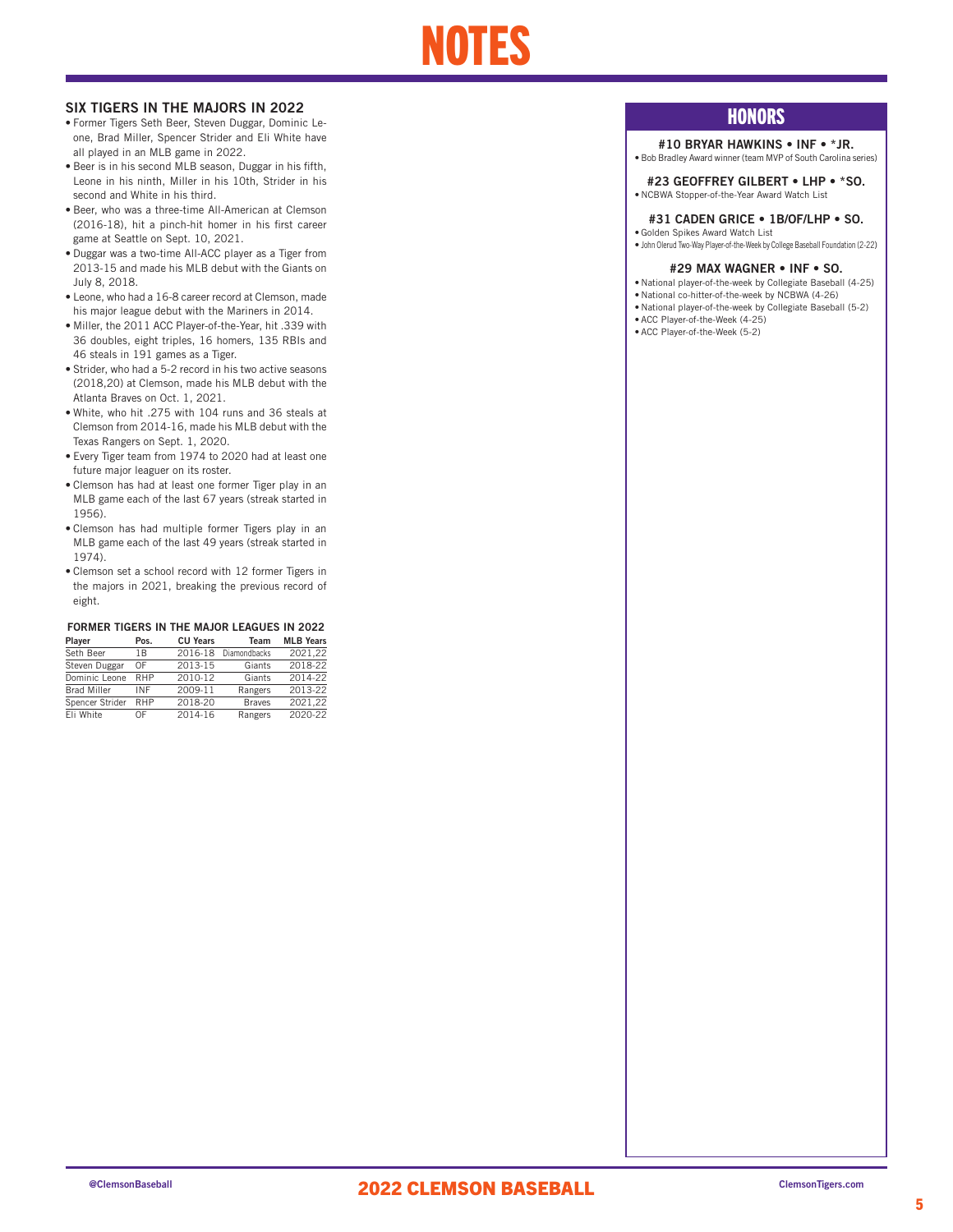# NOTES

### SIX TIGERS IN THE MAJORS IN 2022

- Former Tigers Seth Beer, Steven Duggar, Dominic Leone, Brad Miller, Spencer Strider and Eli White have all played in an MLB game in 2022.
- Beer is in his second MLB season, Duggar in his fifth, Leone in his ninth, Miller in his 10th, Strider in his second and White in his third.
- Beer, who was a three-time All-American at Clemson (2016-18), hit a pinch-hit homer in his first career game at Seattle on Sept. 10, 2021.
- Duggar was a two-time All-ACC player as a Tiger from 2013-15 and made his MLB debut with the Giants on July 8, 2018.
- Leone, who had a 16-8 career record at Clemson, made his major league debut with the Mariners in 2014.
- Miller, the 2011 ACC Player-of-the-Year, hit .339 with 36 doubles, eight triples, 16 homers, 135 RBIs and 46 steals in 191 games as a Tiger.
- Strider, who had a 5-2 record in his two active seasons (2018,20) at Clemson, made his MLB debut with the Atlanta Braves on Oct. 1, 2021.
- White, who hit .275 with 104 runs and 36 steals at Clemson from 2014-16, made his MLB debut with the Texas Rangers on Sept. 1, 2020.
- Every Tiger team from 1974 to 2020 had at least one future major leaguer on its roster.
- Clemson has had at least one former Tiger play in an MLB game each of the last 67 years (streak started in 1956).
- Clemson has had multiple former Tigers play in an MLB game each of the last 49 years (streak started in 1974).
- Clemson set a school record with 12 former Tigers in the majors in 2021, breaking the previous record of eight.

### FORMER TIGERS IN THE MAJOR LEAGUES IN 2022

| Player             | Pos.       | <b>CU Years</b> | Team          | <b>MLB Years</b> |
|--------------------|------------|-----------------|---------------|------------------|
| Seth Beer          | 1B         | 2016-18         | Diamondbacks  | 2021.22          |
| Steven Duggar      | OF         | 2013-15         | Giants        | 2018-22          |
| Dominic Leone      | <b>RHP</b> | 2010-12         | Giants        | 2014-22          |
| <b>Brad Miller</b> | INF        | 2009-11         | Rangers       | 2013-22          |
| Spencer Strider    | RHP        | 2018-20         | <b>Braves</b> | 2021.22          |
| Eli White          | ΩF         | 2014-16         | Rangers       | 2020-22          |

### **HONORS**

### #10 BRYAR HAWKINS • INF • \*JR.

• Bob Bradley Award winner (team MVP of South Carolina series)

#23 GEOFFREY GILBERT • LHP • \*SO. • NCBWA Stopper-of-the-Year Award Watch List

### #31 CADEN GRICE • 1B/OF/LHP • SO.

• Golden Spikes Award Watch List • John Olerud Two-Way Player-of-the-Week by College Baseball Foundation (2-22)

### #29 MAX WAGNER • INF • SO.

• National player-of-the-week by Collegiate Baseball (4-25)

- National co-hitter-of-the-week by NCBWA (4-26)
- National player-of-the-week by Collegiate Baseball (5-2)
- ACC Player-of-the-Week (4-25)
- ACC Player-of-the-Week (5-2)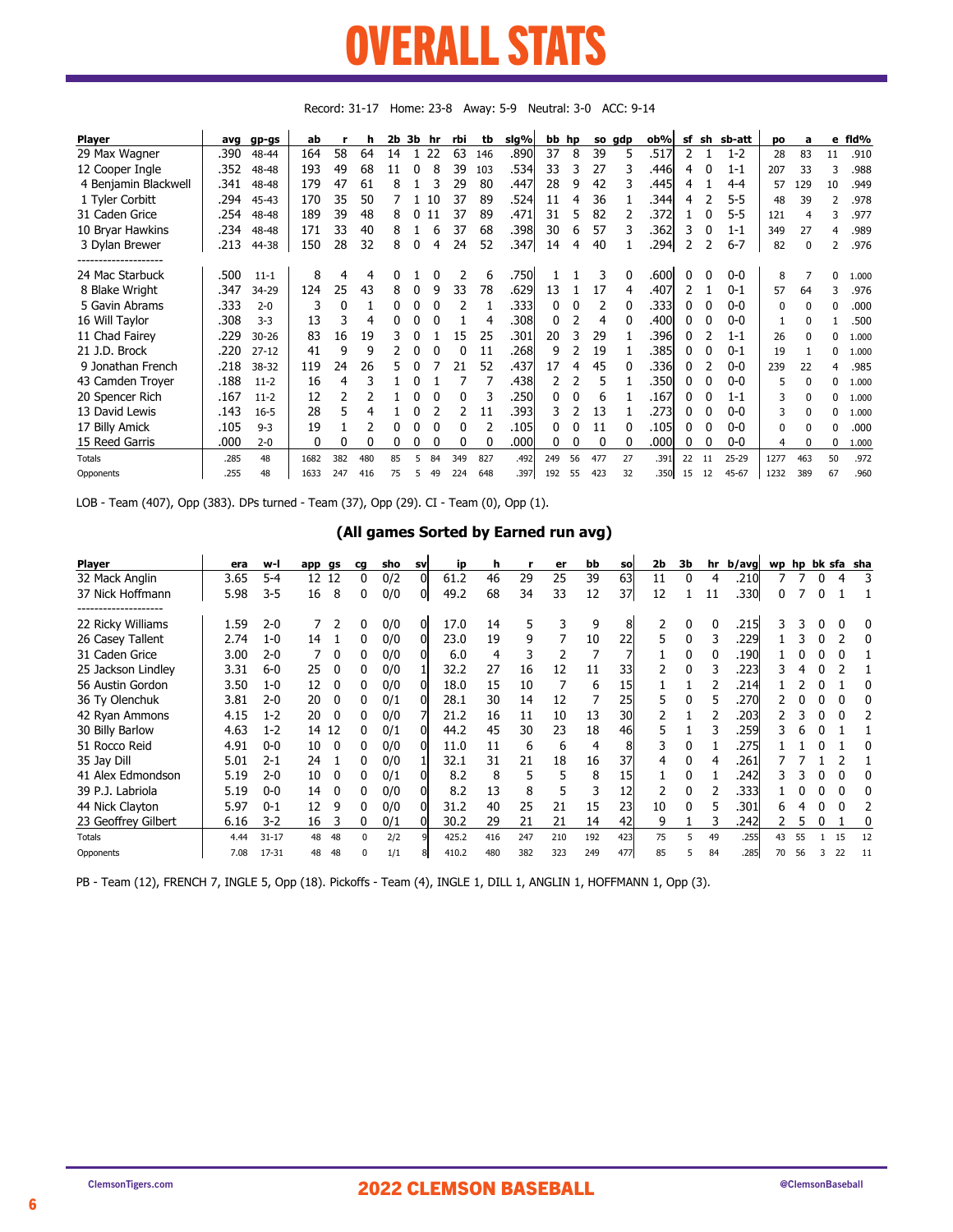### OVERALL STATS **STATED AT LIGERITY** UVERANEL SITUS

| <b>Player</b>        | avq  | gp-gs     | ab   |     | h   | 2b | 3b | .hr | rbi | tb       | sig%  | bb hp |    |     | so gdp | ob%   | sf | sh | sb-att    | po   | a            | е             | fld%  |
|----------------------|------|-----------|------|-----|-----|----|----|-----|-----|----------|-------|-------|----|-----|--------|-------|----|----|-----------|------|--------------|---------------|-------|
| 29 Max Wagner        | .390 | 48-44     | 164  | 58  | 64  | 14 |    | 22  | 63  | 146      | .890  | 37    | 8  | 39  | 5      | .517  | 2  |    | $1 - 2$   | 28   | 83           | 11            | .910  |
| 12 Cooper Ingle      | .352 | 48-48     | 193  | 49  | 68  | 11 |    | 8   | 39  | 103      | .5341 | 33    |    | 27  |        | ا446. | 4  |    | $1 - 1$   | 207  | 33           | 3             | .988  |
| 4 Benjamin Blackwell | .341 | 48-48     | 179  | 47  | 61  | 8  |    | 3   | 29  | 80       | .447  | 28    | 9  | 42  |        | .445  | 4  |    | 4-4       | 57   | 129          | 10            | .949  |
| 1 Tyler Corbitt      | .294 | 45-43     | 170  | 35  | 50  |    |    | 10  | 37  | 89       | .524  | 11    | 4  | 36  |        | .344  | 4  |    | $5 - 5$   | 48   | 39           | $\mathcal{P}$ | .978  |
| 31 Caden Grice       | .254 | 48-48     | 189  | 39  | 48  | 8  |    | 11  | 37  | 89       | .471  | 31    | 5  | 82  |        | .372  |    | 0  | $5 - 5$   | 121  | 4            | 3             | .977  |
| 10 Bryar Hawkins     | .234 | 48-48     | 171  | 33  | 40  | 8  |    | 6   | 37  | 68       | .398  | 30    | 6  | 57  |        | .362  | 3  | 0  | $1 - 1$   | 349  | 27           | 4             | .989  |
| 3 Dylan Brewer       | .213 | 44-38     | 150  | 28  | 32  | 8  |    | 4   | 24  | 52       | .347  | 14    | 4  | 40  |        | .294  |    |    | $6 - 7$   | 82   | $\Omega$     |               | .976  |
| 24 Mac Starbuck      | .500 | $11 - 1$  | 8    | 4   | 4   | N  |    |     |     | 6        | .750  |       |    |     |        | .600  |    | 0  | $0-0$     | 8    |              | <sup>0</sup>  | 1.000 |
| 8 Blake Wright       | .347 | 34-29     | 124  | 25  | 43  | 8  |    | 9   | 33  | 78       | .629  | 13    |    | 17  | 4      | .407  |    |    | $0 - 1$   | 57   | 64           | 3             | .976  |
| 5 Gavin Abrams       | .333 | $2 - 0$   | 3    | 0   |     | 0  |    |     | 2   |          | .3331 | 0     |    | 2   |        | .3331 |    |    | $0-0$     | 0    | $\Omega$     | 0             | .000  |
| 16 Will Taylor       | .308 | $3-3$     | 13   | 3   | 4   | 0  |    | 0   |     | 4        | .308  |       |    | 4   |        | .400  |    | 0  | $0 - 0$   |      | $\Omega$     |               | .500  |
| 11 Chad Fairey       | .229 | $30 - 26$ | 83   | 16  | 19  | 3  |    |     | 15  | 25       | .301  | 20    | 3  | 29  |        | .396  |    |    | $1 - 1$   | 26   | $\Omega$     | 0             | 1.000 |
| 21 J.D. Brock        | .220 | $27 - 12$ | 41   | 9   | 9   |    |    |     | 0   | 11       | .268  | q     |    | 19  |        | .385l |    | 0  | $0 - 1$   | 19   |              | 0             | 1.000 |
| 9 Jonathan French    | .218 | 38-32     | 119  | 24  | 26  | 5  |    |     | 21  | 52       | .437  | 17    | 4  | 45  |        | .336  |    |    | $0 - 0$   | 239  | 22           | 4             | .985  |
| 43 Camden Troyer     | .188 | $11-2$    | 16   | 4   |     |    |    |     |     |          | .438  |       |    | 5   |        | .350  |    | 0  | $0-0$     | 5    | $\Omega$     | 0             | 1.000 |
| 20 Spencer Rich      | .167 | $11-2$    | 12   |     |     |    |    |     | 0   | 3        | .250  |       |    | 6   |        | .167  |    |    | $1 - 1$   | 3    | <sup>0</sup> | 0             | 1.000 |
| 13 David Lewis       | .143 | $16 - 5$  | 28   | 5   | 4   |    |    |     | 2   | 11       | .3931 |       |    | 13  |        | .2731 |    | 0  | $0 - 0$   | 3    | <sup>n</sup> | 0             | 1.000 |
| 17 Billy Amick       | .105 | $9 - 3$   | 19   |     |     |    |    |     | 0   |          | .105  |       |    | 11  |        | .1051 | 0  | 0  | $0-0$     | 0    | o            | 0             | .000  |
| 15 Reed Garris       | .000 | $2 - 0$   | 0    | 0   | 0   | 0  |    |     | 0   | $\Omega$ | .000  |       |    | 0   | 0      | .000l | 0  | 0  | $0-0$     | 4    | $\mathbf{0}$ | 0             | 1.000 |
| <b>Totals</b>        | .285 | 48        | 1682 | 382 | 480 | 85 |    | 84  | 349 | 827      | .492  | 249   | 56 | 477 | 27     | .391  | 22 | 11 | $25 - 29$ | 1277 | 463          | 50            | .972  |
| Opponents            | .255 | 48        | 1633 | 247 | 416 | 75 | 5  | 49  | 224 | 648      | .397  | 192   | 55 | 423 | 32     | .350l | 15 | 12 | 45-67     | 1232 | 389          | 67            | .960  |

Record: 31-17 Home: 23-8 Away: 5-9 Neutral: 3-0 ACC: 9-14

LOB - Team (407), Opp (383). DPs turned - Team (37), Opp (29). CI - Team (0), Opp (1).

### (All games Sorted by Earned run avg)

| <b>Player</b>       | era  | w-l       | app gs |          | cg       | sho | <b>SV</b> | ip    | h   |     | er  | bb  | <b>SO</b> | 2b | 3b |    | hr b/avg |    |    |    | wp hp bk sfa sha |
|---------------------|------|-----------|--------|----------|----------|-----|-----------|-------|-----|-----|-----|-----|-----------|----|----|----|----------|----|----|----|------------------|
| 32 Mack Anglin      | 3.65 | $5 - 4$   | 12 12  |          | 0        | 0/2 |           | 61.2  | 46  | 29  | 25  | 39  | 63        | 11 | 0  | 4  | .210     |    |    | 4  |                  |
| 37 Nick Hoffmann    | 5.98 | $3 - 5$   | 16     | 8        | 0        | 0/0 |           | 49.2  | 68  | 34  | 33  | 12  | 37        | 12 |    | 11 | .330     |    |    |    |                  |
| 22 Ricky Williams   | 1.59 | $2 - 0$   |        |          | 0        | 0/0 | 01        | 17.0  | 14  | 5   | 3   | 9   | 8         |    | 0  | 0  | .215     |    |    |    |                  |
| 26 Casey Tallent    | 2.74 | $1 - 0$   | 14     |          | 0        | 0/0 |           | 23.0  | 19  | 9   |     | 10  | 22        |    | 0  | 3  | .229     |    |    |    |                  |
| 31 Caden Grice      | 3.00 | $2 - 0$   |        | $\Omega$ | 0        | 0/0 |           | 6.0   | 4   | 3   |     |     |           |    | 0  | 0  | .190     |    |    |    |                  |
| 25 Jackson Lindley  | 3.31 | 6-0       | 25     |          | 0        | 0/0 |           | 32.2  | 27  | 16  | 12  | 11  | 33        |    | 0  | 3  | .223     |    |    |    |                  |
| 56 Austin Gordon    | 3.50 | $1 - 0$   | 12     |          | 0        | 0/0 |           | 18.0  | 15  | 10  |     | 6   | 15        |    |    |    | .214     |    |    |    |                  |
| 36 Ty Olenchuk      | 3.81 | $2 - 0$   | 20     |          |          | 0/1 |           | 28.1  | 30  | 14  | 12  |     | 25        |    |    | 5  | .270     |    |    |    |                  |
| 42 Ryan Ammons      | 4.15 | $1 - 2$   | 20     |          | 0        | 0/0 |           | 21.2  | 16  | 11  | 10  | 13  | 30        |    |    |    | .203     |    |    |    |                  |
| 30 Billy Barlow     | 4.63 | $1 - 2$   | 14     | 12       | 0        | 0/1 |           | 44.2  | 45  | 30  | 23  | 18  | 46        |    |    |    | .259     |    |    |    |                  |
| 51 Rocco Reid       | 4.91 | $0 - 0$   | 10     | $\Omega$ | 0        | 0/0 |           | 11.0  | 11  | 6   | 6   | 4   | 8         |    | 0  |    | .275     |    |    |    |                  |
| 35 Jay Dill         | 5.01 | $2 - 1$   | 24     |          | 0        | 0/0 |           | 32.1  | 31  | 21  | 18  | 16  | 37        | 4  | 0  | 4  | .261     |    |    |    |                  |
| 41 Alex Edmondson   | 5.19 | $2 - 0$   | 10     |          | 0        | 0/1 |           | 8.2   | 8   | 5   | 5   | 8   | 15        |    | 0  |    | .242     |    |    |    |                  |
| 39 P.J. Labriola    | 5.19 | $0 - 0$   | 14     | $\Omega$ | 0        | 0/0 |           | 8.2   | 13  | 8   |     |     | 12        |    | 0  |    | .333     |    |    |    |                  |
| 44 Nick Clayton     | 5.97 | $0 - 1$   | 12     | q        | O.       | 0/0 |           | 31.2  | 40  | 25  | 21  | 15  | 23        | 10 | U  | 5  | .301     |    |    |    |                  |
| 23 Geoffrey Gilbert | 6.16 | $3 - 2$   | 16     |          | 0        | 0/1 |           | 30.2  | 29  | 21  | 21  | 14  | 42        | 9  |    |    | .242     |    |    |    |                  |
| <b>Totals</b>       | 4.44 | $31 - 17$ | 48     | 48       | $\Omega$ | 2/2 |           | 425.2 | 416 | 247 | 210 | 192 | 423       | 75 | 5  | 49 | .255     | 43 | 55 | 15 | 12               |
| Opponents           | 7.08 | 17-31     | 48     | 48       | $\Omega$ | 1/1 |           | 410.2 | 480 | 382 | 323 | 249 | 477       | 85 |    | 84 | .285     | 70 | 56 | 22 | 11               |

PB - Team (12), FRENCH 7, INGLE 5, Opp (18). Pickoffs - Team (4), INGLE 1, DILL 1, ANGLIN 1, HOFFMANN 1, Opp (3).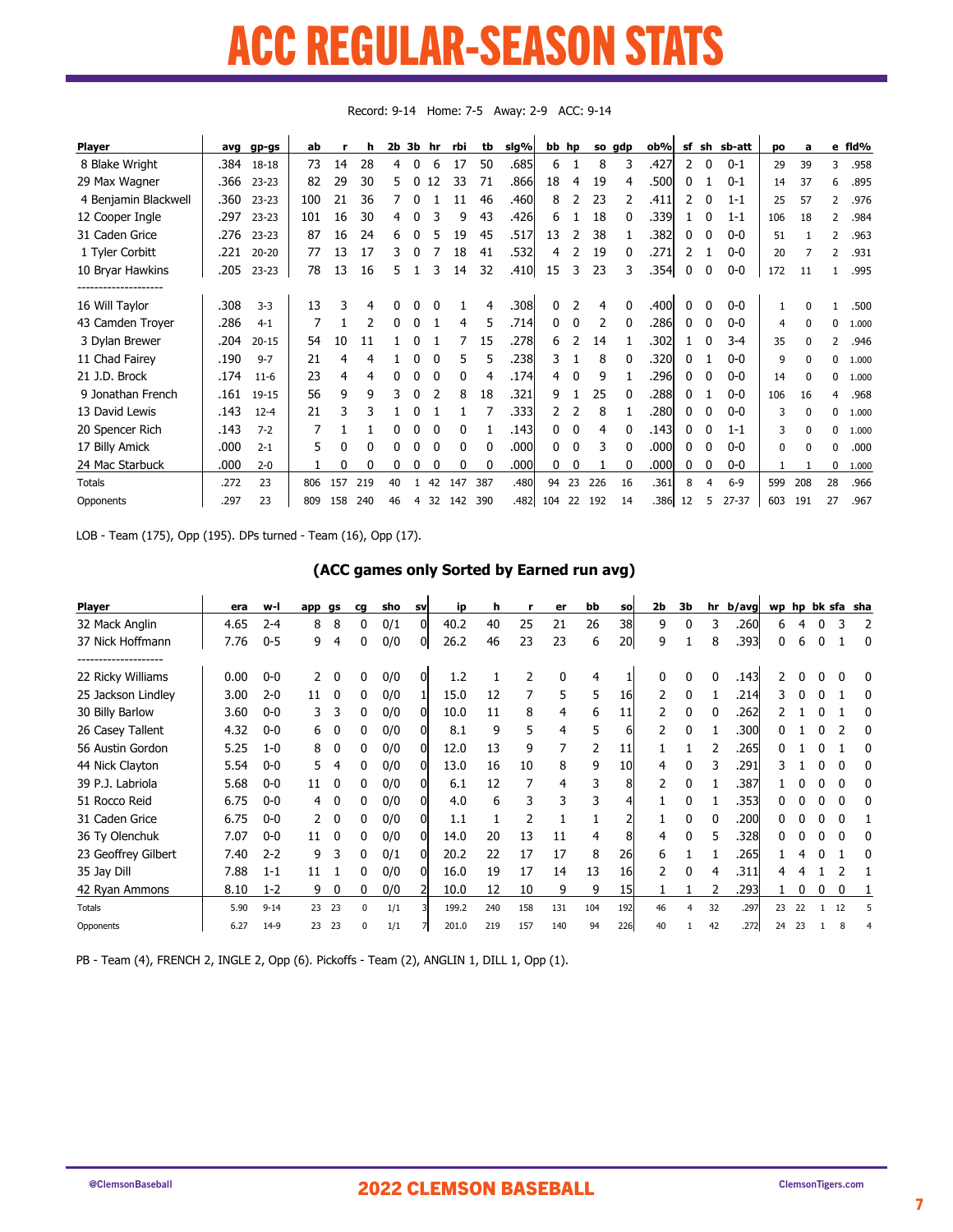### ACC REGULAR-SEASON STATS P DERHI AD SEASAN STA LUULAN JOLAJUN

| <b>Player</b>        | avq  | gp-gs     | ab  |     | h   | 2b 3b |   | hr       | rbi | tb       | sig%  |     | bb hp |     | so gdp       | ob%   | sf | sh | sb-att    | po       | a            |          | e fld% |
|----------------------|------|-----------|-----|-----|-----|-------|---|----------|-----|----------|-------|-----|-------|-----|--------------|-------|----|----|-----------|----------|--------------|----------|--------|
| 8 Blake Wright       | .384 | 18-18     | 73  | 14  | 28  | 4     | 0 | 6        | 17  | 50       | .685  | 6   |       | 8   | 3            | .427  | 2  | 0  | $0 - 1$   | 29       | 39           | 3        | .958   |
| 29 Max Wagner        | .366 | $23 - 23$ | 82  | 29  | 30  | 5.    | 0 | 12       | 33  | 71       | .8661 | 18  | 4     | 19  | 4            | .500  | 0  |    | $0 - 1$   | 14       | 37           | 6        | .895   |
| 4 Benjamin Blackwell | .360 | $23 - 23$ | 100 | 21  | 36  |       | 0 |          | 11  | 46       | .460  | 8   |       | 23  |              | .411  | 2  |    | $1 - 1$   | 25       | 57           | 2        | .976   |
| 12 Cooper Ingle      | .297 | $23 - 23$ | 101 | 16  | 30  | 4     | 0 | 3        | 9   | 43       | .426  | 6   |       | 18  | 0            | .339  |    | 0  | $1 - 1$   | 106      | 18           | 2        | .984   |
| 31 Caden Grice       | .276 | $23 - 23$ | 87  | 16  | 24  | 6     | 0 |          | 19  | 45       | .517  | 13  | 2     | 38  |              | .382  | 0  |    | $0-0$     | 51       |              | 2        | .963   |
| 1 Tyler Corbitt      | .221 | $20 - 20$ | 77  | 13  | 17  | 3     | 0 |          | 18  | 41       | .532  | 4   |       | 19  | <sup>0</sup> | .271  | 2  |    | $0 - 0$   | 20       |              | 2        | .931   |
| 10 Bryar Hawkins     | .205 | $23 - 23$ | 78  | 13  | 16  | 5     |   |          | 14  | 32       | .410  | 15  | 3     | 23  |              | .354  | 0  |    | $0-0$     | 172      | 11           |          | .995   |
|                      |      |           |     |     |     |       |   |          |     |          |       |     |       |     |              |       |    |    |           |          |              |          |        |
| 16 Will Taylor       | .308 | $3 - 3$   | 13  | ٦   | 4   | 0     |   |          |     | 4        | .3081 | 0   |       | 4   |              | .400  | 0  |    | $0 - 0$   |          |              |          | .500   |
| 43 Camden Troyer     | .286 | $4 - 1$   | 7   |     |     | 0     | 0 |          | 4   | 5        | .714  | 0   | 0     | 2   |              | .286  | 0  |    | $0 - 0$   | 4        | $\Omega$     | $\Omega$ | 1.000  |
| 3 Dylan Brewer       | .204 | $20 - 15$ | 54  | 10  | 11  |       | N |          |     | 15       | .2781 | 6   |       | 14  |              | .302  |    |    | $3 - 4$   | 35       | $\Omega$     | 2        | .946   |
| 11 Chad Fairey       | .190 | $9 - 7$   | 21  | 4   | 4   |       | 0 |          | 5.  | 5        | .238  | 3   |       | 8   | 0            | .320  | 0  |    | $0 - 0$   | 9        | 0            | 0        | 1.000  |
| 21 J.D. Brock        | .174 | $11 - 6$  | 23  | 4   | 4   | 0     | 0 | $\Omega$ | 0   | 4        | .174  | 4   | 0     | 9   |              | .296  | 0  |    | $0 - 0$   | 14       | <sup>0</sup> | 0        | 1.000  |
| 9 Jonathan French    | .161 | $19 - 15$ | 56  | 9   | 9   | 3     | 0 |          | 8   | 18       | .321  | 9   |       | 25  |              | .288  | 0  |    | $0 - 0$   | 106      | 16           | 4        | .968   |
| 13 David Lewis       | .143 | $12 - 4$  | 21  | 3   | 3   |       |   |          |     |          | .3331 |     |       | 8   |              | .280  | 0  |    | $0 - 0$   | 3        | $\Omega$     | $\Omega$ | 1.000  |
| 20 Spencer Rich      | .143 | $7 - 2$   |     |     |     | 0     | 0 | 0        | 0   |          | .143  | 0   | 0     | 4   | 0            | .143  | 0  | 0  | $1 - 1$   | 3        | $\Omega$     | $\Omega$ | 1.000  |
| 17 Billy Amick       | .000 | $2 - 1$   | 5.  | 0   | 0   | 0     | 0 | 0        | 0   | $\Omega$ | .000  | 0   | 0     | 3   |              | .000  | 0  |    | $0-0$     | $\Omega$ | $\Omega$     | $\Omega$ | .000   |
| 24 Mac Starbuck      | .000 | $2 - 0$   |     | 0   | 0   | 0     | 0 |          | 0   | 0        | .000l | 0   | 0     |     |              | .000  | 0  | 0  | $0-0$     | 1        |              | 0        | 1.000  |
| <b>Totals</b>        | .272 | 23        | 806 | 157 | 219 | 40    |   | 42       | 147 | 387      | .480  | 94  | 23    | 226 | 16           | .361  | 8  |    | $6 - 9$   | 599      | 208          | 28       | .966   |
| Opponents            | .297 | 23        | 809 | 158 | 240 | 46    | 4 | 32       | 142 | 390      | .482  | 104 | 22    | 192 | 14           | .3861 | 12 | 5  | $27 - 37$ | 603      | 191          | 27       | .967   |

Record: 9-14 Home: 7-5 Away: 2-9 ACC: 9-14

LOB - Team (175), Opp (195). DPs turned - Team (16), Opp (17).

### (ACC games only Sorted by Earned run avg)

| <b>Player</b>                          | era  | w-l      | арр | gs | cq       | sho | <b>SV</b> | ip    | h   | г   | er  | bb  | <b>SO</b> | 2b | 3b | hr | b/avg | wp |    |    | hp bk sfa sha |
|----------------------------------------|------|----------|-----|----|----------|-----|-----------|-------|-----|-----|-----|-----|-----------|----|----|----|-------|----|----|----|---------------|
| 32 Mack Anglin                         | 4.65 | $2 - 4$  | 8   | 8  | 0        | 0/1 |           | 40.2  | 40  | 25  | 21  | 26  | 38        | 9  | 0  | 3  | .260  | 6  | 4  |    |               |
| 37 Nick Hoffmann                       | 7.76 | $0 - 5$  | 9   | 4  | 0        | 0/0 | 01        | 26.2  | 46  | 23  | 23  | 6   | 20        | q  |    | 8  | .393  | 0  | 6  |    | -0            |
| -----------------<br>22 Ricky Williams | 0.00 | $0-0$    |     | 0  | 0        | 0/0 | 0         | 1.2   |     | 2   | 0   |     |           |    | 0  | 0  | .143  |    |    |    |               |
| 25 Jackson Lindley                     | 3.00 | $2 - 0$  | 11  | 0  | 0        | 0/0 |           | 15.0  | 12  |     | 5   | 5   | 16        |    | 0  |    | .214  |    |    |    |               |
| 30 Billy Barlow                        | 3.60 | $0 - 0$  | 3   | 3  | 0        | 0/0 | 01        | 10.0  | 11  | 8   | 4   | 6   | 11        |    | 0  |    | .262  |    |    |    |               |
| 26 Casey Tallent                       | 4.32 | $0-0$    | 6   |    | 0        | 0/0 |           | 8.1   | 9   | 5   | 4   | 5   | 6         |    | 0  |    | .300  |    |    |    |               |
| 56 Austin Gordon                       | 5.25 | $1 - 0$  | 8   | 0  | 0        | 0/0 |           | 12.0  | 13  | 9   |     |     | 11        |    |    |    | .265  |    |    |    |               |
| 44 Nick Clayton                        | 5.54 | $0-0$    | 5   | 4  | O        | 0/0 |           | 13.0  | 16  | 10  | 8   | 9   | 10        | 4  |    |    | .291  |    |    |    |               |
| 39 P.J. Labriola                       | 5.68 | $0-0$    | 11  | 0  | 0        | 0/0 |           | 6.1   | 12  |     | 4   |     | 8         |    | 0  |    | .387  |    |    |    |               |
| 51 Rocco Reid                          | 6.75 | $0 - 0$  | 4   | 0  | 0        | 0/0 |           | 4.0   | 6   | 3   | 3   | 3   |           |    | 0  |    | .353  |    |    |    |               |
| 31 Caden Grice                         | 6.75 | $0-0$    |     | 0  | 0        | 0/0 |           | 1.1   |     | 2   |     |     |           |    | 0  | n  | .200  |    |    |    |               |
| 36 Ty Olenchuk                         | 7.07 | $0 - 0$  | 11  | 0  | 0        | 0/0 |           | 14.0  | 20  | 13  | 11  | 4   | 8         | 4  | 0  | 5  | .328  |    |    |    |               |
| 23 Geoffrey Gilbert                    | 7.40 | $2 - 2$  | 9   | 3  | 0        | 0/1 | ΩI        | 20.2  | 22  | 17  | 17  | 8   | 26        | 6  |    |    | .265  |    |    |    |               |
| 35 Jay Dill                            | 7.88 | $1 - 1$  | 11  |    |          | 0/0 |           | 16.0  | 19  | 17  | 14  | 13  | 16        | っ  | 0  | 4  | .311  |    |    |    |               |
| 42 Ryan Ammons                         | 8.10 | $1 - 2$  | 9   | 0  | N        | 0/0 |           | 10.0  | 12  | 10  | 9   | 9   | 15        |    |    |    | .293  |    |    |    |               |
| <b>Totals</b>                          | 5.90 | $9 - 14$ | 23  | 23 | $\Omega$ | 1/1 |           | 199.2 | 240 | 158 | 131 | 104 | 192       | 46 |    | 32 | .297  | 23 | 22 | 12 |               |
| Opponents                              | 6.27 | $14-9$   | 23  | 23 | n        | 1/1 |           | 201.0 | 219 | 157 | 140 | 94  | 226       | 40 |    | 42 | .272  | 24 | 23 |    |               |

PB - Team (4), FRENCH 2, INGLE 2, Opp (6). Pickoffs - Team (2), ANGLIN 1, DILL 1, Opp (1).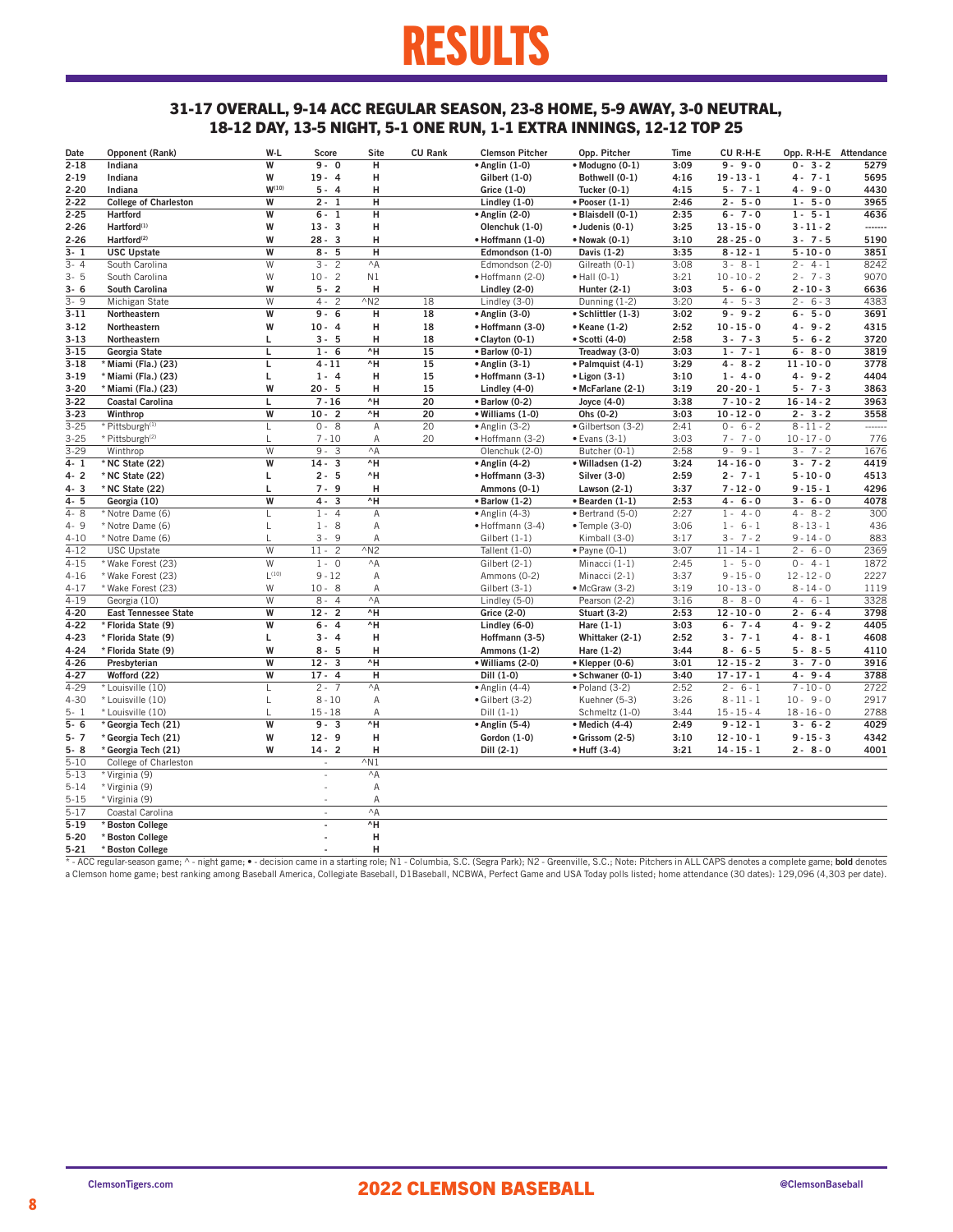### RESULTS

### 31-17 OVERALL, 9-14 ACC REGULAR SEASON, 23-8 HOME, 5-9 AWAY, 3-0 NEUTRAL, 18-12 DAY, 13-5 NIGHT, 5-1 ONE RUN, 1-1 EXTRA INNINGS, 12-12 TOP 25

| Date     | Opponent (Rank)              | W-L        | <b>Score</b>             | Site           | <b>CU Rank</b> | <b>Clemson Pitcher</b> | Opp. Pitcher             | Time | CU R-H-E         | Opp. R-H-E Attendance |         |
|----------|------------------------------|------------|--------------------------|----------------|----------------|------------------------|--------------------------|------|------------------|-----------------------|---------|
| $2 - 18$ | Indiana                      | W          | $9 - 0$                  | н              |                | $\bullet$ Anglin (1-0) | · Modugno (0-1)          | 3:09 | $9 - 9 - 0$      | $0 - 3 - 2$           | 5279    |
| $2 - 19$ | Indiana                      | W          | $19 - 4$                 | н              |                | Gilbert (1-0)          | Bothwell (0-1)           | 4:16 | $19 - 13 - 1$    | $4 - 7 - 1$           | 5695    |
| $2 - 20$ | Indiana                      | $W^{(10)}$ | $5 - 4$                  | Н              |                | Grice (1-0)            | Tucker $(0-1)$           | 4:15 | $5 - 7 - 1$      | $4 - 9 - 0$           | 4430    |
| $2 - 22$ | <b>College of Charleston</b> | W          | $2 - 1$                  | н              |                | Lindley (1-0)          | $\bullet$ Pooser $(1-1)$ | 2:46 | $2 - 5 - 0$      | $1 - 5 - 0$           | 3965    |
| $2 - 25$ | <b>Hartford</b>              | W          | $6 - 1$                  | н              |                | • Anglin (2-0)         | · Blaisdell (0-1)        | 2:35 | $6 - 7 - 0$      | $1 - 5 - 1$           | 4636    |
| $2 - 26$ | Hartford <sup>(1)</sup>      | W          | $13 - 3$                 | Н              |                | Olenchuk (1-0)         | · Judenis (0-1)          | 3:25 | $13 - 15 - 0$    | $3 - 11 - 2$          | ------- |
| $2 - 26$ | Hartford <sup>(2)</sup>      | W          | $28 - 3$                 | н              |                | · Hoffmann (1-0)       | • Nowak (0-1)            | 3:10 | $28 - 25 - 0$    | $3 - 7 - 5$           | 5190    |
| $3 - 1$  | <b>USC Upstate</b>           | W          | $8 - 5$                  | Н              |                | Edmondson (1-0)        | Davis (1-2)              | 3:35 | $8 - 12 - 1$     | $5 - 10 - 0$          | 3851    |
| $3 - 4$  | South Carolina               | W          | $3 - 2$                  | $^{\wedge}$ A  |                | Edmondson (2-0)        | Gilreath (0-1)           | 3:08 | $3 - 8 - 1$      | $2 - 4 - 1$           | 8242    |
| $3 - 5$  | South Carolina               | W          | $10 - 2$                 | N1             |                | · Hoffmann (2-0)       | $\bullet$ Hall (0-1)     | 3:21 | $10 - 10 - 2$    | $2 - 7 - 3$           | 9070    |
| $3 - 6$  | South Carolina               | W          | $5 - 2$                  | н              |                | Lindley (2-0)          | Hunter $(2-1)$           | 3:03 | $5 - 6 - 0$      | $2 - 10 - 3$          | 6636    |
| $3 - 9$  | Michigan State               | W          | $4 -$<br>$\overline{c}$  | $^{\wedge}$ N2 | 18             | Lindley (3-0)          | Dunning (1-2)            | 3:20 | $5 - 3$<br>$4 -$ | $2 -$<br>$6 - 3$      | 4383    |
| $3 - 11$ | Northeastern                 | W          | $9 - 6$                  | н              | 18             | • Anglin (3-0)         | · Schlittler (1-3)       | 3:02 | $9 - 9 - 2$      | $6 - 5 - 0$           | 3691    |
| $3 - 12$ | Northeastern                 | W          | $10 - 4$                 | н              | 18             | · Hoffmann (3-0)       | • Keane (1-2)            | 2:52 | $10 - 15 - 0$    | $4 - 9 - 2$           | 4315    |
| $3 - 13$ | Northeastern                 | Г          | $3 - 5$                  | н              | 18             | • Clayton (0-1)        | • Scotti (4-0)           | 2:58 | $3 - 7 - 3$      | $5 - 6 - 2$           | 3720    |
| $3 - 15$ | Georgia State                | L          | $1 - 6$                  | ^H             | 15             | $\bullet$ Barlow (0-1) | Treadway (3-0)           | 3:03 | $1 - 7 - 1$      | $6 - 8 - 0$           | 3819    |
| $3 - 18$ | * Miami (Fla.) (23)          | Г          | $4 - 11$                 | ۸H             | 15             | $\bullet$ Anglin (3-1) | • Palmquist (4-1)        | 3:29 | $4 - 8 - 2$      | $11 - 10 - 0$         | 3778    |
| $3 - 19$ | * Miami (Fla.) (23)          | Г          | $1 - 4$                  | н              | 15             | • Hoffmann (3-1)       | $\bullet$ Ligon (3-1)    | 3:10 | $1 - 4 - 0$      | $4 - 9 - 2$           | 4404    |
| $3 - 20$ | * Miami (Fla.) (23)          | W          | $20 - 5$                 | н              | 15             | Lindley (4-0)          | • McFarlane (2-1)        | 3:19 | $20 - 20 - 1$    | $5 - 7 - 3$           | 3863    |
| $3 - 22$ | <b>Coastal Carolina</b>      | Г          | $7 - 16$                 | ۸H             | 20             | · Barlow (0-2)         | Joyce (4-0)              | 3:38 | $7 - 10 - 2$     | $16 - 14 - 2$         | 3963    |
| $3 - 23$ | Winthrop                     | W          | $10 -$<br>$\overline{2}$ | ۸H             | 20             | · Williams (1-0)       | Ohs (0-2)                | 3:03 | $10 - 12 - 0$    | $2 - 3 - 2$           | 3558    |
| $3 - 25$ | * Pittsburgh <sup>(1)</sup>  | L          | $0 - 8$                  | Α              | 20             | $\bullet$ Anglin (3-2) | · Gilbertson (3-2)       | 2:41 | $0 - 6 - 2$      | $8 - 11 - 2$          | ------  |
| $3 - 25$ | * Pittsburgh <sup>(2)</sup>  | L          | $7 - 10$                 | A              | 20             | • Hoffmann (3-2)       | $\bullet$ Evans (3-1)    | 3:03 | $7 - 7 - 0$      | $10 - 17 - 0$         | 776     |
| $3 - 29$ | Winthrop                     | W          | $9 - 3$                  | $^{\wedge}$ A  |                | Olenchuk (2-0)         | Butcher (0-1)            | 2:58 | $9 - 9 - 1$      | $3 - 7 - 2$           | 1676    |
| $4 - 1$  | * NC State (22)              | W          | $14 - 3$                 | ۸H             |                | $\bullet$ Anglin (4-2) | · Willadsen (1-2)        | 3:24 | $14 - 16 - 0$    | $3 - 7 - 2$           | 4419    |
| $4 - 2$  | * NC State (22)              | Г          | $2 - 5$                  | ^H             |                | • Hoffmann (3-3)       | <b>Silver (3-0)</b>      | 2:59 | $2 - 7 - 1$      | $5 - 10 - 0$          | 4513    |
| $4 - 3$  | * NC State (22)              | L          | $7 - 9$                  | Н              |                | Ammons (0-1)           | Lawson (2-1)             | 3:37 | $7 - 12 - 0$     | $9 - 15 - 1$          | 4296    |
| $4 - 5$  | Georgia (10)                 | W          | $4 - 3$                  | ۸H             |                | $\bullet$ Barlow (1-2) | $\bullet$ Bearden (1-1)  | 2:53 | $4 - 6 - 0$      | $3 - 6 - 0$           | 4078    |
| $4 - 8$  | * Notre Dame (6)             | L          | $1 - 4$                  | A              |                | $\bullet$ Anglin (4-3) | · Bertrand (5-0)         | 2:27 | $1 - 4 - 0$      | $4 - 8 - 2$           | 300     |
| $4 - 9$  | * Notre Dame (6)             | L          | $1 - 8$                  | А              |                | · Hoffmann (3-4)       | $\bullet$ Temple (3-0)   | 3:06 | $1 - 6 - 1$      | $8 - 13 - 1$          | 436     |
| $4 - 10$ | * Notre Dame (6)             | L          | $3 - 9$                  | A              |                | Gilbert (1-1)          | Kimball (3-0)            | 3:17 | $3 - 7 - 2$      | $9 - 14 - 0$          | 883     |
| $4 - 12$ | <b>USC Upstate</b>           | W          | $11 - 2$                 | $^{\wedge}$ N2 |                | Tallent (1-0)          | $\bullet$ Payne (0-1)    | 3:07 | $11 - 14 - 1$    | $2 - 6 - 0$           | 2369    |
| $4 - 15$ | * Wake Forest (23)           | W          | $1 - 0$                  | $^{\wedge}$ A  |                | Gilbert (2-1)          | Minacci (1-1)            | 2:45 | $1 - 5 - 0$      | $0 - 4 - 1$           | 1872    |
| $4 - 16$ | * Wake Forest (23)           | $L^{(10)}$ | $9 - 12$                 | Α              |                | Ammons (0-2)           | Minacci (2-1)            | 3:37 | $9 - 15 - 0$     | $12 - 12 - 0$         | 2227    |
| $4 - 17$ | * Wake Forest (23)           | W          | $10 - 8$                 | A              |                | Gilbert (3-1)          | $•$ McGraw $(3-2)$       | 3:19 | $10 - 13 - 0$    | $8 - 14 - 0$          | 1119    |
| $4 - 19$ | Georgia (10)                 | W          | $8 - 4$                  | $^{\wedge}$ A  |                | Lindley (5-0)          | Pearson (2-2)            | 3:16 | $8 - 8 - 0$      | $4 - 6 - 1$           | 3328    |
| $4 - 20$ | <b>East Tennessee State</b>  | W          | $12 - 2$                 | ۸H             |                | Grice (2-0)            | <b>Stuart (3-2)</b>      | 2:53 | $12 - 10 - 0$    | $2 - 6 - 4$           | 3798    |
| $4 - 22$ | * Florida State (9)          | W          | $6 - 4$                  | ۸H             |                | Lindley (6-0)          | Hare $(1-1)$             | 3:03 | $6 - 7 - 4$      | $4 - 9 - 2$           | 4405    |
| $4 - 23$ | * Florida State (9)          | Г          | $3 - 4$                  | Н              |                | Hoffmann (3-5)         | Whittaker (2-1)          | 2:52 | $3 - 7 - 1$      | $4 - 8 - 1$           | 4608    |
| $4 - 24$ | * Florida State (9)          | W          | $8 - 5$                  | н              |                | Ammons (1-2)           | Hare (1-2)               | 3:44 | $8 - 6 - 5$      | $5 - 8 - 5$           | 4110    |
| $4 - 26$ | Presbyterian                 | W          | $12 - 3$                 | ^H             |                | · Williams (2-0)       | • Klepper (0-6)          | 3:01 | $12 - 15 - 2$    | $3 - 7 - 0$           | 3916    |
| $4 - 27$ | Wofford (22)                 | W          | $17 - 4$                 | н              |                | Dill (1-0)             | • Schwaner (0-1)         | 3:40 | $17 - 17 - 1$    | $4 - 9 - 4$           | 3788    |
| $4 - 29$ | * Louisville (10)            | L          | $2 - 7$                  | $^{\wedge}$ A  |                | $\bullet$ Anglin (4-4) | $\bullet$ Poland (3-2)   | 2:52 | $2 - 6 - 1$      | $7 - 10 - 0$          | 2722    |
| $4 - 30$ | * Louisville (10)            | L          | $8 - 10$                 | Α              |                | · Gilbert (3-2)        | Kuehner (5-3)            | 3:26 | $8 - 11 - 1$     | $10 - 9 - 0$          | 2917    |
| $5 - 1$  | * Louisville (10)            | L          | $15 - 18$                | Α              |                | $Dill(1-1)$            | Schmeltz (1-0)           | 3:44 | $15 - 15 - 4$    | $18 - 16 - 0$         | 2788    |
| $5 - 6$  | * Georgia Tech (21)          | W          | $9 - 3$                  | ۸H             |                | $\bullet$ Anglin (5-4) | • Medich (4-4)           | 2:49 | $9 - 12 - 1$     | $3 - 6 - 2$           | 4029    |
| $5 - 7$  | * Georgia Tech (21)          | W          | $12 - 9$                 | Н              |                | Gordon (1-0)           | • Grissom (2-5)          | 3:10 | $12 - 10 - 1$    | $9 - 15 - 3$          | 4342    |
| $5 - 8$  | * Georgia Tech (21)          | W          | $14 - 2$                 | Н              |                | Dill (2-1)             | • Huff (3-4)             | 3:21 | $14 - 15 - 1$    | $2 - 8 - 0$           | 4001    |
| $5 - 10$ | College of Charleston        |            | $\bar{z}$                | $\wedge$ N1    |                |                        |                          |      |                  |                       |         |
| $5 - 13$ | * Virginia (9)               |            | ×,                       | $^{\wedge}$ A  |                |                        |                          |      |                  |                       |         |
| $5 - 14$ | * Virginia (9)               |            |                          | A              |                |                        |                          |      |                  |                       |         |
| $5 - 15$ | * Virginia (9)               |            |                          | А              |                |                        |                          |      |                  |                       |         |
| $5 - 17$ | Coastal Carolina             |            | ×.                       | $^{\wedge}$ A  |                |                        |                          |      |                  |                       |         |
| $5 - 19$ | * Boston College             |            |                          | ۸H             |                |                        |                          |      |                  |                       |         |
| $5 - 20$ | * Boston College             |            |                          | Н              |                |                        |                          |      |                  |                       |         |
| $5 - 21$ | * Boston College             |            |                          | H              |                |                        |                          |      |                  |                       |         |

5-21 \*Boston College<br>\* - ACC regular-season game; ^ - night game; • - decision came in a starting role; N1 - Columbia, S.C. (Segra Park); N2 - Greenville, S.C.; Note: Pitchers in ALL CAPS denotes a complete game; bold deno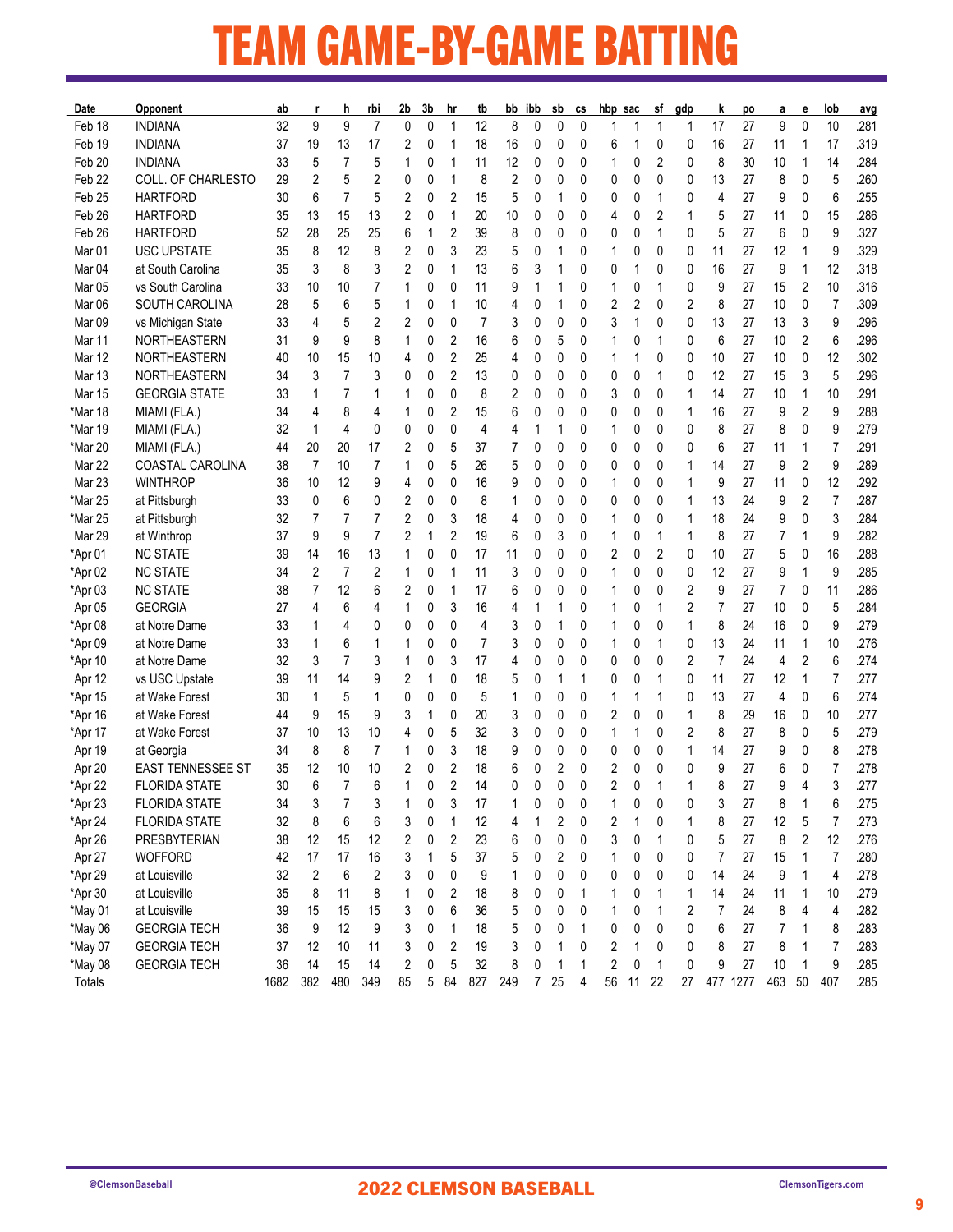### TEAM GAME-BY-GAME BATTING <u> 1989 - Johann Barnett, mars et al. 1989 - Johann Barnett, mars et al. 1989 - Johann Barnett, mars et al. 19</u>

| Date              | Opponent                 | ab   |     | h              | rbi                     | 2b           | 3b          | hr             | tb  | bb     | ibb            | sb | СS | hbp_sac |    | sf     | gdp | k              | po       | а              | е            | lob            | avg  |
|-------------------|--------------------------|------|-----|----------------|-------------------------|--------------|-------------|----------------|-----|--------|----------------|----|----|---------|----|--------|-----|----------------|----------|----------------|--------------|----------------|------|
| Feb 18            | <b>INDIANA</b>           | 32   | 9   | 9              | $\overline{7}$          | $\mathbf{0}$ | $\mathbf 0$ | 1              | 12  | 8      | 0              | 0  | 0  | 1       | 1  | 1      | 1   | 17             | 27       | 9              | $\mathbf{0}$ | 10             | .281 |
| Feb 19            | <b>INDIANA</b>           | 37   | 19  | 13             | 17                      | 2            | 0           | 1              | 18  | 16     | 0              | 0  | 0  | 6       |    | 0      | 0   | 16             | 27       | 11             | 1            | 17             | .319 |
| Feb 20            | <b>INDIANA</b>           | 33   | 5   | 7              | 5                       | 1            | 0           | 1              | 11  | 12     | 0              | 0  | 0  | 1       | 0  | 2      | 0   | 8              | 30       | 10             | 1            | 14             | .284 |
| Feb 22            | COLL. OF CHARLESTO       | 29   | 2   | 5              | 2                       | 0            | 0           | 1              | 8   | 2      | 0              | 0  | 0  | 0       | 0  | 0      | 0   | 13             | 27       | 8              | 0            | 5              | .260 |
| Feb 25            | <b>HARTFORD</b>          | 30   | 6   | $\overline{7}$ | 5                       | 2            | 0           | 2              | 15  | 5      | 0              | 1  | 0  | 0       | 0  | 1      | 0   | 4              | 27       | 9              | 0            | 6              | .255 |
| Feb 26            | <b>HARTFORD</b>          | 35   | 13  | 15             | 13                      | 2            | 0           | 1              | 20  | 10     | 0              | 0  | 0  | 4       | 0  | 2      | 1   | 5              | 27       | 11             | 0            | 15             | .286 |
| Feb 26            | <b>HARTFORD</b>          | 52   | 28  | 25             | 25                      | 6            | 1           | $\overline{c}$ | 39  | 8      | 0              | 0  | 0  | 0       | 0  | 1      | 0   | 5              | 27       | 6              | 0            | 9              | .327 |
| Mar 01            | <b>USC UPSTATE</b>       | 35   | 8   | 12             | 8                       | 2            | 0           | 3              | 23  | 5      | 0              |    | 0  | 1       | 0  | 0      | 0   | 11             | 27       | 12             | 1            | 9              | .329 |
| Mar <sub>04</sub> | at South Carolina        | 35   | 3   | 8              | 3                       | 2            | 0           | 1              | 13  | 6      | 3              |    | 0  | 0       |    | 0      | 0   | 16             | 27       | 9              | 1            | 12             | .318 |
| Mar 05            | vs South Carolina        | 33   | 10  | 10             | 7                       | 1            | 0           | 0              | 11  | 9      | 1              |    | 0  | 1       | 0  | 1      | 0   | 9              | 27       | 15             | 2            | 10             | .316 |
| Mar 06            | SOUTH CAROLINA           | 28   | 5   | 6              | 5                       | 1            | 0           | 1              | 10  | 4      | 0              |    | 0  | 2       | 2  | 0      | 2   | 8              | 27       | 10             | $\mathbf{0}$ | $\overline{7}$ | .309 |
| Mar 09            | vs Michigan State        | 33   | 4   | 5              | 2                       | 2            | 0           | 0              | 7   | 3      | 0              | 0  | 0  | 3       | 1  | 0      | 0   | 13             | 27       | 13             | 3            | 9              | .296 |
| Mar 11            | NORTHEASTERN             | 31   | 9   | 9              | 8                       | 1            | 0           | $\overline{c}$ | 16  | 6      | 0              | 5  | 0  | 1       | 0  | 1      | 0   | 6              | 27       | 10             | 2            | 6              | .296 |
| Mar 12            | NORTHEASTERN             | 40   | 10  | 15             | 10                      | 4            | 0           | $\overline{c}$ | 25  | 4      | 0              | 0  | 0  | 1       |    | 0      | 0   | 10             | 27       | 10             | 0            | 12             | .302 |
| Mar 13            | NORTHEASTERN             | 34   | 3   | $\overline{7}$ | 3                       | 0            | 0           | 2              | 13  | 0      | 0              | 0  | 0  | 0       | 0  | 1      | 0   | 12             | 27       | 15             | 3            | 5              | .296 |
| Mar 15            | <b>GEORGIA STATE</b>     | 33   | 1   | $\overline{7}$ | 1                       | 1            | 0           | 0              | 8   | 2      | 0              | 0  | 0  | 3       | 0  | 0      | 1   | 14             | 27       | 10             | 1            | 10             | .291 |
| *Mar 18           | MIAMI (FLA.)             | 34   | 4   | 8              | 4                       | 1            | 0           | 2              | 15  | 6      | 0              | 0  | 0  | 0       | 0  | 0      | 1   | 16             | 27       | 9              | 2            | 9              | .288 |
| *Mar 19           | MIAMI (FLA.)             | 32   | 1   | 4              | 0                       | 0            | 0           | 0              | 4   | 4      | 1              |    | 0  | 1       | 0  | 0      | 0   | 8              | 27       | 8              | 0            | 9              | .279 |
| *Mar 20           | MIAMI (FLA.)             | 44   | 20  | 20             | 17                      | 2            | 0           | 5              | 37  | 7      | 0              | 0  | 0  | 0       | 0  | 0      | 0   | 6              | 27       | 11             | 1            | 7              | .291 |
| Mar 22            | COASTAL CAROLINA         | 38   | 7   | 10             | 7                       | 1            | 0           | 5              | 26  |        |                | 0  | 0  |         |    |        | 1   | 14             | 27       | 9              | 2            | 9              | .289 |
|                   |                          |      |     |                |                         |              | 0           | 0              |     | 5<br>9 | 0              |    |    | 0       | 0  | 0<br>0 |     |                |          | 11             |              |                | .292 |
| Mar 23            | <b>WINTHROP</b>          | 36   | 10  | 12             | 9                       | 4            |             |                | 16  |        | 0              | 0  | 0  | 1       | 0  |        | 1   | 9              | 27       |                | 0            | 12             |      |
| *Mar 25           | at Pittsburgh            | 33   | 0   | 6              | 0                       | 2            | 0           | 0              | 8   | 1      | 0              | 0  | 0  | 0       | 0  | 0      | 1   | 13             | 24       | 9              | 2            | $\overline{7}$ | .287 |
| *Mar 25           | at Pittsburgh            | 32   | 7   | 7              | 7                       | 2            | 0           | 3              | 18  | 4      | 0              | 0  | 0  | 1       | 0  | 0      | 1   | 18             | 24       | 9              | 0            | 3              | .284 |
| Mar 29            | at Winthrop              | 37   | 9   | 9              | $\overline{7}$          | 2            | 1           | $\overline{c}$ | 19  | 6      | 0              | 3  | 0  | 1       | 0  | 1      | 1   | 8              | 27       | $\overline{7}$ | 1            | 9              | .282 |
| *Apr 01           | <b>NC STATE</b>          | 39   | 14  | 16             | 13                      | 1            | 0           | 0              | 17  | 11     | 0              | 0  | 0  | 2       | 0  | 2      | 0   | 10             | 27       | 5              | 0            | 16             | .288 |
| *Apr 02           | <b>NC STATE</b>          | 34   | 2   | $\overline{7}$ | $\overline{2}$          | 1            | 0           | 1              | 11  | 3      | 0              | 0  | 0  | 1       | 0  | 0      | 0   | 12             | 27       | 9              | 1            | 9              | .285 |
| *Apr 03           | <b>NC STATE</b>          | 38   | 7   | 12             | 6                       | 2            | 0           | 1              | 17  | 6      | 0              | 0  | 0  | 1       | 0  | 0      | 2   | 9              | 27       | $\overline{7}$ | 0            | 11             | .286 |
| Apr 05            | <b>GEORGIA</b>           | 27   | 4   | 6              | 4                       | 1            | 0           | 3              | 16  | 4      | 1              |    | 0  | 1       | 0  | 1      | 2   | 7              | 27       | 10             | 0            | 5              | .284 |
| *Apr 08           | at Notre Dame            | 33   |     | 4              | 0                       | 0            | 0           | 0              | 4   | 3      | 0              |    | 0  | 1       | 0  | 0      | 1   | 8              | 24       | 16             | 0            | 9              | .279 |
| *Apr 09           | at Notre Dame            | 33   |     | 6              | 1                       |              | 0           | 0              | 7   | 3      | 0              | 0  | 0  | 1       | 0  | 1      | 0   | 13             | 24       | 11             | 1            | 10             | .276 |
| *Apr 10           | at Notre Dame            | 32   | 3   | $\overline{7}$ | 3                       | 1            | 0           | 3              | 17  | 4      | 0              | 0  | 0  | 0       | 0  | 0      | 2   | $\overline{7}$ | 24       | $\overline{4}$ | 2            | 6              | .274 |
| Apr 12            | vs USC Upstate           | 39   | 11  | 14             | 9                       | 2            | 1           | 0              | 18  | 5      | 0              |    | 1  | 0       | 0  |        | 0   | 11             | 27       | 12             | 1            | $\overline{7}$ | .277 |
| *Apr 15           | at Wake Forest           | 30   | 1   | 5              | 1                       | 0            | 0           | 0              | 5   | 1      | 0              | 0  | 0  | 1       |    | 1      | 0   | 13             | 27       | $\overline{4}$ | 0            | 6              | .274 |
| *Apr 16           | at Wake Forest           | 44   | 9   | 15             | 9                       | 3            | 1           | 0              | 20  | 3      | 0              | 0  | 0  | 2       | 0  | 0      | 1   | 8              | 29       | 16             | 0            | 10             | .277 |
| *Apr 17           | at Wake Forest           | 37   | 10  | 13             | 10                      | 4            | 0           | 5              | 32  | 3      | 0              | 0  | 0  | 1       |    | 0      | 2   | 8              | 27       | 8              | 0            | 5              | .279 |
| Apr 19            | at Georgia               | 34   | 8   | 8              | 7                       | 1            | 0           | 3              | 18  | 9      | 0              | 0  | 0  | 0       | 0  | 0      | 1   | 14             | 27       | 9              | 0            | 8              | .278 |
| Apr 20            | <b>EAST TENNESSEE ST</b> | 35   | 12  | 10             | 10                      | 2            | 0           | 2              | 18  | 6      | 0              | 2  | 0  | 2       | 0  | 0      | 0   | 9              | 27       | 6              | 0            | 7              | .278 |
| *Apr 22           | <b>FLORIDA STATE</b>     | 30   | 6   | 7              | 6                       |              | 0           | $\overline{2}$ | 14  | 0      | O              | U  | 0  | 2       | 0  |        | 1   | 8              | 27       | 9              | 4            | 3              | .277 |
| *Apr 23           | <b>FLORIDA STATE</b>     | 34   | 3   | 7              | 3                       | 1            | 0           | 3              | 17  | 1      | 0              | 0  | 0  | 1       | 0  | 0      | 0   | 3              | 27       | 8              | 1            | 6              | .275 |
| *Apr 24           | <b>FLORIDA STATE</b>     | 32   | 8   | 6              | 6                       | 3            | 0           | 1              | 12  | 4      | 1              | 2  | 0  | 2       | 1  | 0      | 1   | 8              | 27       | 12             | 5            | $\overline{7}$ | .273 |
| Apr 26            | PRESBYTERIAN             | 38   | 12  | 15             | 12                      | 2            | 0           | 2              | 23  | 6      | 0              | 0  | 0  | 3       | 0  | 1      | 0   | 5              | 27       | 8              | 2            | 12             | .276 |
| Apr 27            | <b>WOFFORD</b>           | 42   | 17  | 17             | 16                      | 3            | 1           | 5              | 37  | 5      | 0              | 2  | 0  | 1       | 0  | 0      | 0   | 7              | 27       | 15             | 1            | $\overline{7}$ | .280 |
| *Apr 29           | at Louisville            | 32   | 2   | 6              | $\overline{\mathbf{c}}$ | 3            | 0           | 0              | 9   | 1      | 0              | 0  | 0  | 0       | 0  | 0      | 0   | 14             | 24       | 9              | 1            | 4              | .278 |
| *Apr 30           | at Louisville            | 35   | 8   | 11             | 8                       |              | 0           | 2              | 18  | 8      | 0              | 0  | 1  | 1       | 0  | 1      | 1   | 14             | 24       | 11             | 1            | 10             | .279 |
| *May 01           | at Louisville            | 39   | 15  | 15             | 15                      | 3            | 0           | 6              | 36  | 5      | 0              | 0  | 0  | 1       | 0  | 1      | 2   | 7              | 24       | 8              | 4            | 4              | .282 |
| *May 06           | <b>GEORGIA TECH</b>      | 36   | 9   | 12             | 9                       | 3            | 0           | 1              | 18  | 5      | 0              | 0  | 1  | 0       | 0  | 0      | 0   | 6              | 27       | 7              | 1            | 8              | .283 |
| *May 07           | <b>GEORGIA TECH</b>      | 37   | 12  | 10             | 11                      | 3            | 0           | 2              | 19  | 3      | 0              | 1  | 0  | 2       | 1  | 0      | 0   | 8              | 27       | 8              | 1            | 7              | .283 |
| *May 08           | <b>GEORGIA TECH</b>      | 36   | 14  | 15             | 14                      | 2            | 0           | 5              | 32  | 8      | 0              | 1  | 1  | 2       | 0  | 1      | 0   | 9              | 27       | 10             | -1           | 9              | .285 |
| Totals            |                          | 1682 | 382 | 480            | 349                     | 85           | $\mathbf 5$ | 84             | 827 | 249    | $\overline{7}$ | 25 | 4  | 56      | 11 | 22     | 27  |                | 477 1277 | 463            | $50\,$       | 407            | .285 |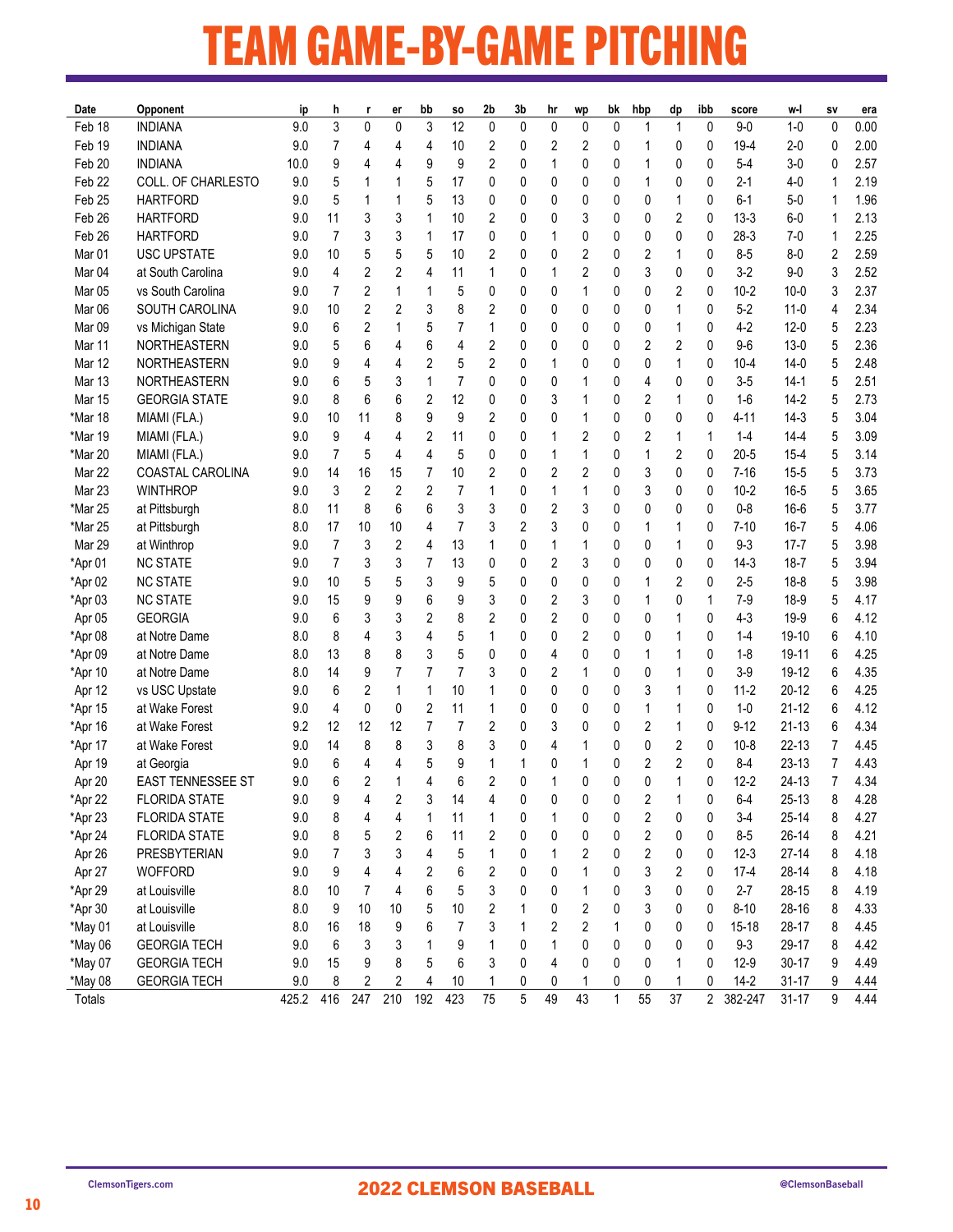### TEAM GAME-BY-GAME PITCHING

| 3<br>12<br>0<br>0<br>3<br>0<br>0<br>0<br>$1-0$<br>Feb 18<br><b>INDIANA</b><br>9.0<br>0<br>0<br>$\mathbf{1}$<br>0<br>$9-0$<br>0<br>1<br>Feb 19<br><b>INDIANA</b><br>7<br>2<br>2<br>$19 - 4$<br>9.0<br>4<br>10<br>0<br>2<br>0<br>0<br>$2 - 0$<br>0<br>4<br>0<br>4<br>9<br>Feb 20<br><b>INDIANA</b><br>9<br>9<br>2<br>$5-4$<br>$3-0$<br>0<br>1<br>0<br>0<br>0<br>0<br>0<br>10.0<br>4<br>Feb <sub>22</sub><br>COLL. OF CHARLESTO<br>5<br>5<br>17<br>$2 - 1$<br>9.0<br>0<br>0<br>0<br>0<br>0<br>0<br>0<br>$4 - 0$<br>1<br>1<br>Feb <sub>25</sub><br><b>HARTFORD</b><br>5<br>5<br>13<br>1<br>0<br>$6 - 1$<br>$5-0$<br>1<br>9.0<br>0<br>0<br>0<br>0<br>0<br>0<br>2<br>Feb 26<br>11<br>3<br>1<br>2<br>$13-3$<br>1<br><b>HARTFORD</b><br>9.0<br>3<br>10<br>0<br>3<br>0<br>0<br>0<br>$6-0$<br>0<br>$\overline{7}$<br>Feb 26<br><b>HARTFORD</b><br>3<br>3<br>$\mathbf{1}$<br>0<br>$28-3$<br>1<br>9.0<br>17<br>0<br>0<br>0<br>0<br>0<br>0<br>$7-0$<br>1<br>$\overline{2}$<br>Mar 01<br><b>USC UPSTATE</b><br>10<br>5<br>5<br>5<br>10<br>2<br>2<br>2<br>1<br>$8 - 5$<br>$8-0$<br>9.0<br>0<br>0<br>0<br>0<br>2<br>3<br>Mar <sub>04</sub><br>at South Carolina<br>4<br>2<br>4<br>11<br>1<br>2<br>3<br>0<br>$3-2$<br>$9-0$<br>9.0<br>0<br>0<br>0<br>1<br>2<br>Mar <sub>05</sub><br>vs South Carolina<br>7<br>5<br>2<br>$10 - 2$<br>3<br>9.0<br>1<br>$\mathbf 1$<br>0<br>0<br>0<br>1<br>0<br>0<br>0<br>$10 - 0$<br>2<br>2.34<br>Mar <sub>06</sub><br>SOUTH CAROLINA<br>3<br>8<br>2<br>1<br>$5 - 2$<br>4<br>9.0<br>10<br>2<br>0<br>0<br>0<br>0<br>0<br>11-0<br>0<br>2<br>2.23<br>Mar <sub>09</sub><br>6<br>5<br>7<br>1<br>$4 - 2$<br>$12 - 0$<br>vs Michigan State<br>9.0<br>1<br>0<br>0<br>0<br>0<br>0<br>5<br>0<br>2.36<br>Mar 11<br>NORTHEASTERN<br>5<br>6<br>6<br>4<br>2<br>2<br>$13-0$<br>5<br>9.0<br>2<br>0<br>0<br>0<br>0<br>9-6<br>4<br>0<br>$\mathbf{1}$<br>2.48<br>Mar 12<br>NORTHEASTERN<br>2<br>5<br>2<br>$10 - 4$<br>5<br>9.0<br>9<br>4<br>0<br>0<br>0<br>0<br>0<br>14-0<br>4<br>1<br>2.51<br>Mar 13<br>NORTHEASTERN<br>1<br>7<br>0<br>$3-5$<br>5<br>9.0<br>6<br>5<br>3<br>0<br>0<br>0<br>4<br>0<br>$14-1$<br>0<br>2.73<br>Mar 15<br><b>GEORGIA STATE</b><br>6<br>6<br>2<br>12<br>2<br>$\mathbf{1}$<br>$1-6$<br>5<br>9.0<br>8<br>0<br>0<br>3<br>0<br>0<br>$14-2$<br>1<br>9<br>9<br>$4 - 11$<br>5<br>3.04<br>*Mar 18<br>11<br>2<br>0<br>0<br>$14-3$<br>MIAMI (FLA.)<br>9.0<br>10<br>8<br>0<br>0<br>0<br>0<br>1<br>5<br>3.09<br>9<br>2<br>11<br>2<br>2<br>$1 - 4$<br>*Mar 19<br>MIAMI (FLA.)<br>9.0<br>4<br>0<br>0<br>1<br>1<br>$14 - 4$<br>4<br>1<br>0<br>4<br>$\overline{4}$<br>5<br>*Mar 20<br>7<br>5<br>5<br>1<br>2<br>0<br>$20 - 5$<br>$15 - 4$<br>3.14<br>MIAMI (FLA.)<br>9.0<br>0<br>0<br>1<br>0<br>1<br>2<br>3.73<br>Mar 22<br>COASTAL CAROLINA<br>14<br>16<br>10<br>2<br>2<br>3<br>0<br>$7 - 16$<br>5<br>9.0<br>15<br>7<br>0<br>0<br>0<br>$15 - 5$<br>3<br>$\overline{2}$<br>Mar 23<br><b>WINTHROP</b><br>2<br>2<br>7<br>3<br>$10 - 2$<br>$16 - 5$<br>5<br>3.65<br>9.0<br>0<br>0<br>0<br>0<br>1<br>1<br>1<br>8<br>6<br>6<br>3<br>*Mar 25<br>11<br>3<br>0<br>2<br>3<br>0<br>0<br>0<br>$0 - 8$<br>$16 - 6$<br>5<br>3.77<br>at Pittsburgh<br>8.0<br>0<br>*Mar 25<br>17<br>10<br>7<br>3<br>2<br>3<br>0<br>5<br>4.06<br>at Pittsburgh<br>8.0<br>10<br>4<br>0<br>1<br>0<br>$7 - 10$<br>$16 - 7$<br>1<br>$\overline{7}$<br>2<br>13<br>1<br>Mar 29<br>3<br>4<br>0<br>$\mathbf{1}$<br>0<br>$9 - 3$<br>5<br>3.98<br>at Winthrop<br>9.0<br>1<br>1<br>0<br>0<br>$17 - 7$ | Date | Opponent | ip | h | er | bb | SO. | 2b | 3b | hr | wp | bk | hbp | dp | ibb | score | w-l | SV | era          |
|----------------------------------------------------------------------------------------------------------------------------------------------------------------------------------------------------------------------------------------------------------------------------------------------------------------------------------------------------------------------------------------------------------------------------------------------------------------------------------------------------------------------------------------------------------------------------------------------------------------------------------------------------------------------------------------------------------------------------------------------------------------------------------------------------------------------------------------------------------------------------------------------------------------------------------------------------------------------------------------------------------------------------------------------------------------------------------------------------------------------------------------------------------------------------------------------------------------------------------------------------------------------------------------------------------------------------------------------------------------------------------------------------------------------------------------------------------------------------------------------------------------------------------------------------------------------------------------------------------------------------------------------------------------------------------------------------------------------------------------------------------------------------------------------------------------------------------------------------------------------------------------------------------------------------------------------------------------------------------------------------------------------------------------------------------------------------------------------------------------------------------------------------------------------------------------------------------------------------------------------------------------------------------------------------------------------------------------------------------------------------------------------------------------------------------------------------------------------------------------------------------------------------------------------------------------------------------------------------------------------------------------------------------------------------------------------------------------------------------------------------------------------------------------------------------------------------------------------------------------------------------------------------------------------------------------------------------------------------------------------------------------------------------------------------------------------------------------------------------------------------------------------------------------------------------------------------------------------------------------------------------------------------------------------------------------------------------------------------------------------------------------------------------------------------------------------------------------|------|----------|----|---|----|----|-----|----|----|----|----|----|-----|----|-----|-------|-----|----|--------------|
|                                                                                                                                                                                                                                                                                                                                                                                                                                                                                                                                                                                                                                                                                                                                                                                                                                                                                                                                                                                                                                                                                                                                                                                                                                                                                                                                                                                                                                                                                                                                                                                                                                                                                                                                                                                                                                                                                                                                                                                                                                                                                                                                                                                                                                                                                                                                                                                                                                                                                                                                                                                                                                                                                                                                                                                                                                                                                                                                                                                                                                                                                                                                                                                                                                                                                                                                                                                                                                                                |      |          |    |   |    |    |     |    |    |    |    |    |     |    |     |       |     |    | 0.00         |
|                                                                                                                                                                                                                                                                                                                                                                                                                                                                                                                                                                                                                                                                                                                                                                                                                                                                                                                                                                                                                                                                                                                                                                                                                                                                                                                                                                                                                                                                                                                                                                                                                                                                                                                                                                                                                                                                                                                                                                                                                                                                                                                                                                                                                                                                                                                                                                                                                                                                                                                                                                                                                                                                                                                                                                                                                                                                                                                                                                                                                                                                                                                                                                                                                                                                                                                                                                                                                                                                |      |          |    |   |    |    |     |    |    |    |    |    |     |    |     |       |     |    | 2.00         |
|                                                                                                                                                                                                                                                                                                                                                                                                                                                                                                                                                                                                                                                                                                                                                                                                                                                                                                                                                                                                                                                                                                                                                                                                                                                                                                                                                                                                                                                                                                                                                                                                                                                                                                                                                                                                                                                                                                                                                                                                                                                                                                                                                                                                                                                                                                                                                                                                                                                                                                                                                                                                                                                                                                                                                                                                                                                                                                                                                                                                                                                                                                                                                                                                                                                                                                                                                                                                                                                                |      |          |    |   |    |    |     |    |    |    |    |    |     |    |     |       |     |    | 2.57         |
|                                                                                                                                                                                                                                                                                                                                                                                                                                                                                                                                                                                                                                                                                                                                                                                                                                                                                                                                                                                                                                                                                                                                                                                                                                                                                                                                                                                                                                                                                                                                                                                                                                                                                                                                                                                                                                                                                                                                                                                                                                                                                                                                                                                                                                                                                                                                                                                                                                                                                                                                                                                                                                                                                                                                                                                                                                                                                                                                                                                                                                                                                                                                                                                                                                                                                                                                                                                                                                                                |      |          |    |   |    |    |     |    |    |    |    |    |     |    |     |       |     |    | 2.19         |
|                                                                                                                                                                                                                                                                                                                                                                                                                                                                                                                                                                                                                                                                                                                                                                                                                                                                                                                                                                                                                                                                                                                                                                                                                                                                                                                                                                                                                                                                                                                                                                                                                                                                                                                                                                                                                                                                                                                                                                                                                                                                                                                                                                                                                                                                                                                                                                                                                                                                                                                                                                                                                                                                                                                                                                                                                                                                                                                                                                                                                                                                                                                                                                                                                                                                                                                                                                                                                                                                |      |          |    |   |    |    |     |    |    |    |    |    |     |    |     |       |     |    | 1.96         |
|                                                                                                                                                                                                                                                                                                                                                                                                                                                                                                                                                                                                                                                                                                                                                                                                                                                                                                                                                                                                                                                                                                                                                                                                                                                                                                                                                                                                                                                                                                                                                                                                                                                                                                                                                                                                                                                                                                                                                                                                                                                                                                                                                                                                                                                                                                                                                                                                                                                                                                                                                                                                                                                                                                                                                                                                                                                                                                                                                                                                                                                                                                                                                                                                                                                                                                                                                                                                                                                                |      |          |    |   |    |    |     |    |    |    |    |    |     |    |     |       |     |    | 2.13         |
|                                                                                                                                                                                                                                                                                                                                                                                                                                                                                                                                                                                                                                                                                                                                                                                                                                                                                                                                                                                                                                                                                                                                                                                                                                                                                                                                                                                                                                                                                                                                                                                                                                                                                                                                                                                                                                                                                                                                                                                                                                                                                                                                                                                                                                                                                                                                                                                                                                                                                                                                                                                                                                                                                                                                                                                                                                                                                                                                                                                                                                                                                                                                                                                                                                                                                                                                                                                                                                                                |      |          |    |   |    |    |     |    |    |    |    |    |     |    |     |       |     |    | 2.25         |
|                                                                                                                                                                                                                                                                                                                                                                                                                                                                                                                                                                                                                                                                                                                                                                                                                                                                                                                                                                                                                                                                                                                                                                                                                                                                                                                                                                                                                                                                                                                                                                                                                                                                                                                                                                                                                                                                                                                                                                                                                                                                                                                                                                                                                                                                                                                                                                                                                                                                                                                                                                                                                                                                                                                                                                                                                                                                                                                                                                                                                                                                                                                                                                                                                                                                                                                                                                                                                                                                |      |          |    |   |    |    |     |    |    |    |    |    |     |    |     |       |     |    | 2.59         |
|                                                                                                                                                                                                                                                                                                                                                                                                                                                                                                                                                                                                                                                                                                                                                                                                                                                                                                                                                                                                                                                                                                                                                                                                                                                                                                                                                                                                                                                                                                                                                                                                                                                                                                                                                                                                                                                                                                                                                                                                                                                                                                                                                                                                                                                                                                                                                                                                                                                                                                                                                                                                                                                                                                                                                                                                                                                                                                                                                                                                                                                                                                                                                                                                                                                                                                                                                                                                                                                                |      |          |    |   |    |    |     |    |    |    |    |    |     |    |     |       |     |    | 2.52         |
|                                                                                                                                                                                                                                                                                                                                                                                                                                                                                                                                                                                                                                                                                                                                                                                                                                                                                                                                                                                                                                                                                                                                                                                                                                                                                                                                                                                                                                                                                                                                                                                                                                                                                                                                                                                                                                                                                                                                                                                                                                                                                                                                                                                                                                                                                                                                                                                                                                                                                                                                                                                                                                                                                                                                                                                                                                                                                                                                                                                                                                                                                                                                                                                                                                                                                                                                                                                                                                                                |      |          |    |   |    |    |     |    |    |    |    |    |     |    |     |       |     |    | 2.37         |
|                                                                                                                                                                                                                                                                                                                                                                                                                                                                                                                                                                                                                                                                                                                                                                                                                                                                                                                                                                                                                                                                                                                                                                                                                                                                                                                                                                                                                                                                                                                                                                                                                                                                                                                                                                                                                                                                                                                                                                                                                                                                                                                                                                                                                                                                                                                                                                                                                                                                                                                                                                                                                                                                                                                                                                                                                                                                                                                                                                                                                                                                                                                                                                                                                                                                                                                                                                                                                                                                |      |          |    |   |    |    |     |    |    |    |    |    |     |    |     |       |     |    |              |
|                                                                                                                                                                                                                                                                                                                                                                                                                                                                                                                                                                                                                                                                                                                                                                                                                                                                                                                                                                                                                                                                                                                                                                                                                                                                                                                                                                                                                                                                                                                                                                                                                                                                                                                                                                                                                                                                                                                                                                                                                                                                                                                                                                                                                                                                                                                                                                                                                                                                                                                                                                                                                                                                                                                                                                                                                                                                                                                                                                                                                                                                                                                                                                                                                                                                                                                                                                                                                                                                |      |          |    |   |    |    |     |    |    |    |    |    |     |    |     |       |     |    |              |
|                                                                                                                                                                                                                                                                                                                                                                                                                                                                                                                                                                                                                                                                                                                                                                                                                                                                                                                                                                                                                                                                                                                                                                                                                                                                                                                                                                                                                                                                                                                                                                                                                                                                                                                                                                                                                                                                                                                                                                                                                                                                                                                                                                                                                                                                                                                                                                                                                                                                                                                                                                                                                                                                                                                                                                                                                                                                                                                                                                                                                                                                                                                                                                                                                                                                                                                                                                                                                                                                |      |          |    |   |    |    |     |    |    |    |    |    |     |    |     |       |     |    |              |
|                                                                                                                                                                                                                                                                                                                                                                                                                                                                                                                                                                                                                                                                                                                                                                                                                                                                                                                                                                                                                                                                                                                                                                                                                                                                                                                                                                                                                                                                                                                                                                                                                                                                                                                                                                                                                                                                                                                                                                                                                                                                                                                                                                                                                                                                                                                                                                                                                                                                                                                                                                                                                                                                                                                                                                                                                                                                                                                                                                                                                                                                                                                                                                                                                                                                                                                                                                                                                                                                |      |          |    |   |    |    |     |    |    |    |    |    |     |    |     |       |     |    |              |
|                                                                                                                                                                                                                                                                                                                                                                                                                                                                                                                                                                                                                                                                                                                                                                                                                                                                                                                                                                                                                                                                                                                                                                                                                                                                                                                                                                                                                                                                                                                                                                                                                                                                                                                                                                                                                                                                                                                                                                                                                                                                                                                                                                                                                                                                                                                                                                                                                                                                                                                                                                                                                                                                                                                                                                                                                                                                                                                                                                                                                                                                                                                                                                                                                                                                                                                                                                                                                                                                |      |          |    |   |    |    |     |    |    |    |    |    |     |    |     |       |     |    |              |
|                                                                                                                                                                                                                                                                                                                                                                                                                                                                                                                                                                                                                                                                                                                                                                                                                                                                                                                                                                                                                                                                                                                                                                                                                                                                                                                                                                                                                                                                                                                                                                                                                                                                                                                                                                                                                                                                                                                                                                                                                                                                                                                                                                                                                                                                                                                                                                                                                                                                                                                                                                                                                                                                                                                                                                                                                                                                                                                                                                                                                                                                                                                                                                                                                                                                                                                                                                                                                                                                |      |          |    |   |    |    |     |    |    |    |    |    |     |    |     |       |     |    |              |
|                                                                                                                                                                                                                                                                                                                                                                                                                                                                                                                                                                                                                                                                                                                                                                                                                                                                                                                                                                                                                                                                                                                                                                                                                                                                                                                                                                                                                                                                                                                                                                                                                                                                                                                                                                                                                                                                                                                                                                                                                                                                                                                                                                                                                                                                                                                                                                                                                                                                                                                                                                                                                                                                                                                                                                                                                                                                                                                                                                                                                                                                                                                                                                                                                                                                                                                                                                                                                                                                |      |          |    |   |    |    |     |    |    |    |    |    |     |    |     |       |     |    |              |
|                                                                                                                                                                                                                                                                                                                                                                                                                                                                                                                                                                                                                                                                                                                                                                                                                                                                                                                                                                                                                                                                                                                                                                                                                                                                                                                                                                                                                                                                                                                                                                                                                                                                                                                                                                                                                                                                                                                                                                                                                                                                                                                                                                                                                                                                                                                                                                                                                                                                                                                                                                                                                                                                                                                                                                                                                                                                                                                                                                                                                                                                                                                                                                                                                                                                                                                                                                                                                                                                |      |          |    |   |    |    |     |    |    |    |    |    |     |    |     |       |     |    |              |
|                                                                                                                                                                                                                                                                                                                                                                                                                                                                                                                                                                                                                                                                                                                                                                                                                                                                                                                                                                                                                                                                                                                                                                                                                                                                                                                                                                                                                                                                                                                                                                                                                                                                                                                                                                                                                                                                                                                                                                                                                                                                                                                                                                                                                                                                                                                                                                                                                                                                                                                                                                                                                                                                                                                                                                                                                                                                                                                                                                                                                                                                                                                                                                                                                                                                                                                                                                                                                                                                |      |          |    |   |    |    |     |    |    |    |    |    |     |    |     |       |     |    |              |
|                                                                                                                                                                                                                                                                                                                                                                                                                                                                                                                                                                                                                                                                                                                                                                                                                                                                                                                                                                                                                                                                                                                                                                                                                                                                                                                                                                                                                                                                                                                                                                                                                                                                                                                                                                                                                                                                                                                                                                                                                                                                                                                                                                                                                                                                                                                                                                                                                                                                                                                                                                                                                                                                                                                                                                                                                                                                                                                                                                                                                                                                                                                                                                                                                                                                                                                                                                                                                                                                |      |          |    |   |    |    |     |    |    |    |    |    |     |    |     |       |     |    |              |
|                                                                                                                                                                                                                                                                                                                                                                                                                                                                                                                                                                                                                                                                                                                                                                                                                                                                                                                                                                                                                                                                                                                                                                                                                                                                                                                                                                                                                                                                                                                                                                                                                                                                                                                                                                                                                                                                                                                                                                                                                                                                                                                                                                                                                                                                                                                                                                                                                                                                                                                                                                                                                                                                                                                                                                                                                                                                                                                                                                                                                                                                                                                                                                                                                                                                                                                                                                                                                                                                |      |          |    |   |    |    |     |    |    |    |    |    |     |    |     |       |     |    |              |
|                                                                                                                                                                                                                                                                                                                                                                                                                                                                                                                                                                                                                                                                                                                                                                                                                                                                                                                                                                                                                                                                                                                                                                                                                                                                                                                                                                                                                                                                                                                                                                                                                                                                                                                                                                                                                                                                                                                                                                                                                                                                                                                                                                                                                                                                                                                                                                                                                                                                                                                                                                                                                                                                                                                                                                                                                                                                                                                                                                                                                                                                                                                                                                                                                                                                                                                                                                                                                                                                |      |          |    |   |    |    |     |    |    |    |    |    |     |    |     |       |     |    |              |
|                                                                                                                                                                                                                                                                                                                                                                                                                                                                                                                                                                                                                                                                                                                                                                                                                                                                                                                                                                                                                                                                                                                                                                                                                                                                                                                                                                                                                                                                                                                                                                                                                                                                                                                                                                                                                                                                                                                                                                                                                                                                                                                                                                                                                                                                                                                                                                                                                                                                                                                                                                                                                                                                                                                                                                                                                                                                                                                                                                                                                                                                                                                                                                                                                                                                                                                                                                                                                                                                |      |          |    |   |    |    |     |    |    |    |    |    |     |    |     |       |     |    |              |
|                                                                                                                                                                                                                                                                                                                                                                                                                                                                                                                                                                                                                                                                                                                                                                                                                                                                                                                                                                                                                                                                                                                                                                                                                                                                                                                                                                                                                                                                                                                                                                                                                                                                                                                                                                                                                                                                                                                                                                                                                                                                                                                                                                                                                                                                                                                                                                                                                                                                                                                                                                                                                                                                                                                                                                                                                                                                                                                                                                                                                                                                                                                                                                                                                                                                                                                                                                                                                                                                |      |          |    |   |    |    |     |    |    |    |    |    |     |    |     |       |     |    |              |
| $\overline{7}$<br>$\overline{7}$<br>*Apr 01<br><b>NC STATE</b><br>3<br>3<br>13<br>0<br>$14-3$<br>5<br>9.0<br>0<br>0<br>2<br>3<br>0<br>0<br>0<br>18-7                                                                                                                                                                                                                                                                                                                                                                                                                                                                                                                                                                                                                                                                                                                                                                                                                                                                                                                                                                                                                                                                                                                                                                                                                                                                                                                                                                                                                                                                                                                                                                                                                                                                                                                                                                                                                                                                                                                                                                                                                                                                                                                                                                                                                                                                                                                                                                                                                                                                                                                                                                                                                                                                                                                                                                                                                                                                                                                                                                                                                                                                                                                                                                                                                                                                                                           |      |          |    |   |    |    |     |    |    |    |    |    |     |    |     |       |     |    | 3.94         |
| $\overline{2}$<br>*Apr 02<br><b>NC STATE</b><br>10<br>5<br>3<br>9<br>5<br>0<br>$2 - 5$<br>$18 - 8$<br>5<br>9.0<br>5<br>0<br>0<br>0<br>1<br>0                                                                                                                                                                                                                                                                                                                                                                                                                                                                                                                                                                                                                                                                                                                                                                                                                                                                                                                                                                                                                                                                                                                                                                                                                                                                                                                                                                                                                                                                                                                                                                                                                                                                                                                                                                                                                                                                                                                                                                                                                                                                                                                                                                                                                                                                                                                                                                                                                                                                                                                                                                                                                                                                                                                                                                                                                                                                                                                                                                                                                                                                                                                                                                                                                                                                                                                   |      |          |    |   |    |    |     |    |    |    |    |    |     |    |     |       |     |    | 3.98         |
| *Apr 03<br><b>NC STATE</b><br>15<br>9<br>6<br>9<br>3<br>2<br>3<br>0<br>$7-9$<br>$18-9$<br>5<br>9.0<br>9<br>0<br>0<br>1<br>1                                                                                                                                                                                                                                                                                                                                                                                                                                                                                                                                                                                                                                                                                                                                                                                                                                                                                                                                                                                                                                                                                                                                                                                                                                                                                                                                                                                                                                                                                                                                                                                                                                                                                                                                                                                                                                                                                                                                                                                                                                                                                                                                                                                                                                                                                                                                                                                                                                                                                                                                                                                                                                                                                                                                                                                                                                                                                                                                                                                                                                                                                                                                                                                                                                                                                                                                    |      |          |    |   |    |    |     |    |    |    |    |    |     |    |     |       |     |    | 4.17         |
| Apr 05<br><b>GEORGIA</b><br>6<br>3<br>3<br>2<br>8<br>2<br>2<br>1<br>$4 - 3$<br>6<br>9.0<br>0<br>0<br>0<br>0<br>19-9<br>0                                                                                                                                                                                                                                                                                                                                                                                                                                                                                                                                                                                                                                                                                                                                                                                                                                                                                                                                                                                                                                                                                                                                                                                                                                                                                                                                                                                                                                                                                                                                                                                                                                                                                                                                                                                                                                                                                                                                                                                                                                                                                                                                                                                                                                                                                                                                                                                                                                                                                                                                                                                                                                                                                                                                                                                                                                                                                                                                                                                                                                                                                                                                                                                                                                                                                                                                       |      |          |    |   |    |    |     |    |    |    |    |    |     |    |     |       |     |    | 4.12         |
| *Apr 08<br>at Notre Dame<br>8<br>4<br>3<br>4<br>5<br>2<br>6<br>8.0<br>1<br>0<br>0<br>0<br>0<br>1<br>0<br>$1 - 4$<br>19-10                                                                                                                                                                                                                                                                                                                                                                                                                                                                                                                                                                                                                                                                                                                                                                                                                                                                                                                                                                                                                                                                                                                                                                                                                                                                                                                                                                                                                                                                                                                                                                                                                                                                                                                                                                                                                                                                                                                                                                                                                                                                                                                                                                                                                                                                                                                                                                                                                                                                                                                                                                                                                                                                                                                                                                                                                                                                                                                                                                                                                                                                                                                                                                                                                                                                                                                                      |      |          |    |   |    |    |     |    |    |    |    |    |     |    |     |       |     |    | 4.10         |
| 5<br>at Notre Dame<br>8<br>3<br>*Apr 09<br>8.0<br>13<br>8<br>0<br>0<br>0<br>1<br>0<br>$1-8$<br>19-11<br>6<br>0<br>4<br>1                                                                                                                                                                                                                                                                                                                                                                                                                                                                                                                                                                                                                                                                                                                                                                                                                                                                                                                                                                                                                                                                                                                                                                                                                                                                                                                                                                                                                                                                                                                                                                                                                                                                                                                                                                                                                                                                                                                                                                                                                                                                                                                                                                                                                                                                                                                                                                                                                                                                                                                                                                                                                                                                                                                                                                                                                                                                                                                                                                                                                                                                                                                                                                                                                                                                                                                                       |      |          |    |   |    |    |     |    |    |    |    |    |     |    |     |       |     |    | 4.25         |
| 7<br>9<br>7<br>$3-9$<br>19-12<br>6<br>*Apr 10<br>at Notre Dame<br>8.0<br>14<br>7<br>3<br>0<br>2<br>0<br>0<br>1<br>0<br>1                                                                                                                                                                                                                                                                                                                                                                                                                                                                                                                                                                                                                                                                                                                                                                                                                                                                                                                                                                                                                                                                                                                                                                                                                                                                                                                                                                                                                                                                                                                                                                                                                                                                                                                                                                                                                                                                                                                                                                                                                                                                                                                                                                                                                                                                                                                                                                                                                                                                                                                                                                                                                                                                                                                                                                                                                                                                                                                                                                                                                                                                                                                                                                                                                                                                                                                                       |      |          |    |   |    |    |     |    |    |    |    |    |     |    |     |       |     |    | 4.35         |
| 2<br>10<br>1<br>$11 - 2$<br>$20 - 12$<br>Apr 12<br>vs USC Upstate<br>9.0<br>6<br>1<br>0<br>0<br>0<br>0<br>3<br>0<br>6<br>1                                                                                                                                                                                                                                                                                                                                                                                                                                                                                                                                                                                                                                                                                                                                                                                                                                                                                                                                                                                                                                                                                                                                                                                                                                                                                                                                                                                                                                                                                                                                                                                                                                                                                                                                                                                                                                                                                                                                                                                                                                                                                                                                                                                                                                                                                                                                                                                                                                                                                                                                                                                                                                                                                                                                                                                                                                                                                                                                                                                                                                                                                                                                                                                                                                                                                                                                     |      |          |    |   |    |    |     |    |    |    |    |    |     |    |     |       |     |    | 4.25         |
| 4<br>0<br>2<br>11<br>1<br>*Apr 15<br>at Wake Forest<br>9.0<br>0<br>1<br>0<br>0<br>0<br>0<br>$1 - 0$<br>21-12<br>6<br>0<br>1                                                                                                                                                                                                                                                                                                                                                                                                                                                                                                                                                                                                                                                                                                                                                                                                                                                                                                                                                                                                                                                                                                                                                                                                                                                                                                                                                                                                                                                                                                                                                                                                                                                                                                                                                                                                                                                                                                                                                                                                                                                                                                                                                                                                                                                                                                                                                                                                                                                                                                                                                                                                                                                                                                                                                                                                                                                                                                                                                                                                                                                                                                                                                                                                                                                                                                                                    |      |          |    |   |    |    |     |    |    |    |    |    |     |    |     |       |     |    | 4.12         |
| 12<br>$\overline{7}$<br>7<br>2<br>2<br>$\mathbf{1}$<br>$9 - 12$<br>*Apr 16<br>at Wake Forest<br>9.2<br>12<br>12<br>0<br>3<br>0<br>0<br>0<br>$21 - 13$<br>6                                                                                                                                                                                                                                                                                                                                                                                                                                                                                                                                                                                                                                                                                                                                                                                                                                                                                                                                                                                                                                                                                                                                                                                                                                                                                                                                                                                                                                                                                                                                                                                                                                                                                                                                                                                                                                                                                                                                                                                                                                                                                                                                                                                                                                                                                                                                                                                                                                                                                                                                                                                                                                                                                                                                                                                                                                                                                                                                                                                                                                                                                                                                                                                                                                                                                                     |      |          |    |   |    |    |     |    |    |    |    |    |     |    |     |       |     |    | 4.34         |
| 2<br>7<br>at Wake Forest<br>9.0<br>14<br>8<br>8<br>3<br>8<br>3<br>0<br>0<br>10-8<br>22-13<br>*Apr 17<br>0<br>4<br>0<br>1                                                                                                                                                                                                                                                                                                                                                                                                                                                                                                                                                                                                                                                                                                                                                                                                                                                                                                                                                                                                                                                                                                                                                                                                                                                                                                                                                                                                                                                                                                                                                                                                                                                                                                                                                                                                                                                                                                                                                                                                                                                                                                                                                                                                                                                                                                                                                                                                                                                                                                                                                                                                                                                                                                                                                                                                                                                                                                                                                                                                                                                                                                                                                                                                                                                                                                                                       |      |          |    |   |    |    |     |    |    |    |    |    |     |    |     |       |     |    | 4.45         |
| $\overline{2}$<br>6<br>9<br>2<br>$8 - 4$<br>23-13<br>Apr 19<br>9.0<br>4<br>5<br>1<br>0<br>7<br>at Georgia<br>4<br>1<br>0<br>1<br>0                                                                                                                                                                                                                                                                                                                                                                                                                                                                                                                                                                                                                                                                                                                                                                                                                                                                                                                                                                                                                                                                                                                                                                                                                                                                                                                                                                                                                                                                                                                                                                                                                                                                                                                                                                                                                                                                                                                                                                                                                                                                                                                                                                                                                                                                                                                                                                                                                                                                                                                                                                                                                                                                                                                                                                                                                                                                                                                                                                                                                                                                                                                                                                                                                                                                                                                             |      |          |    |   |    |    |     |    |    |    |    |    |     |    |     |       |     |    | 4.43         |
| 6<br>2<br>6<br>2<br>0<br>1<br>$12 - 2$<br>24-13<br>7<br>Apr 20<br><b>EAST TENNESSEE ST</b><br>9.0<br>4<br>0<br>0<br>0<br>0                                                                                                                                                                                                                                                                                                                                                                                                                                                                                                                                                                                                                                                                                                                                                                                                                                                                                                                                                                                                                                                                                                                                                                                                                                                                                                                                                                                                                                                                                                                                                                                                                                                                                                                                                                                                                                                                                                                                                                                                                                                                                                                                                                                                                                                                                                                                                                                                                                                                                                                                                                                                                                                                                                                                                                                                                                                                                                                                                                                                                                                                                                                                                                                                                                                                                                                                     |      |          |    |   |    |    |     |    |    |    |    |    |     |    |     |       |     |    | 4.34         |
| $25 - 13$<br>$\bf 8$<br>9.0<br>0<br>$6 - 4$<br>*Apr 22<br>9<br>14<br>0<br><b>FLORIDA STATE</b><br>3<br>4<br>0<br>0<br>4<br>2<br>U<br>2                                                                                                                                                                                                                                                                                                                                                                                                                                                                                                                                                                                                                                                                                                                                                                                                                                                                                                                                                                                                                                                                                                                                                                                                                                                                                                                                                                                                                                                                                                                                                                                                                                                                                                                                                                                                                                                                                                                                                                                                                                                                                                                                                                                                                                                                                                                                                                                                                                                                                                                                                                                                                                                                                                                                                                                                                                                                                                                                                                                                                                                                                                                                                                                                                                                                                                                         |      |          |    |   |    |    |     |    |    |    |    |    |     |    |     |       |     |    | 4.28         |
| 8<br>4<br>4<br>2<br>*Apr 23<br><b>FLORIDA STATE</b><br>9.0<br>11<br>0<br>0<br>0<br>0<br>0<br>$3-4$<br>$25 - 14$<br>8<br>1<br>1<br>1                                                                                                                                                                                                                                                                                                                                                                                                                                                                                                                                                                                                                                                                                                                                                                                                                                                                                                                                                                                                                                                                                                                                                                                                                                                                                                                                                                                                                                                                                                                                                                                                                                                                                                                                                                                                                                                                                                                                                                                                                                                                                                                                                                                                                                                                                                                                                                                                                                                                                                                                                                                                                                                                                                                                                                                                                                                                                                                                                                                                                                                                                                                                                                                                                                                                                                                            |      |          |    |   |    |    |     |    |    |    |    |    |     |    |     |       |     |    | 4.27         |
| $\overline{2}$<br>8<br>2<br>11<br>0<br>$26 - 14$<br>*Apr 24<br>9.0<br>5<br>6<br>2<br>0<br>0<br>0<br>0<br>$8-5$<br>8<br><b>FLORIDA STATE</b><br>0                                                                                                                                                                                                                                                                                                                                                                                                                                                                                                                                                                                                                                                                                                                                                                                                                                                                                                                                                                                                                                                                                                                                                                                                                                                                                                                                                                                                                                                                                                                                                                                                                                                                                                                                                                                                                                                                                                                                                                                                                                                                                                                                                                                                                                                                                                                                                                                                                                                                                                                                                                                                                                                                                                                                                                                                                                                                                                                                                                                                                                                                                                                                                                                                                                                                                                               |      |          |    |   |    |    |     |    |    |    |    |    |     |    |     |       |     |    | 4.21         |
| 3<br>3<br>5<br>2<br>2<br>$12-3$<br>$27 - 14$<br>Apr 26<br>PRESBYTERIAN<br>9.0<br>4<br>1<br>0<br>0<br>0<br>8<br>7<br>1<br>0                                                                                                                                                                                                                                                                                                                                                                                                                                                                                                                                                                                                                                                                                                                                                                                                                                                                                                                                                                                                                                                                                                                                                                                                                                                                                                                                                                                                                                                                                                                                                                                                                                                                                                                                                                                                                                                                                                                                                                                                                                                                                                                                                                                                                                                                                                                                                                                                                                                                                                                                                                                                                                                                                                                                                                                                                                                                                                                                                                                                                                                                                                                                                                                                                                                                                                                                     |      |          |    |   |    |    |     |    |    |    |    |    |     |    |     |       |     |    | 4.18         |
| 6<br>Apr 27<br><b>WOFFORD</b><br>9.0<br>9<br>4<br>2<br>2<br>0<br>0<br>3<br>2<br>$17 - 4$<br>28-14<br>8<br>4<br>0<br>0                                                                                                                                                                                                                                                                                                                                                                                                                                                                                                                                                                                                                                                                                                                                                                                                                                                                                                                                                                                                                                                                                                                                                                                                                                                                                                                                                                                                                                                                                                                                                                                                                                                                                                                                                                                                                                                                                                                                                                                                                                                                                                                                                                                                                                                                                                                                                                                                                                                                                                                                                                                                                                                                                                                                                                                                                                                                                                                                                                                                                                                                                                                                                                                                                                                                                                                                          |      |          |    |   |    |    |     |    |    |    |    |    |     |    |     |       |     |    | 4.18         |
| 10<br>6<br>5<br>3<br>0<br>*Apr 29<br>at Louisville<br>8.0<br>$\overline{7}$<br>4<br>0<br>0<br>0<br>3<br>$2 - 7$<br>28-15<br>8<br>1<br>0                                                                                                                                                                                                                                                                                                                                                                                                                                                                                                                                                                                                                                                                                                                                                                                                                                                                                                                                                                                                                                                                                                                                                                                                                                                                                                                                                                                                                                                                                                                                                                                                                                                                                                                                                                                                                                                                                                                                                                                                                                                                                                                                                                                                                                                                                                                                                                                                                                                                                                                                                                                                                                                                                                                                                                                                                                                                                                                                                                                                                                                                                                                                                                                                                                                                                                                        |      |          |    |   |    |    |     |    |    |    |    |    |     |    |     |       |     |    | 4.19         |
| 2<br>2<br>*Apr 30<br>at Louisville<br>8.0<br>9<br>10<br>10<br>5<br>10<br>0<br>3<br>0<br>$8 - 10$<br>$28 - 16$<br>8<br>1<br>0<br>0                                                                                                                                                                                                                                                                                                                                                                                                                                                                                                                                                                                                                                                                                                                                                                                                                                                                                                                                                                                                                                                                                                                                                                                                                                                                                                                                                                                                                                                                                                                                                                                                                                                                                                                                                                                                                                                                                                                                                                                                                                                                                                                                                                                                                                                                                                                                                                                                                                                                                                                                                                                                                                                                                                                                                                                                                                                                                                                                                                                                                                                                                                                                                                                                                                                                                                                              |      |          |    |   |    |    |     |    |    |    |    |    |     |    |     |       |     |    | 4.33         |
| 16<br>2<br>8.0<br>18<br>6<br>7<br>3<br>0<br>0<br>$15 - 18$<br>$28 - 17$<br>8<br>at Louisville<br>1                                                                                                                                                                                                                                                                                                                                                                                                                                                                                                                                                                                                                                                                                                                                                                                                                                                                                                                                                                                                                                                                                                                                                                                                                                                                                                                                                                                                                                                                                                                                                                                                                                                                                                                                                                                                                                                                                                                                                                                                                                                                                                                                                                                                                                                                                                                                                                                                                                                                                                                                                                                                                                                                                                                                                                                                                                                                                                                                                                                                                                                                                                                                                                                                                                                                                                                                                             |      |          |    |   |    |    |     |    |    |    |    |    |     |    |     |       |     |    | 4.45         |
| *May 01<br>9<br>2<br>0<br>3<br>9<br>*May 06<br><b>GEORGIA TECH</b><br>9.0<br>6<br>3<br>1<br>1<br>0<br>1<br>0<br>0<br>0<br>0<br>$9 - 3$<br>29-17<br>8<br>0                                                                                                                                                                                                                                                                                                                                                                                                                                                                                                                                                                                                                                                                                                                                                                                                                                                                                                                                                                                                                                                                                                                                                                                                                                                                                                                                                                                                                                                                                                                                                                                                                                                                                                                                                                                                                                                                                                                                                                                                                                                                                                                                                                                                                                                                                                                                                                                                                                                                                                                                                                                                                                                                                                                                                                                                                                                                                                                                                                                                                                                                                                                                                                                                                                                                                                      |      |          |    |   |    |    |     |    |    |    |    |    |     |    |     |       |     |    | 4.42         |
| 6<br><b>GEORGIA TECH</b><br>9.0<br>15<br>9<br>8<br>5<br>3<br>0<br>4<br>0<br>0<br>0<br>1<br>$12-9$<br>$30 - 17$<br>9<br>0                                                                                                                                                                                                                                                                                                                                                                                                                                                                                                                                                                                                                                                                                                                                                                                                                                                                                                                                                                                                                                                                                                                                                                                                                                                                                                                                                                                                                                                                                                                                                                                                                                                                                                                                                                                                                                                                                                                                                                                                                                                                                                                                                                                                                                                                                                                                                                                                                                                                                                                                                                                                                                                                                                                                                                                                                                                                                                                                                                                                                                                                                                                                                                                                                                                                                                                                       |      |          |    |   |    |    |     |    |    |    |    |    |     |    |     |       |     |    | 4.49         |
| *May 07<br>$14-2$<br><b>GEORGIA TECH</b><br>2<br>2<br>4<br>10<br>$31 - 17$<br>1<br>0<br>1                                                                                                                                                                                                                                                                                                                                                                                                                                                                                                                                                                                                                                                                                                                                                                                                                                                                                                                                                                                                                                                                                                                                                                                                                                                                                                                                                                                                                                                                                                                                                                                                                                                                                                                                                                                                                                                                                                                                                                                                                                                                                                                                                                                                                                                                                                                                                                                                                                                                                                                                                                                                                                                                                                                                                                                                                                                                                                                                                                                                                                                                                                                                                                                                                                                                                                                                                                      |      |          |    |   |    |    |     |    |    |    |    |    |     |    |     |       |     |    |              |
| *May 08<br>8<br>9.0<br>0<br>0<br>0<br>9<br>0<br>1<br>5<br>49<br>43<br>55<br>37<br>416<br>247<br>210<br>423<br>75<br>$\mathbf{1}$<br>$\overline{2}$<br>9<br>425.2<br>192<br>382-247<br>$31 - 17$<br><b>Totals</b>                                                                                                                                                                                                                                                                                                                                                                                                                                                                                                                                                                                                                                                                                                                                                                                                                                                                                                                                                                                                                                                                                                                                                                                                                                                                                                                                                                                                                                                                                                                                                                                                                                                                                                                                                                                                                                                                                                                                                                                                                                                                                                                                                                                                                                                                                                                                                                                                                                                                                                                                                                                                                                                                                                                                                                                                                                                                                                                                                                                                                                                                                                                                                                                                                                               |      |          |    |   |    |    |     |    |    |    |    |    |     |    |     |       |     |    | 4.44<br>4.44 |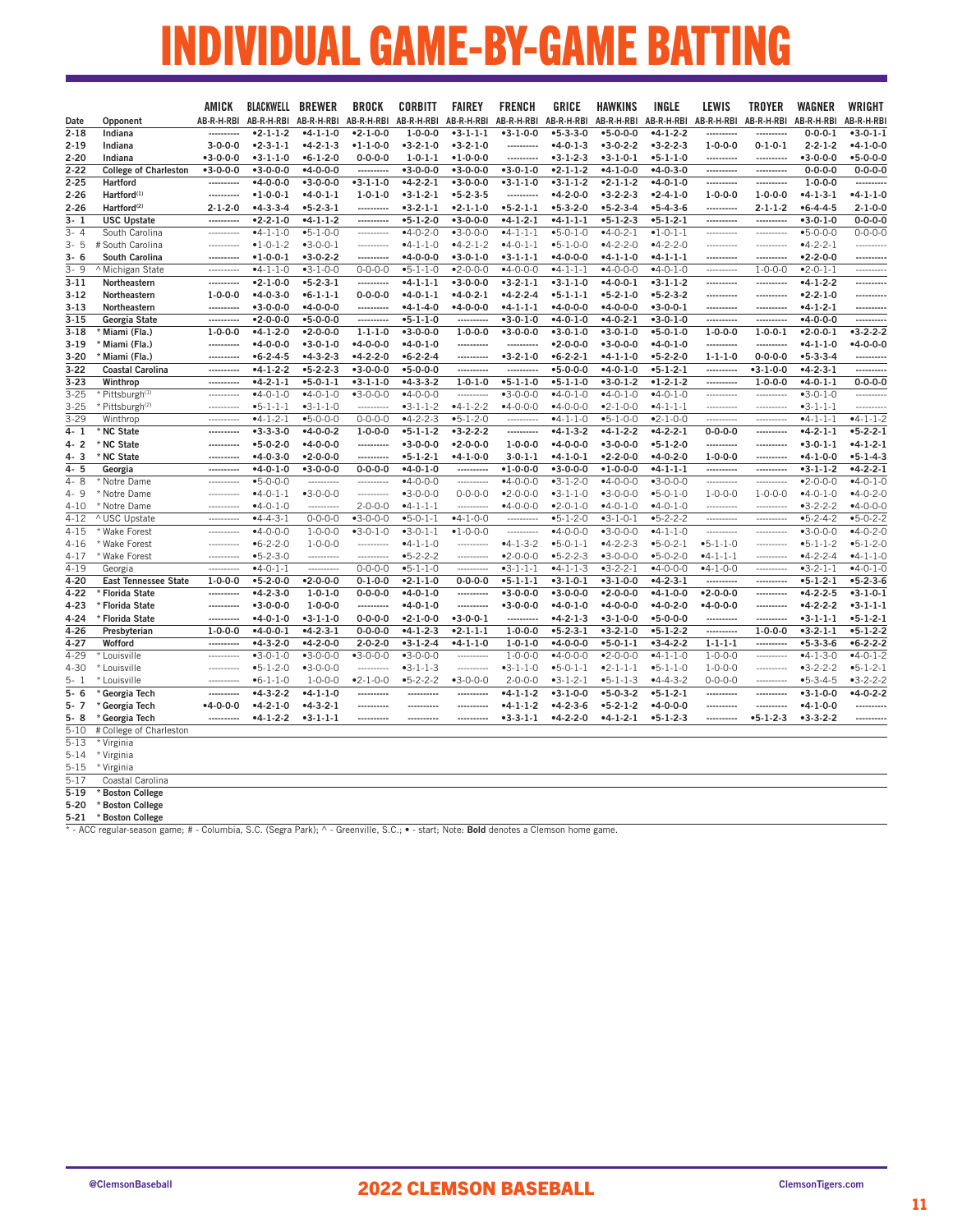### INDIVIDUAL GAME-BY-GAME BATTING

|          |                              | AMICK            | <b>BLACKWELL BREWER</b> |                  | <b>BROCK</b>     | <b>CORBITT</b>    | <b>FAIREY</b>    | <b>FRENCH</b>    | <b>GRICE</b>     | <b>HAWKINS</b>   | <b>INGLE</b>          | LEWIS            | <b>TROYER</b>         | <b>WAGNER</b>    | WRIGHT           |
|----------|------------------------------|------------------|-------------------------|------------------|------------------|-------------------|------------------|------------------|------------------|------------------|-----------------------|------------------|-----------------------|------------------|------------------|
| Date     | Opponent                     | AB-R-H-RBI       | AB-R-H-RBI              | AB-R-H-RBI       | AB-R-H-RBI       | AB-R-H-RBI        | AB-R-H-RBI       | AB-R-H-RBI       | AB-R-H-RBI       | AB-R-H-RBI       | AB-R-H-RBI AB-R-H-RBI |                  | AB-R-H-RBI AB-R-H-RBI |                  | AB-R-H-RB        |
| $2 - 18$ | Indiana                      |                  | $-2 - 1 - 1 - 2$        | $-4-1-1-0$       | $-2 - 1 - 0 - 0$ | $1 - 0 - 0 - 0$   | $-3-1-1-1$       | $-3-1-0-0$       | $-5 - 3 - 3 - 0$ | $-5 - 0 - 0 - 0$ | $-4-1-2-2$            | ----------       | ----------            | $0 - 0 - 0 - 1$  | $-3 - 0 - 1 - 1$ |
| $2 - 19$ | Indiana                      | $3 - 0 - 0 - 0$  | $-2-3-1-1$              | $-4-2-1-3$       | $-1 - 1 - 0 - 0$ | $-3-2-1-0$        | $-3-2-1-0$       | ----------       | $-4 - 0 - 1 - 3$ | $-3-0-2-2$       | $-3-2-2-3$            | $1 - 0 - 0 - 0$  | $0 - 1 - 0 - 1$       | $2 - 2 - 1 - 2$  | $-4-1-0-0$       |
| $2 - 20$ | Indiana                      | $-3 - 0 - 0 - 0$ | $-3-1-1-0$              | $-6 - 1 - 2 - 0$ | $0 - 0 - 0 - 0$  | $1 - 0 - 1 - 1$   | $•1 - 0 - 0 - 0$ | ----------       | $-3-1-2-3$       | $-3-1-0-1$       | $-5 - 1 - 1 - 0$      | ----------       | ----------            | $•3 - 0 - 0 - 0$ | $-5 - 0 - 0 - 0$ |
| $2 - 22$ | <b>College of Charleston</b> | $-3-0-0-0$       | $-3-0-0-0$              | $-4 - 0 - 0 - 0$ | ----------       | $-3-0-0-0$        | $-3-0-0-0$       | $-3-0-1-0$       | $-2-1-1-2$       | $-4-1-0-0$       | $-4 - 0 - 3 - 0$      | ----------       | ----------            | $0 - 0 - 0 - 0$  | $0 - 0 - 0 - 0$  |
| $2 - 25$ | Hartford                     | ----------       | $-4 - 0 - 0 - 0$        | $-3 - 0 - 0 - 0$ | $-3-1-1-0$       | $-4-2-2-1$        | $-3 - 0 - 0 - 0$ | $-3-1-1-0$       | $-3-1-1-2$       | $-2-1-1-2$       | $-4 - 0 - 1 - 0$      | ----------       | ----------            | $1 - 0 - 0 - 0$  | ----------       |
| $2 - 26$ | Hartford <sup>(1)</sup>      | ----------       | $•1 - 0 - 0 - 1$        | $-4 - 0 - 1 - 1$ | $1 - 0 - 1 - 0$  | $-3-1-2-1$        | $-5 - 2 - 3 - 5$ | ----------       | $-4-2-0-0$       | $-3-2-2-3$       | $-2-4-1-0$            | $1 - 0 - 0 - 0$  | $1 - 0 - 0 - 0$       | $-4-1-3-1$       | $-4 - 1 - 1 - 0$ |
| 2-26     | Hartford <sup>(2)</sup>      | $2 - 1 - 2 - 0$  | $-4-3-3-4$              | $-5 - 2 - 3 - 1$ | ----------       | $-3-2-1-1$        | $-2-1-1-0$       | $-5-2-1-1$       | $-5-3-2-0$       | $-5 - 2 - 3 - 4$ | $• 5 - 4 - 3 - 6$     | ----------       | $2 - 1 - 1 - 2$       | $•6 - 4 - 4 - 5$ | $2 - 1 - 0 - 0$  |
| $3 - 1$  | <b>USC Upstate</b>           | ----------       | $-2-2-1-0$              | $-4-1-1-2$       | ----------       | $-5-1-2-0$        | $-3 - 0 - 0 - 0$ | $-4-1-2-1$       | $-4-1-1-1$       | $-5 - 1 - 2 - 3$ | $-5 - 1 - 2 - 1$      | ----------       | ----------            | $-3-0-1-0$       | $0 - 0 - 0 - 0$  |
| $3 - 4$  | South Carolina               | ----------       | $-4-1-1-0$              | $-5 - 1 - 0 - 0$ | ----------       | $-4 - 0 - 2 - 0$  | $-3 - 0 - 0 - 0$ | $-4-1-1-1$       | $-5 - 0 - 1 - 0$ | $-4 - 0 - 2 - 1$ | $•1 - 0 - 1 - 1$      | ----------       | ----------            | $-5 - 0 - 0 - 0$ | $0 - 0 - 0 - 0$  |
| $3 - 5$  | # South Carolina             | -----------      | $•1 - 0 - 1 - 2$        | $-3-0-0-1$       | ----------       | $-4-1-1-0$        | $-4-2-1-2$       | $-4-0-1-1$       | $-5-1-0-0$       | $-4-2-2-0$       | $-4-2-2-0$            | -----------      | -----------           | $-4-2-2-1$       | ----------       |
| $3 - 6$  | South Carolina               | ----------       | $•1 - 0 - 0 - 1$        | $-3-0-2-2$       | ----------       | $-4 - 0 - 0 - 0$  | $-3-0-1-0$       | $-3-1-1-1$       | $-4 - 0 - 0 - 0$ | $-4-1-1-0$       | $-4-1-1-1$            | ----------       | ----------            | $-2 - 2 - 0 - 0$ | ----------       |
| $3 - 9$  | ^ Michigan State             | ----------       | $-4-1-1-0$              | $-3-1-0-0$       | $0 - 0 - 0 - 0$  | $-5 - 1 - 1 - 0$  | $-2 - 0 - 0 - 0$ | $-4 - 0 - 0 - 0$ | $-4-1-1-1$       | $-4 - 0 - 0 - 0$ | $-4 - 0 - 1 - 0$      | ----------       | $1 - 0 - 0 - 0$       | $•2 - 0 - 1 - 1$ | ----------       |
| $3 - 11$ | Northeastern                 |                  | $-2 - 1 - 0 - 0$        | $-5 - 2 - 3 - 1$ | ----------       | $-4-1-1-1$        | $-3-0-0-0$       | $-3-2-1-1$       | $-3-1-1-0$       | $-4 - 0 - 0 - 1$ | $-3-1-1-2$            | ----------       | ----------            | $-4-1-2-2$       | .                |
| $3 - 12$ | Northeastern                 | $1 - 0 - 0 - 0$  | $-4 - 0 - 3 - 0$        | $-6 - 1 - 1 - 1$ | $0 - 0 - 0 - 0$  | $-4 - 0 - 1 - 1$  | $-4 - 0 - 2 - 1$ | $-4-2-2-4$       | $-5 - 1 - 1 - 1$ | $-5-2-1-0$       | $-5-2-3-2$            | -----------      | -----------           | $-2-2-1-0$       | ---------        |
| $3-13$   | Northeastern                 | ----------       | $-3 - 0 - 0 - 0$        | $-4 - 0 - 0 - 0$ | ----------       | $-4-1-4-0$        | $-4 - 0 - 0 - 0$ | $-4-1-1-1$       | $-4 - 0 - 0 - 0$ | $-4 - 0 - 0 - 0$ | $-3 - 0 - 0 - 1$      | ----------       | ----------            | $-4-1-2-1$       |                  |
| $3 - 15$ | Georgia State                | ----------       | $•2 - 0 - 0 - 0$        | $-5 - 0 - 0 - 0$ | ----------       | $-5 - 1 - 1 - 0$  | ----------       | $-3-0-1-0$       | $-4 - 0 - 1 - 0$ | $-4-0-2-1$       | $-3 - 0 - 1 - 0$      | ----------       | ----------            | $-4 - 0 - 0 - 0$ |                  |
| $3 - 18$ | Miami (Fla.)                 | $1 - 0 - 0 - 0$  | $-4-1-2-0$              | $-2 - 0 - 0 - 0$ | $1 - 1 - 1 - 0$  | $-3 - 0 - 0 - 0$  | $1 - 0 - 0 - 0$  | $-3-0-0-0$       | $-3-0-1-0$       | $-3-0-1-0$       | $-5 - 0 - 1 - 0$      | $1 - 0 - 0 - 0$  | $1 - 0 - 0 - 1$       | $-2 - 0 - 0 - 1$ | $-3 - 2 - 2 - 2$ |
| $3-19$   | * Miami (Fla.)               |                  | $-4 - 0 - 0 - 0$        | $-3 - 0 - 1 - 0$ | $-4 - 0 - 0 - 0$ | $-4 - 0 - 1 - 0$  | ----------       | ----------       | $-2 - 0 - 0 - 0$ | $-3 - 0 - 0 - 0$ | $-4 - 0 - 1 - 0$      | ----------       | ----------            | $-4-1-1-0$       | $-4 - 0 - 0 - 0$ |
| $3 - 20$ | Miami (Fla.)                 | ----------       | $•6 - 2 - 4 - 5$        | $-4-3-2-3$       | $-4-2-2-0$       | $• 6 - 2 - 2 - 4$ | ----------       | $-3-2-1-0$       | $-6 - 2 - 2 - 1$ | $-4-1-1-0$       | $-5-2-2-0$            | $1 - 1 - 1 - 0$  | $0 - 0 - 0 - 0$       | $-5-3-3-4$       | ---------        |
| $3 - 22$ | <b>Coastal Carolina</b>      | ----------       | $-4-1-2-2$              | $-5-2-2-3$       | $-3-0-0-0$       | $-5 - 0 - 0 - 0$  | ----------       | ----------       | $-5 - 0 - 0 - 0$ | $-4-0-1-0$       | $-5 - 1 - 2 - 1$      | ----------       | $-3-1-0-0$            | $-4-2-3-1$       | ----------       |
| $3 - 23$ | Winthrop                     | ----------       | $-4-2-1-1$              | $-5 - 0 - 1 - 1$ | $-3-1-1-0$       | $-4-3-3-2$        | $1 - 0 - 1 - 0$  | $-5-1-1-0$       | $-5 - 1 - 1 - 0$ | $-3-0-1-2$       | $•1 - 2 - 1 - 2$      | ----------       | $1 - 0 - 0 - 0$       | $-4 - 0 - 1 - 1$ | $0 - 0 - 0 - 0$  |
| $3 - 25$ | * Pittsburgh <sup>(1)</sup>  | ----------       | $-4 - 0 - 1 - 0$        | $-4 - 0 - 1 - 0$ | $-3 - 0 - 0 - 0$ | $-4 - 0 - 0 - 0$  | ----------       | $-3-0-0-0$       | $-4 - 0 - 1 - 0$ | $-4 - 0 - 1 - 0$ | $-4 - 0 - 1 - 0$      | ----------       | ----------            | $-3-0-1-0$       | ----------       |
| $3 - 25$ | * Pittsburgh <sup>(2)</sup>  | ----------       | $-5 - 1 - 1 - 1$        | $-3-1-1-0$       | ----------       | $-3-1-1-2$        | $-4-1-2-2$       | $-4 - 0 - 0 - 0$ | $-4 - 0 - 0 - 0$ | $-2 - 1 - 0 - 0$ | $-4-1-1-1$            | ----------       | ----------            | $-3-1-1-1$       | ----------       |
| $3 - 29$ | Winthrop                     | ----------       | $-4-1-2-1$              | $-5 - 0 - 0 - 0$ | $0 - 0 - 0 - 0$  | $-4-2-2-3$        | $-5 - 1 - 2 - 0$ | ----------       | $-4-1-1-0$       | $-5 - 1 - 0 - 0$ | $-2-1-0-0$            | ----------       | ----------            | $-4-1-1-1$       | $-4-1-1-2$       |
| 4-1      | * NC State                   | ----------       | $-3-3-3-0$              | $-4 - 0 - 0 - 2$ | $1 - 0 - 0 - 0$  | $-5 - 1 - 1 - 2$  | $-3-2-2-2$       | ----------       | $-4-1-3-2$       | $-4-1-2-2$       | $-4-2-2-1$            | $0 - 0 - 0 - 0$  | ----------            | $-4-2-1-1$       | $-5 - 2 - 2 - 1$ |
| 4-2      | * NC State                   | -----------      | $-5 - 0 - 2 - 0$        | $-4 - 0 - 0 - 0$ | ----------       | $-3-0-0-0$        | $•2 - 0 - 0 - 0$ | $1 - 0 - 0 - 0$  | $-4 - 0 - 0 - 0$ | $-3-0-0-0$       | $-5 - 1 - 2 - 0$      | ----------       | -----------           | $-3-0-1-1$       | $-4-1-2-1$       |
| 4-3      | NC State                     | ----------       | $-4 - 0 - 3 - 0$        | $-2 - 0 - 0 - 0$ | ----------       | $-5 - 1 - 2 - 1$  | $-4-1-0-0$       | $3 - 0 - 1 - 1$  | $-4-1-0-1$       | $-2 - 2 - 0 - 0$ | $-4 - 0 - 2 - 0$      | $1 - 0 - 0 - 0$  | ----------            | $-4-1-0-0$       | $-5 - 1 - 4 - 3$ |
| 4-5      | Georgia                      | ----------       | $-4 - 0 - 1 - 0$        | $-3 - 0 - 0 - 0$ | $0 - 0 - 0 - 0$  | $-4 - 0 - 1 - 0$  | ----------       | $•1 - 0 - 0 - 0$ | $-3 - 0 - 0 - 0$ | $•1 - 0 - 0 - 0$ | $-4-1-1-1$            | ----------       | ----------            | $-3-1-1-2$       | $-4 - 2 - 2 - 1$ |
| $4 - 8$  | Notre Dame                   | ----------       | $-5 - 0 - 0 - 0$        | ----------       | ----------       | $-4 - 0 - 0 - 0$  | ----------       | $-4 - 0 - 0 - 0$ | $-3-1-2-0$       | $-4 - 0 - 0 - 0$ | $-3 - 0 - 0 - 0$      | ----------       | ----------            | $-2 - 0 - 0 - 0$ | $-4 - 0 - 1 - C$ |
| 4-9      | * Notre Dame                 | ----------       | $-4-0-1-1$              | $-3 - 0 - 0 - 0$ | ----------       | $-3 - 0 - 0 - 0$  | $0 - 0 - 0 - 0$  | $-2 - 0 - 0 - 0$ | $-3-1-1-0$       | $-3-0-0-0$       | $-5 - 0 - 1 - 0$      | $1 - 0 - 0 - 0$  | $1 - 0 - 0 - 0$       | $-4-0-1-0$       | $-4 - 0 - 2 - 0$ |
| $4 - 10$ | * Notre Dame                 | ----------       | $-4 - 0 - 1 - 0$        | ----------       | $2 - 0 - 0 - 0$  | $-4-1-1-1$        | ----------       | $-4 - 0 - 0 - 0$ | $-2-0-1-0$       | $-4 - 0 - 1 - 0$ | $-4 - 0 - 1 - 0$      | ----------       | ----------            | $-3-2-2-2$       | $-4 - 0 - 0 - 0$ |
| $4 - 12$ | ^ USC Upstate                | -----------      | $-4-4-3-1$              | $0 - 0 - 0 - 0$  | $-3-0-0-0$       | $•5 - 0 - 1 - 1$  | $-4-1-0-0$       | ----------       | $-5-1-2-0$       | $-3-1-0-1$       | $-5-2-2-2$            | ----------       | ----------            | $-5-2-4-2$       | $•5 - 0 - 2 - 2$ |
| $4 - 15$ | * Wake Forest                | ----------       | $-4 - 0 - 0 - 0$        | $1 - 0 - 0 - 0$  | $-3-0-1-0$       | $-3-0-1-1$        | $•1 - 0 - 0 - 0$ | ----------       | $-4 - 0 - 0 - 0$ | $-3 - 0 - 0 - 0$ | $-4-1-1-0$            | ----------       | ----------            | $-3-0-0-0$       | $-4 - 0 - 2 - 0$ |
| $4 - 16$ | * Wake Forest                | ----------       | $-6 - 2 - 2 - 0$        | $1 - 0 - 0 - 0$  | ----------       | $-4-1-1-0$        | ----------       | $-4-1-3-2$       | $-5-0-1-1$       | $-4-2-2-3$       | $-5 - 0 - 2 - 1$      | $-5 - 1 - 1 - 0$ | ----------            | $-5 - 1 - 1 - 2$ | $-5 - 1 - 2 - 0$ |
| $4 - 17$ | * Wake Forest                | ----------       | $-5 - 2 - 3 - 0$        | ----------       | ----------       | $-5-2-2-2$        | ----------       | $•2 - 0 - 0 - 0$ | $-5 - 2 - 2 - 3$ | $-3 - 0 - 0 - 0$ | $•5-0-2-0$            | $-4-1-1-1$       | ----------            | $-4-2-2-4$       | $-4-1-1-C$       |
| $4 - 19$ | Georgia                      | ----------       | $-4 - 0 - 1 - 1$        | ----------       | $0 - 0 - 0 - 0$  | $-5 - 1 - 1 - 0$  | ----------       | $-3-1-1-1$       | $-4-1-1-3$       | $-3-2-2-1$       | $-4 - 0 - 0 - 0$      | $-4-1-0-0$       | ----------            | $-3-2-1-1$       | $-4 - 0 - 1 - 0$ |
| $4 - 20$ | <b>East Tennessee State</b>  | $1 - 0 - 0 - 0$  | $-5 - 2 - 0 - 0$        | $-2 - 0 - 0 - 0$ | $0 - 1 - 0 - 0$  | $-2 - 1 - 1 - 0$  | $0 - 0 - 0 - 0$  | $-5 - 1 - 1 - 1$ | $-3-1-0-1$       | $-3-1-0-0$       | $-4 - 2 - 3 - 1$      | ----------       | ----------            | $-5 - 1 - 2 - 1$ | $-5 - 2 - 3 - 6$ |
| $4 - 22$ | Florida State                | ----------       | $-4-2-3-0$              | $1 - 0 - 1 - 0$  | $0 - 0 - 0 - 0$  | $-4 - 0 - 1 - 0$  | ----------       | $-3-0-0-0$       | $-3-0-0-0$       | $•2 - 0 - 0 - 0$ | $-4-1-0-0$            | $-2 - 0 - 0 - 0$ | ----------            | $-4-2-2-5$       | $-3 - 1 - 0 - 1$ |
| 4-23     | Florida State                | ----------       | $-3 - 0 - 0 - 0$        | $1 - 0 - 0 - 0$  | ----------       | $-4 - 0 - 1 - 0$  | ----------       | $-3 - 0 - 0 - 0$ | $-4 - 0 - 1 - 0$ | $-4 - 0 - 0 - 0$ | $-4 - 0 - 2 - 0$      | $-4 - 0 - 0 - 0$ | ----------            | $-4-2-2-2$       | $-3 - 1 - 1 - 1$ |
| $4 - 24$ | * Florida State              | ----------       | $-4 - 0 - 1 - 0$        | $-3 - 1 - 1 - 0$ | $0 - 0 - 0 - 0$  | $-2 - 1 - 0 - 0$  | $-3 - 0 - 0 - 1$ | ----------       | $-4-2-1-3$       | $-3-1-0-0$       | $-5 - 0 - 0 - 0$      | ----------       | ----------            | $-3-1-1-1$       | $-5 - 1 - 2 - 1$ |
| 4-26     | Presbyterian                 | $1 - 0 - 0 - 0$  | $-4 - 0 - 0 - 1$        | $-4-2-3-1$       | $0 - 0 - 0 - 0$  | $-4-1-2-3$        | $-2-1-1-1$       | $1 - 0 - 0 - 0$  | $-5-2-3-1$       | $-3-2-1-0$       | $-5-1-2-2$            | ----------       | $1 - 0 - 0 - 0$       | $-3-2-1-1$       | $-5 - 1 - 2 - 2$ |
| $4 - 27$ | Wofford                      | ----------       | $-4-3-2-0$              | $-4-2-0-0$       | $2 - 0 - 2 - 0$  | $-3-1-2-4$        | $-4-1-1-0$       | $1 - 0 - 1 - 0$  | $-4 - 0 - 0 - 0$ | $-5 - 0 - 1 - 1$ | $-3-4-2-2$            | $1 - 1 - 1 - 1$  | ----------            | $-5 - 3 - 3 - 6$ | $-6 - 2 - 2 - 2$ |
| $4 - 29$ | * Louisville                 | ----------       | $-3-0-1-0$              | $-3 - 0 - 0 - 0$ | $-3 - 0 - 0 - 0$ | $-3-0-0-0$        | -----------      | $1 - 0 - 0 - 0$  | $-4 - 0 - 0 - 0$ | $-2 - 0 - 0 - 0$ | $-4-1-1-0$            | $1 - 0 - 0 - 0$  | ----------            | $-4-1-3-0$       | $-4 - 0 - 1 - 2$ |
| 4-30     | * Louisville                 | -----------      | $-5 - 1 - 2 - 0$        | $-3 - 0 - 0 - 0$ | ----------       | $-3-1-1-3$        | -----------      | $-3-1-1-0$       | $-5 - 0 - 1 - 1$ | $-2-1-1-1$       | $-5 - 1 - 1 - 0$      | $1 - 0 - 0 - 0$  | -----------           | $-3-2-2-2$       | $-5 - 1 - 2 - 1$ |
| $5 - 1$  | * Louisville                 | ----------       | $-6 - 1 - 1 - 0$        | $1 - 0 - 0 - 0$  | $•2-1-0-0$       | $•5-2-2-2$        | $-3-0-0-0$       | $2 - 0 - 0 - 0$  | $-3-1-2-1$       | $-5 - 1 - 1 - 3$ | $-4-4-3-2$            | $0 - 0 - 0 - 0$  | ----------            | $•5-3-4-5$       | $-3-2-2-2$       |
| $5 - 6$  | Georgia Tech                 | ----------       | $-4-3-2-2$              | $-4-1-1-0$       | ----------       | ----------        | ----------       | $-4-1-1-2$       | $-3-1-0-0$       | $-5-0-3-2$       | $-5 - 1 - 2 - 1$      | ----------       | ----------            | $-3-1-0-0$       | $-4 - 0 - 2 - 2$ |
| 5-7      | Georgia Tech                 | $-4 - 0 - 0 - 0$ | $-4-2-1-0$              | $-4-3-2-1$       | ----------       | ----------        | ----------       | $-4-1-1-2$       | $-4-2-3-6$       | $-5-2-1-2$       | $-4 - 0 - 0 - 0$      | ----------       | ----------            | $-4-1-0-0$       | ---------        |
| $5 - 8$  | Georgia Tech                 | ----------       | $-4-1-2-2$              | $-3-1-1-1$       | ----------       | ----------        | ----------       | $-3-3-1-1$       | $-4-2-2-0$       | $-4-1-2-1$       | $-5 - 1 - 2 - 3$      | ----------       | $-5 - 1 - 2 - 3$      | $-3-3-2-2$       | ----------       |
| $5 - 10$ | # College of Charleston      |                  |                         |                  |                  |                   |                  |                  |                  |                  |                       |                  |                       |                  |                  |
| $5 - 13$ | * Virginia                   |                  |                         |                  |                  |                   |                  |                  |                  |                  |                       |                  |                       |                  |                  |
| $5 - 14$ | * Virginia                   |                  |                         |                  |                  |                   |                  |                  |                  |                  |                       |                  |                       |                  |                  |
| $5 - 15$ | * Virginia                   |                  |                         |                  |                  |                   |                  |                  |                  |                  |                       |                  |                       |                  |                  |

5-17 Coastal Carolina

5-19 \* Boston College

5-20 \* Boston College

**5-21 \*Boston College**<br>\* - ACC regular-season game; # - Columbia, S.C. (Segra Park); ^ - Greenville, S.C.; • - start; Note: **Bold** denotes a Clemson home game.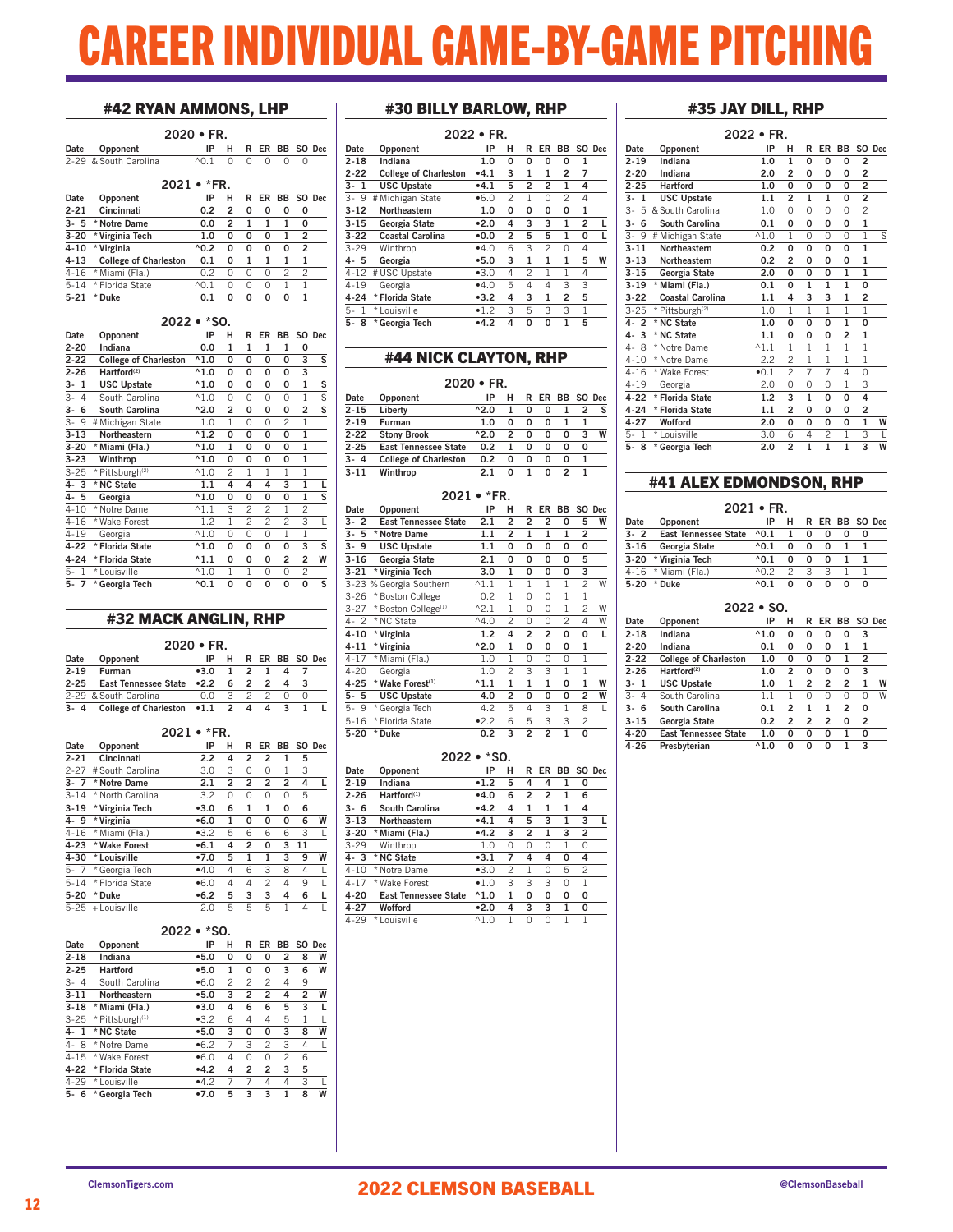# CAREER INDIVIDUAL GAME-BY-GAME PITCHING

### #42 RYAN AMMONS, LHP

| $2020 \cdot FR.$      |                          |  |  |  |                     |  |  |  |  |  |
|-----------------------|--------------------------|--|--|--|---------------------|--|--|--|--|--|
| Date Opponent         |                          |  |  |  | IP H R ER BB SO Dec |  |  |  |  |  |
| 2-29 & South Carolina | $\wedge$ 0.1 0 0 0 0 0 0 |  |  |  |                     |  |  |  |  |  |
|                       | $0001 - FDB$             |  |  |  |                     |  |  |  |  |  |

|          | $2021 \cdot *FR$ .           |                 |                |   |      |   |                |  |  |  |  |
|----------|------------------------------|-----------------|----------------|---|------|---|----------------|--|--|--|--|
| Date     | Opponent                     | IP              | н              |   | R ER |   | BB SO Dec      |  |  |  |  |
| $2 - 21$ | Cincinnati                   | 0.2             | $\overline{2}$ | 0 | 0    | O | 0              |  |  |  |  |
| $3 - 5$  | * Notre Dame                 | 0.0             | 2              | 1 |      | 1 | 0              |  |  |  |  |
| $3 - 20$ | * Virginia Tech              | 1.0             | O              | 0 | 0    | 1 | $\mathfrak{p}$ |  |  |  |  |
| $4 - 10$ | * Virginia                   | $^{\wedge}0.2$  | 0              | 0 | 0    | O | 2              |  |  |  |  |
| 4-13     | <b>College of Charleston</b> | 0.1             | O              | 1 |      |   |                |  |  |  |  |
| $4 - 16$ | * Miami (Fla.)               | 0.2             | Ω              | O | O    | 2 | 2              |  |  |  |  |
| $5 - 14$ | * Florida State              | $^{\wedge}$ 0.1 | Ω              | O | O    |   |                |  |  |  |  |
| $5 - 21$ | * Duke                       | 0.1             | O              | O | O    | U |                |  |  |  |  |

#### 2022 • \*SO.

| Date                 | Opponent                     | IP             | н              | R | ER | BB           | SO.            | Dec |
|----------------------|------------------------------|----------------|----------------|---|----|--------------|----------------|-----|
| $2 - 20$             | Indiana                      | 0.0            | 1              | 1 | 1  | 1            | 0              |     |
| $2 - 22$             | <b>College of Charleston</b> | $^{\wedge}1.0$ | 0              | 0 | 0  | 0            | 3              | S   |
| $2 - 26$             | Hartford <sup>(2)</sup>      | $^{\wedge}1.0$ | 0              | 0 | 0  | 0            | 3              |     |
| 3-<br>1              | <b>USC Upstate</b>           | $^{\wedge}1.0$ | 0              | 0 | 0  | 0            | $\mathbf{1}$   | s   |
| $3-$<br>4            | South Carolina               | $^{\wedge}1.0$ | 0              | 0 | 0  | 0            | 1              | S   |
| 6<br>3-              | South Carolina               | $^{\wedge}2.0$ | $\overline{2}$ | 0 | 0  | 0            | 2              | s   |
| 3-<br>9              | # Michigan State             | 1.0            | 1              | 0 | 0  | 2            | 1              |     |
| $3 - 13$             | Northeastern                 | $^{\wedge}1.2$ | 0              | 0 | 0  | 0            | 1              |     |
| $3 - 20$             | * Miami (Fla.)               | $^{\wedge}1.0$ | $\mathbf{1}$   | 0 | 0  | 0            | 1              |     |
| $3 - 23$             | Winthrop                     | $^{\wedge}1.0$ | 0              | 0 | 0  | 0            | $\mathbf{1}$   |     |
| $3 - 25$             | * Pittsburgh <sup>(2)</sup>  | $^{\wedge}1.0$ | $\overline{c}$ | 1 | 1  | 1            | 1              |     |
| 4-3                  | * NC State                   | 1.1            | 4              | 4 | 4  | 3            | 1              | L   |
| $4 - 5$              | Georgia                      | $^{\wedge}1.0$ | 0              | 0 | 0  | 0            | $\mathbf{1}$   | S   |
| $4 - 10$             | * Notre Dame                 | $^{\wedge}1.1$ | 3              | 2 | 2  | 1            | 2              |     |
| $4 - 16$             | * Wake Forest                | 1.2            | 1              | 2 | 2  | 2            | 3              | L   |
| $4 - 19$             | Georgia                      | $^{\wedge}1.0$ | 0              | 0 | 0  | $\mathbf{1}$ | $\overline{1}$ |     |
| $4 - 22$             | * Florida State              | $^{\wedge}1.0$ | 0              | 0 | 0  | 0            | 3              | S   |
| $4 - 24$             | * Florida State              | $^{\wedge}1.1$ | 0              | 0 | 0  | 2            | 2              | W   |
| 5-<br>1              | * Louisville                 | $^{\wedge}1.0$ | 1              | 1 | 0  | 0            | $\overline{c}$ |     |
| 5-<br>$\overline{7}$ | * Georgia Tech               | $^{\wedge}0.1$ | 0              | 0 | 0  | 0            | 0              | S   |

### #32 MACK ANGLIN, RHP

|          | $2020 \cdot FR$                |        |              |                |               |                |  |  |  |  |
|----------|--------------------------------|--------|--------------|----------------|---------------|----------------|--|--|--|--|
| Date     | Opponent                       | IP     | н            |                |               | R ER BB SO Dec |  |  |  |  |
| $2 - 19$ | Furman                         | $-3.0$ | $\mathbf{1}$ | $\overline{2}$ | L.            |                |  |  |  |  |
| $2 - 25$ | <b>East Tennessee State</b>    | •2.2   |              | 62             | $\mathcal{P}$ |                |  |  |  |  |
|          | 2-29 & South Carolina          | n n    | 3            |                | 22            |                |  |  |  |  |
| $3 - 4$  | College of Charleston .1.1 2 4 |        |              |                | 4             |                |  |  |  |  |

### 2021 • \*FR.

| Date     | Opponent          | IP   | н        | R | ER             | BB |    | SO Dec |
|----------|-------------------|------|----------|---|----------------|----|----|--------|
| $2 - 21$ | Cincinnati        | 2.2  | 4        | 2 | $\overline{2}$ | 1  | 5  |        |
| $2 - 27$ | # South Carolina  | 3.0  | 3        | 0 | 0              | 1  | 3  |        |
| $3 - 7$  | * Notre Dame      | 2.1  | 2        | 2 | $\overline{2}$ | 2  | 4  | ı.     |
| $3 - 14$ | * North Carolina  | 3.2  | $\Omega$ | 0 | $\Omega$       | 0  | 5  |        |
| $3 - 19$ | * Virginia Tech   | •3.0 | 6        | 1 | 1              | 0  | 6  |        |
| 4.9      | * Virginia        | •6.0 | 1        | 0 | 0              | 0  | 6  | W      |
| $4 - 16$ | * Miami (Fla.)    | •3.2 | 5        | 6 | 6              | 6  | 3  |        |
| $4 - 23$ | * Wake Forest     | •6.1 | 4        | 2 | 0              | 3  | 11 |        |
| 4-30     | * Louisville      | •7.0 | 5        | 1 | 1              | 3  | 9  | W      |
| 5-7      | * Georgia Tech    | •4.0 | 4        | 6 | 3              | 8  | 4  | L      |
| $5 - 14$ | * Florida State   | •6.0 | 4        | 4 | $\mathcal{P}$  | 4  | 9  |        |
| $5 - 20$ | * Duke            | •6.2 | 5        | 3 | 3              | 4  | 6  |        |
|          | 5-25 + Louisville | 2.0  | 5        | 5 | 5              | 1  | 4  |        |

### 2022 • \*SO.

| Date     | Opponent        | IP   | н | R | ER | BB. |   | SO Dec |
|----------|-----------------|------|---|---|----|-----|---|--------|
| $2 - 18$ | Indiana         | •5.0 | 0 | 0 | 0  | 2   | 8 | W      |
| $2 - 25$ | <b>Hartford</b> | •5.0 | 1 | 0 | 0  | 3   | 6 | W      |
| $3 - 4$  | South Carolina  | •6.0 | 2 | 2 | 2  | 4   | 9 |        |
| $3 - 11$ | Northeastern    | •5.0 | 3 | 2 | 2  | 4   | 2 | W      |
| $3 - 18$ | * Miami (Fla.)  | •3.0 | 4 | 6 | 6  | 5   | 3 | L      |
| $3 - 25$ | * Pittsburgh(1) | •3.2 | 6 | 4 | 4  | 5   | 1 | L      |
| 4-1      | * NC State      | •5.0 | 3 | 0 | 0  | 3   | 8 | W      |
| $4 - 8$  | * Notre Dame    | •6.2 | 7 | 3 | 2  | 3   | 4 | L      |
| $4 - 15$ | * Wake Forest   | •6.0 | 4 | 0 | 0  | 2   | 6 |        |
| $4 - 22$ | * Florida State | •4.2 | 4 | 2 | 2  | 3   | 5 |        |
| $4 - 29$ | * Louisville    | •4.2 | 7 | 7 | 4  | 4   | 3 | L      |
| $5 - 6$  | * Georgia Tech  | •7.0 | 5 | 3 | 3  | 1   | 8 | W      |

### #30 BILLY BARLOW, RHP

|                      | 2022 • FR.                   |        |                |   |    |                |   |        |  |  |
|----------------------|------------------------------|--------|----------------|---|----|----------------|---|--------|--|--|
| Date                 | Opponent                     | IP     | н              | R | ER | BB.            |   | SO Dec |  |  |
| $2 - 18$             | Indiana                      | 1.0    | 0              | 0 | 0  | 0              | 1 |        |  |  |
| $2 - 22$             | <b>College of Charleston</b> | $-4.1$ | 3              | 1 | 1  | 2              | 7 |        |  |  |
| 3-1                  | <b>USC Upstate</b>           | $-4.1$ | 5              | 2 | 2  | 1              | 4 |        |  |  |
| $3 - 9$              | # Michigan State             | •6.0   | $\mathfrak{p}$ | 1 | 0  | $\mathfrak{p}$ | 4 |        |  |  |
| $3 - 12$             | Northeastern                 | 1.0    | 0              | 0 | 0  | 0              | 1 |        |  |  |
| $3 - 15$             | Georgia State                | •2.0   | 4              | 3 | 3  | $\mathbf{1}$   | 2 | L      |  |  |
| $3 - 22$             | Coastal Carolina             | •0.0   | 2              | 5 | 5  | 1              | 0 |        |  |  |
| $3 - 29$             | Winthrop                     | •4.0   | 6              | 3 | 2  | O              | 4 |        |  |  |
| $4 - 5$              | Georgia                      | •5.0   | 3              | 1 | 1  | 1              | 5 | W      |  |  |
| $4 - 12$             | # USC Upstate                | $-3.0$ | 4              | 2 | 1  | 1              | 4 |        |  |  |
| $4 - 19$             | Georgia                      | •4.0   | 5              | 4 | 4  | 3              | 3 |        |  |  |
| $4 - 24$             | * Florida State              | •3.2   | 4              | 3 | 1  | $\overline{a}$ | 5 |        |  |  |
| 5-<br>$\overline{1}$ | * Louisville                 | •1.2   | 3              | 5 | 3  | 3              | 1 |        |  |  |
| 8<br>5-              | * Georgia Tech               | •4.2   | 4              | ŋ | O  | 1              | 5 |        |  |  |

### #44 NICK CLAYTON, RHP

### 2020 • FR.

| Date     | Opponent                     | IP             |   | R |   | ER BB SO Dec |   |   |
|----------|------------------------------|----------------|---|---|---|--------------|---|---|
| $2 - 15$ | Liberty                      | $^{\wedge}2.0$ |   | O | o |              |   |   |
| $2 - 19$ | Furman                       | 1.ດ            | o | O | o |              |   |   |
| $2 - 22$ | <b>Stony Brook</b>           | $^{\wedge}2.0$ | 2 | O | O | O            | 3 | W |
| $2 - 25$ | <b>East Tennessee State</b>  | 0.2            |   | O | U | n            | o |   |
| $3 - 4$  | <b>College of Charleston</b> | 0.2            | o | 0 | n | n            |   |   |
| $3 - 11$ | Winthrop                     | 2.1            | o |   | o |              |   |   |

### 2021 • \*FR.

| Date     | Opponent                        | IP             | н              | R              | ER             | ВB           | SO.            | Dec |
|----------|---------------------------------|----------------|----------------|----------------|----------------|--------------|----------------|-----|
| 3-<br>2  | <b>East Tennessee State</b>     | 2.1            | $\overline{2}$ | 2              | 2              | 0            | 5              | W   |
| 3-<br>5  | * Notre Dame                    | 1.1            | 2              | $\mathbf{1}$   | $\mathbf{1}$   | $\mathbf{1}$ | 2              |     |
| 3-<br>9  | <b>USC Upstate</b>              | 1.1            | 0              | 0              | 0              | 0            | 0              |     |
| $3-16$   | Georgia State                   | 2.1            | 0              | 0              | 0              | 0            | 5              |     |
| $3-21$   | * Virginia Tech                 | 3.0            | $\mathbf{1}$   | 0              | 0              | 0            | 3              |     |
| $3 - 23$ | % Georgia Southern              | $^{\wedge}1.1$ | 1              | 1              | 1              | $\mathbf{1}$ | $\overline{c}$ | W   |
| $3 - 26$ | * Boston College                | 0.2            | 1              | $\Omega$       | $\Omega$       | 1            | 1              |     |
| 3-27     | * Boston College <sup>(1)</sup> | $^{\wedge}2.1$ | 1              | 0              | 0              | 1            | $\overline{c}$ | W   |
| 4-2      | * NC State                      | $^{\wedge}4.0$ | 2              | 0              | 0              | 2            | 4              | W   |
| 4-10     | * Virginia                      | 1.2            | 4              | $\overline{a}$ | $\overline{a}$ | 0            | 0              | L   |
| 4-11     | * Virginia                      | $^{\wedge}2.0$ | 1              | 0              | 0              | 0            | 1              |     |
| 4-17     | * Miami (Fla.)                  | 1.0            | 1              | 0              | 0              | 0            | $\mathbf{1}$   |     |
| $4 - 20$ | Georgia                         | 1.0            | 2              | 3              | 3              | 1            | $\mathbf{1}$   |     |
| 4-25     | * Wake Forest <sup>(1)</sup>    | $^{\wedge}1.1$ | $\mathbf{1}$   | $\mathbf{1}$   | $\mathbf{1}$   | 0            | $\mathbf{1}$   | W   |
| 5-<br>-5 | <b>USC Upstate</b>              | 4.0            | 2              | 0              | 0              | 0            | 2              | W   |
| 5-<br>9  | * Georgia Tech                  | 4.2            | 5              | 4              | 3              | 1            | 8              | L   |
| $5 - 16$ | * Florida State                 | •2.2           | 6              | 5              | 3              | 3            | 2              |     |
| 5-20     | * Duke                          | 0.2            | 3              | 2              | $\overline{a}$ | $\mathbf{1}$ | 0              |     |
|          |                                 |                |                |                |                |              |                |     |

### 2022 • \*SO.

| Date     | Opponent                    | IP             | н | R | ER             | BB       |                | SO Dec |
|----------|-----------------------------|----------------|---|---|----------------|----------|----------------|--------|
| $2 - 19$ | Indiana                     | •1.2           | 5 | 4 | 4              | 1        | 0              |        |
| $2 - 26$ | Hartford <sup>(1)</sup>     | •4.0           | 6 | 2 | $\overline{2}$ | 1        | 6              |        |
| $3 - 6$  | South Carolina              | •4.2           | 4 | 1 | 1              | 1        | 4              |        |
| $3 - 13$ | Northeastern                | •4.1           | 4 | 5 | 3              | 1        | 3              |        |
| $3 - 20$ | * Miami (Fla.)              | •4.2           | 3 | 2 | 1              | 3        | 2              |        |
| $3-29$   | Winthrop                    | 1.0            | 0 | 0 | O              | 1        | 0              |        |
| $4 - 3$  | * NC State                  | •3.1           | 7 | 4 | 4              | 0        | 4              |        |
| $4 - 10$ | * Notre Dame                | $-3.0$         | 2 | 1 | $\Omega$       | 5        | $\mathfrak{p}$ |        |
| $4 - 17$ | * Wake Forest               | •1.0           | 3 | 3 | 3              | $\Omega$ | 1              |        |
| $4 - 20$ | <b>East Tennessee State</b> | $^{\wedge}1.0$ | 1 | 0 | 0              | 0        | 0              |        |
| $4 - 27$ | Wofford                     | •2.0           | 4 | 3 | 3              | 1        | 0              |        |
| $4 - 29$ | Louisville<br>×             | $^{\wedge}1.0$ | 1 | O | Ω              |          | 1              |        |

### #35 JAY DILL, RHP

|                      | 2022 • FR.         |                |                |                |                |              |                |        |  |
|----------------------|--------------------|----------------|----------------|----------------|----------------|--------------|----------------|--------|--|
| Date                 | Opponent           | IP             | н              | R              | ER             | BB           |                | SO Dec |  |
| $2 - 19$             | Indiana            | 1.0            | $\mathbf{1}$   | 0              | 0              | 0            | $\overline{a}$ |        |  |
| $2 - 20$             | Indiana            | 2.0            | $\overline{a}$ | 0              | 0              | 0            | 2              |        |  |
| $2 - 25$             | <b>Hartford</b>    | 1.0            | 0              | 0              | 0              | 0            | $\overline{a}$ |        |  |
| 3-<br>1              | <b>USC Upstate</b> | 1.1            | $\overline{a}$ | $\mathbf{1}$   | 1              | 0            | $\overline{2}$ |        |  |
| $3-$<br>5            | & South Carolina   | 1.0            | 0              | $\Omega$       | $\Omega$       | 0            | 2              |        |  |
| 6<br>3-              | South Carolina     | 0.1            | 0              | 0              | 0              | 0            | $\mathbf{1}$   |        |  |
| $3-$<br>9            | # Michigan State   | $^{\wedge}1.0$ | 1              | $\Omega$       | $\Omega$       | $\Omega$     | 1              | S      |  |
| $3 - 11$             | Northeastern       | 0.2            | 0              | 0              | 0              | 0            | $\mathbf{1}$   |        |  |
| $3 - 13$             | Northeastern       | 0.2            | 2              | 0              | 0              | 0            | 1              |        |  |
| $3 - 15$             | Georgia State      | 2.0            | 0              | 0              | 0              | $\mathbf{1}$ | $\overline{1}$ |        |  |
| $3 - 19$             | * Miami (Fla.)     | 0.1            | 0              | $\mathbf{1}$   | $\mathbf{1}$   | $\mathbf{1}$ | 0              |        |  |
| $3 - 22$             | Coastal Carolina   | 1.1            | 4              | 3              | 3              | $\mathbf{1}$ | $\overline{a}$ |        |  |
| $3 - 25$             | * Pittsburgh(2)    | 1.0            | 1              | 1              | 1              | 1            | $\overline{1}$ |        |  |
| 4-<br>$\overline{2}$ | * NC State         | 1.0            | 0              | 0              | 0              | $\mathbf{1}$ | 0              |        |  |
| 3<br>4-              | * NC State         | 1.1            | 0              | 0              | 0              | 2            | 1              |        |  |
| 8<br>4-              | * Notre Dame       | $^{\wedge}1.1$ | 1              | 1              | 1              | 1            | 1              |        |  |
| $4 - 10$             | * Notre Dame       | 2.2            | 2              | $\overline{1}$ | 1              | 1            | $\mathbf{1}$   |        |  |
| $4 - 16$             | * Wake Forest      | $\bullet$ 0.1  | $\overline{c}$ | $\overline{7}$ | $\overline{7}$ | 4            | $\Omega$       |        |  |
| $4 - 19$             | Georgia            | 2.0            | 0              | 0              | 0              | 1            | 3              |        |  |
| $4 - 22$             | * Florida State    | 1.2            | 3              | $\mathbf{1}$   | 0              | 0            | 4              |        |  |
| $4 - 24$             | * Florida State    | 1.1            | 2              | 0              | 0              | 0            | 2              |        |  |
| $4 - 27$             | Wofford            | 2.0            | 0              | 0              | 0              | 0            | $\mathbf{1}$   | W      |  |
| 5-<br>1              | * Louisville       | 3.0            | 6              | 4              | 2              | 1            | 3              | L      |  |
| 5-<br>8              | * Georgia Tech     | 2.0            | $\overline{a}$ | $\mathbf{1}$   | $\mathbf{1}$   | $\mathbf{1}$ | 3              | W      |  |

### #41 ALEX EDMONDSON, RHP

| $2021 \cdot FR$ |                             |                 |   |               |               |                |   |  |
|-----------------|-----------------------------|-----------------|---|---------------|---------------|----------------|---|--|
| Date            | Opponent                    | IP              | н |               |               | R ER BB SO Dec |   |  |
| $3 - 2$         | <b>East Tennessee State</b> | $^{\wedge}0.1$  | 1 | o             | o             | o              | o |  |
| 3-16            | Georgia State               | 0.1             | O | o             | O             |                |   |  |
|                 | 3-20 * Virginia Tech        | $^{\wedge}$ 0.1 | O | O             | O             |                |   |  |
|                 | 4-16 * Miami (Fla.)         | $\land$ 0 2     | 2 | $\mathcal{R}$ | $\mathcal{R}$ |                |   |  |
| 5-20            | * Duke                      | $^{\wedge}$ 0.1 | ŋ | O             | n             | ŋ              | O |  |

### 2022 • SO.

| Date     | Opponent                     | IP             | н              | R              | ER             | BB             |                | SO Dec |
|----------|------------------------------|----------------|----------------|----------------|----------------|----------------|----------------|--------|
| $2 - 18$ | Indiana                      | $^{\wedge}1.0$ | 0              | 0              | 0              | 0              | 3              |        |
| 2-20     | Indiana                      | 0.1            | 0              | 0              | O              | 1              | 1              |        |
| 2-22     | <b>College of Charleston</b> | 1.0            | 0              | 0              | 0              | 1              | $\overline{2}$ |        |
| $2 - 26$ | Hartford <sup>(2)</sup>      | 1.0            | $\overline{2}$ | 0              | 0              | 0              | 3              |        |
| $3 - 1$  | <b>USC Upstate</b>           | 1.0            | 1              | 2              | 2              | $\overline{2}$ |                | W      |
| $3 - 4$  | South Carolina               | 1.1            | 1              | Ω              | Ω              | 0              | Ω              | W      |
| $3 - 6$  | South Carolina               | 0.1            | $\overline{2}$ | 1              | 1              | $\overline{2}$ | 0              |        |
| $3 - 15$ | Georgia State                | 0.2            | $\overline{2}$ | $\overline{2}$ | $\overline{2}$ | 0              | $\overline{2}$ |        |
| 4-20     | <b>East Tennessee State</b>  | 1.0            | 0              | 0              | O              | 1              | 0              |        |
| 4-26     | Presbyterian                 | $^{\wedge}1.0$ | O              | O              | ŋ              |                | 3              |        |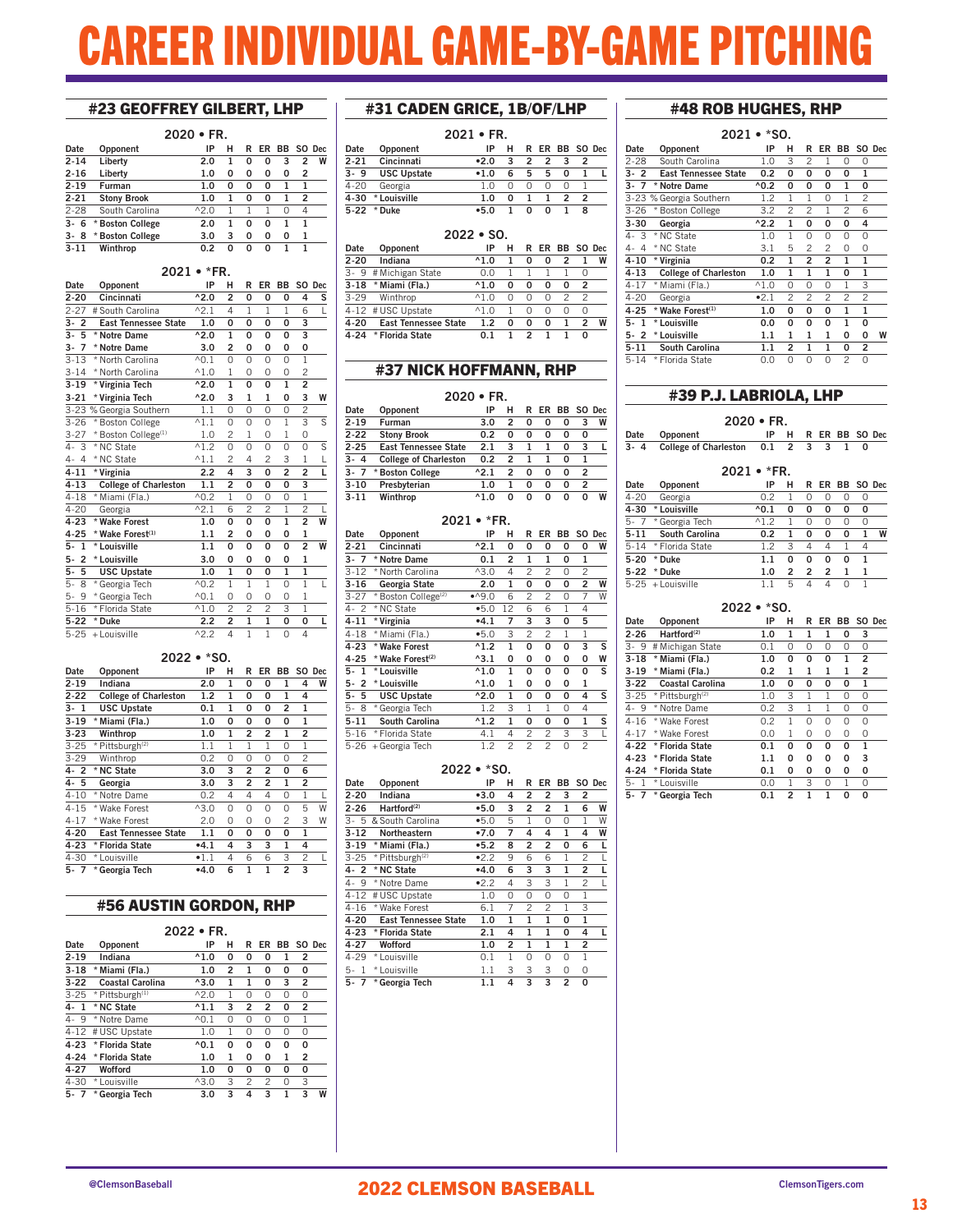# EER INDIVIDUAL GAME-BY-GAME PITCHING

### #23 GEOFFREY GILBERT, LHP

|      |                    | $2020 \cdot FR$ |   |   |    |     |                |        |
|------|--------------------|-----------------|---|---|----|-----|----------------|--------|
| Date | Opponent           | IP              | н | R | ER | BB. |                | SO Dec |
| 2-14 | Liberty            | 2.0             | 1 | O | 0  | 3   | 2              | W      |
| 2-16 | Liberty            | 1.0             | 0 | 0 | 0  | 0   | 2              |        |
| 2-19 | Furman             | 1.0             | 0 | 0 | 0  | 1   |                |        |
| 2-21 | <b>Stony Brook</b> | 1.0             | 1 | O | 0  | 1   | $\overline{2}$ |        |
| 2-28 | South Carolina     | $^{\wedge}2.0$  | 1 |   |    | 0   | 4              |        |
| 3-6  | * Boston College   | 2.0             | 1 | O | O  | 1   | 1              |        |
| 3-8  | * Boston College   | 3.0             | 3 | 0 | 0  | 0   | 1              |        |
| 3-11 | Winthrop           | 0.2             | 0 | ŋ | ŋ  |     | 1              |        |

### 2021 • \*FR.

| Date                          | Opponent                        | IP                | н              | R                       | ER                      | BB             |                         | SO Dec         |
|-------------------------------|---------------------------------|-------------------|----------------|-------------------------|-------------------------|----------------|-------------------------|----------------|
| $2 - 20$                      | Cincinnati                      | $^{\wedge}2.0$    | $\overline{a}$ | 0                       | 0                       | 0              | 4                       | s              |
| $2 - 27$                      | # South Carolina                | $^{\wedge}2.1$    | 4              | 1                       | 1                       | 1              | 6                       | ī              |
| 3-<br>$\overline{2}$          | <b>East Tennessee State</b>     | 1.0               | 0              | 0                       | 0                       | 0              | 3                       |                |
| $3-$<br>5                     | * Notre Dame                    | $^{\wedge}2.0$    | $\mathbf{1}$   | 0                       | 0                       | O              | 3                       |                |
| $\overline{7}$<br>3-          | * Notre Dame                    | 3.0               | $\overline{a}$ | 0                       | 0                       | 0              | 0                       |                |
| $3 - 13$                      | * North Carolina                | $\overline{6}0.1$ | 0              | 0                       | 0                       | 0              | $\mathbf{1}$            |                |
| $3 - 14$                      | * North Carolina                | $^{\wedge}1.0$    | $\mathbf{1}$   | 0                       | 0                       | 0              | $\overline{c}$          |                |
| $3 - 19$                      | * Virginia Tech                 | $^{\wedge}2.0$    | $\overline{1}$ | O                       | 0                       | $\mathbf{1}$   | $\overline{\mathbf{2}}$ |                |
| $3 - 21$                      | * Virginia Tech                 | $^{\wedge}2.0$    | 3              | 1                       | 1                       | 0              | 3                       | W              |
|                               | 3-23 % Georgia Southern         | 1.1               | 0              | 0                       | 0                       | 0              | $\overline{c}$          |                |
| $3 - 26$                      | * Boston College                | $^{\wedge}1.1$    | $\Omega$       | 0                       | $\Omega$                | $\overline{1}$ | 3                       | $\overline{s}$ |
| $3 - 27$                      | * Boston College <sup>(1)</sup> | 1.0               | $\overline{c}$ | $\mathbf{1}$            | 0                       | $\mathbf{1}$   | 0                       |                |
| 4-<br>3                       | * NC State                      | $^{\wedge}1.2$    | 0              | 0                       | 0                       | 0              | 0                       | S              |
| $4 - 4$                       | * NC State                      | $^{\wedge}1.1$    | $\overline{c}$ | 4                       | $\overline{c}$          | 3              | $\mathbf{1}$            | $\frac{L}{L}$  |
| $4 - 11$                      | * Virginia                      | 2.2               | 4              | 3                       | 0                       | $\overline{a}$ | $\overline{a}$          |                |
| $4 - 13$                      | <b>College of Charleston</b>    | 1.1               | 2              | 0                       | 0                       | O              | 3                       |                |
| $4 - 18$                      | * Miami (Fla.)                  | $^{\wedge}0.2$    | 1              | 0                       | 0                       | $\Omega$       | ī                       |                |
| $4 - 20$                      | Georgia                         | $^{\wedge}2.1$    | 6              | $\overline{c}$          | $\overline{c}$          | $\mathbf{1}$   | $\overline{c}$          |                |
| $4 - 23$                      | * Wake Forest                   | 1.0               | 0              | O                       | O                       | $\mathbf{1}$   | $\overline{a}$          | W              |
| $4 - 25$                      | * Wake Forest <sup>(1)</sup>    | 1.1               | $\overline{2}$ | 0                       | 0                       | 0              | 1                       |                |
| 5-<br>$\mathbf{1}$            | * Louisville                    | 1.1               | O              | O                       | O                       | O              | $\overline{2}$          | W              |
| $\overline{\mathbf{c}}$<br>5- | * Louisville                    | 3.0               | 0              | 0                       | 0                       | 0              | 1                       |                |
| 5<br>5-                       | <b>USC Upstate</b>              | 1.0               | $\mathbf{1}$   | 0                       | 0                       | $\mathbf{1}$   | $\mathbf{1}$            |                |
| $5-$<br>8                     | * Georgia Tech                  | $^{\wedge}0.2$    | $\overline{1}$ | $\overline{1}$          | $\overline{1}$          | 0              | $\overline{1}$          | L              |
| 9<br>5-                       | * Georgia Tech                  | $^{\wedge}0.1$    | 0              | 0                       | 0                       | 0              | $\overline{1}$          |                |
| $5 - 16$                      | * Florida State                 | $^{\wedge}1.0$    | $\overline{c}$ | $\overline{c}$          | $\overline{c}$          | 3              | 1                       |                |
| $5 - 22$                      | * Duke                          | 2.2               | $\overline{2}$ | $\overline{\mathbf{1}}$ | $\overline{\mathbf{1}}$ | O              | O                       | г              |
| $5 - 25$                      | + Louisville                    | $^{\wedge}2.2$    | 4              | 1                       | 1                       | $\Omega$       | 4                       |                |

### 2022 • \*SO.

| Date     | Opponent                     | IP             | н            | R              | ER             | ВB             | SO.            | <b>Dec</b> |
|----------|------------------------------|----------------|--------------|----------------|----------------|----------------|----------------|------------|
| $2 - 19$ | Indiana                      | 2.0            | 1            | 0              | 0              | 1              | 4              | W          |
| $2 - 22$ | <b>College of Charleston</b> | 1.2            | 1            | 0              | 0              | 1              | 4              |            |
| 3-1      | <b>USC Upstate</b>           | 0.1            | 1            | 0              | 0              | 2              | 1              |            |
| $3 - 19$ | * Miami (Fla.)               | 1.0            | 0            | 0              | 0              | 0              | $\mathbf{1}$   |            |
| $3 - 23$ | Winthrop                     | 1.0            | 1            | 2              | 2              | 1              | 2              |            |
| $3 - 25$ | * Pittsburgh <sup>(2)</sup>  | 1.1            | $\mathbf{1}$ | 1              | 1              | 0              | 1              |            |
| $3 - 29$ | Winthrop                     | 0.2            | 0            | 0              | 0              | 0              | $\mathfrak{p}$ |            |
| $4 - 2$  | * NC State                   | 3.0            | 3            | 2              | 2              | 0              | 6              |            |
| $4 - 5$  | Georgia                      | 3.0            | 3            | $\overline{2}$ | $\overline{2}$ | $\mathbf{1}$   | $\overline{2}$ |            |
| $4 - 10$ | * Notre Dame                 | 0.2            | 4            | 4              | 4              | 0              | 1              | L          |
| $4 - 15$ | * Wake Forest                | $^{\wedge}3.0$ | 0            | 0              | 0              | 0              | 5              | W          |
| $4 - 17$ | * Wake Forest                | 2.0            | 0            | 0              | 0              | 2              | 3              | W          |
| $4 - 20$ | <b>East Tennessee State</b>  | 1.1            | 0            | 0              | 0              | 0              | 1              |            |
| $4 - 23$ | * Florida State              | $-4.1$         | 4            | 3              | 3              | 1              | 4              |            |
| $4 - 30$ | * Louisville                 | $\bullet$ 1.1  | 4            | 6              | 6              | 3              | 2              | L          |
| $5 - 7$  | * Georgia Tech               | •4.0           | 6            | 1              | 1              | $\overline{2}$ | 3              |            |

### #56 AUSTIN GORDON, RHP

| 2022 |  |  |
|------|--|--|
|      |  |  |

| Date                 | Opponent                    | IP              | н | R              | ER | <b>BB</b> |                | SO Dec |
|----------------------|-----------------------------|-----------------|---|----------------|----|-----------|----------------|--------|
| $2 - 19$             | Indiana                     | $^{\wedge}1.0$  | 0 | 0              | 0  | 1         | 2              |        |
| $3 - 18$             | * Miami (Fla.)              | 1.0             | 2 | 1              | 0  | 0         | 0              |        |
| $3 - 22$             | Coastal Carolina            | $^{\wedge}3.0$  | 1 | 1              | 0  | 3         | $\overline{2}$ |        |
| $3 - 25$             | * Pittsburgh <sup>(1)</sup> | $^{\wedge}2.0$  | 1 | 0              | 0  | 0         | 0              |        |
| 4.1                  | * NC State                  | $^{\wedge}1.1$  | 3 | $\overline{2}$ | 2  | 0         | $\overline{2}$ |        |
| <sup>9</sup><br>$4-$ | * Notre Dame                | $^{\wedge}$ 0.1 | 0 | 0              | 0  | $\Omega$  | 1              |        |
| $4 - 12$             | # USC Upstate               | 1.0             | 1 | 0              | 0  | $\Omega$  | $\Omega$       |        |
| $4 - 23$             | * Florida State             | $^{\wedge}0.1$  | 0 | 0              | O  | 0         | 0              |        |
| $4 - 24$             | * Florida State             | 1.0             | 1 | 0              | 0  | 1         | $\overline{2}$ |        |
| $4 - 27$             | Wofford                     | 1.0             | 0 | 0              | 0  | 0         | 0              |        |
| $4 - 30$             | * Louisville                | $^{\wedge}3.0$  | 3 | $\mathfrak{p}$ | 2  | $\Omega$  | 3              |        |
| $5 - 7$              | * Georgia Tech              | 3.0             | 3 | 4              | 3  | 1         | 3              | W      |

### #31 CADEN GRICE, 1B/OF/LHP

| $2021 \cdot FR$    |      |   |   |               |   |   |                |
|--------------------|------|---|---|---------------|---|---|----------------|
| Opponent           | IP   | н |   |               |   |   |                |
| Cincinnati         | •2.0 | 3 | 2 | $\mathcal{P}$ | 3 | 2 |                |
| <b>USC Upstate</b> | •1.0 | 6 | 5 | 5             | O |   |                |
| Georgia            | 1 ∩  |   | Ω | O             | ∩ |   |                |
| * Louisville       | 1.0  | O | 1 |               | 2 | 2 |                |
| * Duke             | •5.0 |   | U | n             |   | 8 |                |
|                    | 5-22 |   |   |               |   |   | R ER BB SO Dec |

### 2022 • SO.

| Date     | Opponent                    | IP                    |   | R |   | ER BB SO Dec |   |   |  |
|----------|-----------------------------|-----------------------|---|---|---|--------------|---|---|--|
| $2 - 20$ | Indiana                     | $^{\wedge}1.0$        |   | O | O | 2            |   | W |  |
|          | 3- 9 # Michigan State       | 0.0                   |   |   |   |              |   |   |  |
| 3-18     | * Miami (Fla.)              | $^{\wedge}1.0$        | O | o | Ω | O            | 2 |   |  |
| 3-29     | Winthrop                    | $^{\wedge}1.0$        | Ω | O | Ω |              |   |   |  |
|          | 4-12 # USC Upstate          | $^{\wedge}1$ $\Omega$ |   | Ω | Ω | O            | O |   |  |
| 4-20     | <b>East Tennessee State</b> | 1.2                   | O | O | O | 1            |   | W |  |
| 4-24     | * Florida State             | 0.1                   |   | 2 |   |              |   |   |  |

### #37 NICK HOFFMANN, RHP

|          | $2020 \cdot FR$              |                |   |   |           |           |                |        |  |  |
|----------|------------------------------|----------------|---|---|-----------|-----------|----------------|--------|--|--|
| Date     | Opponent                     | IP             | н | R | <b>FR</b> | <b>BB</b> |                | SO Dec |  |  |
| $2 - 19$ | Furman                       | 3.0            | 2 | 0 | 0         | 0         | 3              | W      |  |  |
| $2 - 22$ | <b>Stony Brook</b>           | 0.2            | 0 | 0 | O         | O         | 0              |        |  |  |
| $2 - 25$ | <b>East Tennessee State</b>  | 2.1            | 3 | 1 |           | O         | 3              |        |  |  |
| $3 - 4$  | <b>College of Charleston</b> | 0.2            | 2 | 1 |           | O         | 1              |        |  |  |
| $3 - 7$  | * Boston College             | $^{\wedge}2.1$ | 2 | 0 | O         | O         | 2              |        |  |  |
| $3 - 10$ | Presbyterian                 | 1.0            |   | 0 | O         | O         | $\overline{2}$ |        |  |  |
| $3 - 11$ | Winthrop                     | $^{\wedge}1.0$ | o | ŋ | ŋ         | O         | ŋ              | W      |  |  |

|                      |                                 | 2021 • *FR.     |                |                |                |    |                |        |
|----------------------|---------------------------------|-----------------|----------------|----------------|----------------|----|----------------|--------|
| Date                 | Opponent                        | IP              | н              | R              | ER             | ВB |                | SO Dec |
| 2-21                 | Cincinnati                      | $^{\wedge}2.1$  | 0              | 0              | 0              | 0  | 0              | W      |
| $3 - 7$              | * Notre Dame                    | 0.1             | 2              | $\mathbf{1}$   | $\mathbf{1}$   | 0  | $\mathbf{1}$   |        |
| $3 - 12$             | * North Carolina                | $^{\wedge 3.0}$ | 4              | $\mathfrak{p}$ | 2              | 0  | $\mathfrak{p}$ |        |
| $3 - 16$             | Georgia State                   | 2.0             | 1              | 0              | 0              | 0  | 2              | W      |
| $3 - 27$             | * Boston College <sup>(2)</sup> | 0.94            | 6              | 2              | 2              | 0  | 7              | W      |
| $4 - 2$              | * NC State                      | •5.0            | 12             | 6              | 6              | 1  | 4              |        |
| $4 - 11$             | * Virginia                      | $-4.1$          | 7              | 3              | 3              | 0  | 5              |        |
| $4 - 18$             | * Miami (Fla.)                  | •5.0            | 3              | $\mathfrak{p}$ | $\mathfrak{p}$ | 1  | 1              |        |
| $4 - 23$             | * Wake Forest                   | $^{\wedge}1.2$  | $\mathbf{1}$   | 0              | 0              | 0  | 3              | S      |
| $4 - 25$             | * Wake Forest <sup>(2)</sup>    | $^{\wedge}3.1$  | 0              | 0              | 0              | 0  | 0              | W      |
| 5-<br>$\mathbf{1}$   | * Louisville                    | $^{\wedge}1.0$  | $\mathbf{1}$   | 0              | 0              | 0  | 0              | S      |
| $\overline{2}$<br>5- | * Louisville                    | $^{\wedge}1.0$  | $\mathbf{1}$   | 0              | 0              | 0  | $\mathbf{1}$   |        |
| 5-<br>5              | <b>USC Upstate</b>              | $^{\wedge}2.0$  | $\mathbf{1}$   | 0              | 0              | 0  | 4              | S      |
| 5-<br>8              | * Georgia Tech                  | 1.2             | 3              | 1              | 1              | 0  | 4              |        |
| $5 - 11$             | <b>South Carolina</b>           | $^{\wedge}1.2$  | $\mathbf{1}$   | 0              | 0              | 0  | 1              | S      |
| $5 - 16$             | * Florida State                 | 4.1             | 4              | 2              | 2              | 3  | 3              | L      |
| $5 - 26$             | + Georgia Tech                  | 1.2             | $\overline{c}$ | 2              | 2              | 0  | $\overline{c}$ |        |

### 2022 • \*SO.

| Date               | Opponent                    | IP      | н        | R              | ER             | BB             |   | SO Dec |  |
|--------------------|-----------------------------|---------|----------|----------------|----------------|----------------|---|--------|--|
| $2 - 20$           | Indiana                     | •3.0    | 4        | 2              | 2              | 3              | 2 |        |  |
| $2 - 26$           | Hartford <sup>(2)</sup>     | •5.0    | 3        | 2              | 2              | 1              | 6 | W      |  |
| $3 - 5$            | & South Carolina            | •5.0    | 5        | 1              | 0              | $\Omega$       | 1 | W      |  |
| $3 - 12$           | Northeastern                | •7.0    | 7        | 4              | 4              | $\mathbf{1}$   | 4 | W      |  |
| $3 - 19$           | * Miami (Fla.)              | •5.2    | 8        | 2              | 2              | 0              | 6 | L      |  |
| $3 - 25$           | * Pittsburgh <sup>(2)</sup> | •2.2    | 9        | 6              | 6              | 1              | 2 |        |  |
| 4-2                | * NC State                  | •4.0    | 6        | 3              | 3              | $\mathbf{1}$   | 2 | L      |  |
| 4-9                | * Notre Dame                | •2.2    | 4        | 3              | 3              | 1              | 2 | L      |  |
| $4 - 12$           | # USC Upstate               | 1.0     | $\Omega$ | $\Omega$       | $\Omega$       | $\Omega$       | 1 |        |  |
| $4 - 16$           | * Wake Forest               | 6.1     | 7        | $\mathfrak{p}$ | $\mathfrak{p}$ | 1              | 3 |        |  |
| 4-20               | <b>East Tennessee State</b> | 1.0     | 1        | 1              | 1              | 0              | 1 |        |  |
| $4 - 23$           | * Florida State             | 2.1     | 4        | $\mathbf{1}$   | $\mathbf{1}$   | 0              | 4 | L      |  |
| 4-27               | Wofford                     | 1.0     | 2        | 1              | 1              | 1              | 2 |        |  |
| $4 - 29$           | * Louisville                | 0.1     | 1        | 0              | 0              | $\Omega$       | 1 |        |  |
| $\mathbf{1}$<br>5- | * Louisville                | 1.1     | 3        | 3              | 3              | 0              | 0 |        |  |
| $5 - 7$            | * Georgia Tech              | $1.1\,$ | 4        | 3              | 3              | $\overline{2}$ | 0 |        |  |
|                    |                             |         |          |                |                |                |   |        |  |

### #48 ROB HUGHES, RHP

| 2021 • *SO.          |                              |                |                |                |                |                |                |        |  |
|----------------------|------------------------------|----------------|----------------|----------------|----------------|----------------|----------------|--------|--|
| Date                 | Opponent                     | IP             | н              | R              | ER             | BB.            |                | SO Dec |  |
| $2 - 28$             | South Carolina               | 1.0            | 3              | 2              | 1              | 0              | 0              |        |  |
| 3-<br>$\overline{2}$ | <b>East Tennessee State</b>  | 0.2            | 0              | 0              | 0              | 0              | $\mathbf{1}$   |        |  |
| $3-$<br>7            | * Notre Dame                 | $^{\wedge}0.2$ | 0              | 0              | 0              | $\mathbf{1}$   | 0              |        |  |
|                      | 3-23 % Georgia Southern      | 1.2            | 1              | 1              | $\Omega$       | 1              | 2              |        |  |
| $3 - 26$             | <b>Boston College</b><br>×   | 3.2            | 2              | 2              | 1              | $\mathfrak{p}$ | 6              |        |  |
| $3 - 30$             | Georgia                      | $^{\wedge}2.2$ | $\mathbf{1}$   | 0              | 0              | 0              | 4              |        |  |
| 4-<br>3              | * NC State                   | 1.0            | 1              | 0              | O              | 0              | 0              |        |  |
| $\overline{4}$<br>4- | * NC State                   | 3.1            | 5              | 2              | $\mathfrak{p}$ | 0              | 0              |        |  |
| $4 - 10$             | * Virginia                   | 0.2            | $\mathbf{1}$   | $\overline{a}$ | $\overline{a}$ | $\mathbf{1}$   | $\mathbf{1}$   |        |  |
| $4 - 13$             | <b>College of Charleston</b> | 1.0            | $\mathbf{1}$   | $\mathbf{1}$   | $\mathbf{1}$   | 0              | $\mathbf{1}$   |        |  |
| $4 - 17$             | * Miami (Fla.)               | $^{\wedge}1.0$ | $\Omega$       | $\Omega$       | $\Omega$       | 1              | 3              |        |  |
| $4 - 20$             | Georgia                      | •2.1           | $\overline{c}$ | $\mathfrak{p}$ | $\mathfrak{p}$ | $\mathfrak{p}$ | $\overline{c}$ |        |  |
| $4 - 25$             | * Wake Forest(1)             | 1.0            | 0              | 0              | 0              | $\mathbf{1}$   | $\mathbf{1}$   |        |  |
| 5-<br>1              | * Louisville                 | 0.0            | 0              | 0              | 0              | 1              | 0              |        |  |
| $5 - 2$              | * Louisville                 | 1.1            | $\mathbf{1}$   | $\mathbf{1}$   | $\mathbf{1}$   | 0              | 0              | W      |  |
| $5 - 11$             | <b>South Carolina</b>        | 1.1            | 2              | $\mathbf{1}$   | $\mathbf{1}$   | 0              | 2              |        |  |
| $5 - 14$             | * Florida State              | 0.0            | 0              | $\Omega$       | $\Omega$       | $\overline{c}$ | 0              |        |  |

### #39 P.J. LABRIOLA, LHP

| $2020 \cdot FR.$ |                                         |  |  |  |  |  |                     |  |
|------------------|-----------------------------------------|--|--|--|--|--|---------------------|--|
|                  | Date Opponent                           |  |  |  |  |  | IP H R ER BB SO Dec |  |
|                  | 3-4 College of Charleston 0.1 2 3 3 1 0 |  |  |  |  |  |                     |  |

| $2021 \cdot *FR$ |                     |                |                |                |    |          |           |   |  |
|------------------|---------------------|----------------|----------------|----------------|----|----------|-----------|---|--|
| Date             | Opponent            | IP             | н              | R              | ER |          | BB SO Dec |   |  |
| $4 - 20$         | Georgia             | 0.2            | 1              | Ω              | Ω  | Ω        | Ω         |   |  |
| $4 - 30$         | * Louisville        | $^{\wedge}0.1$ | 0              | 0              | 0  | 0        | 0         |   |  |
| $5 - 7$          | * Georgia Tech      | $^{\wedge}1.2$ |                | Ω              | Ω  | Ω        | Ω         |   |  |
| $5 - 11$         | South Carolina      | 0.2            | ٦              | O              | O  | O        |           | W |  |
| $5 - 14$         | * Florida State     | 1.2            | 3              | 4              | 4  | 1        | 4         |   |  |
| $5 - 20$         | * Duke              | 1.1            | O              | O              | O  | $\Omega$ | 1         |   |  |
| $5 - 22$         | * Duke              | 1.0            | $\mathfrak{p}$ | $\mathfrak{p}$ | 2  | 1        | 1         |   |  |
|                  | $5-25 +$ Louisville |                | 5              | Δ              | Δ  | Ω        |           |   |  |

### 2022 • \*SO.

| Date                    | Opponent                    | IP  | н | R | ER       | BB |   | SO Dec |
|-------------------------|-----------------------------|-----|---|---|----------|----|---|--------|
| $2 - 26$                | Hartford <sup>(2)</sup>     | 1.0 | 1 | 1 | 1        | 0  | 3 |        |
| 3-9                     | # Michigan State            | 0.1 | 0 | 0 | 0        | 0  | 0 |        |
| $3 - 18$                | * Miami (Fla.)              | 1.0 | 0 | 0 | 0        | 1  | 2 |        |
| $3 - 19$                | * Miami (Fla.)              | 0.2 | 1 | 1 | 1        | 1  | 2 |        |
| $3-22$                  | Coastal Carolina            | 1.0 | 0 | 0 | 0        | 0  | 1 |        |
| $3 - 25$                | * Pittsburgh <sup>(2)</sup> | 1.0 | 3 | 1 | 1        | 0  | 0 |        |
| 4-9                     | * Notre Dame                | 0.2 | 3 | 1 | 1        | 0  | 0 |        |
| $4 - 16$                | * Wake Forest               | 0.2 | 1 | 0 | O        | 0  | 0 |        |
| $4 - 17$                | * Wake Forest               | 0.0 | 1 | 0 | 0        | 0  | 0 |        |
| $4 - 22$                | * Florida State             | 0.1 | O | 0 | $\Omega$ | 0  | 1 |        |
| $4 - 23$                | * Florida State             | 1.1 | 0 | 0 | 0        | 0  | 3 |        |
| $4 - 24$                | * Florida State             | 0.1 | 0 | 0 | 0        | 0  | 0 |        |
| $5 -$<br>$\overline{1}$ | * Louisville                | 0.0 | 1 | 3 | $\Omega$ | 1  | 0 |        |
| 5-                      | * Georgia Tech              | 0.1 | 2 |   | 1        | O  | 0 |        |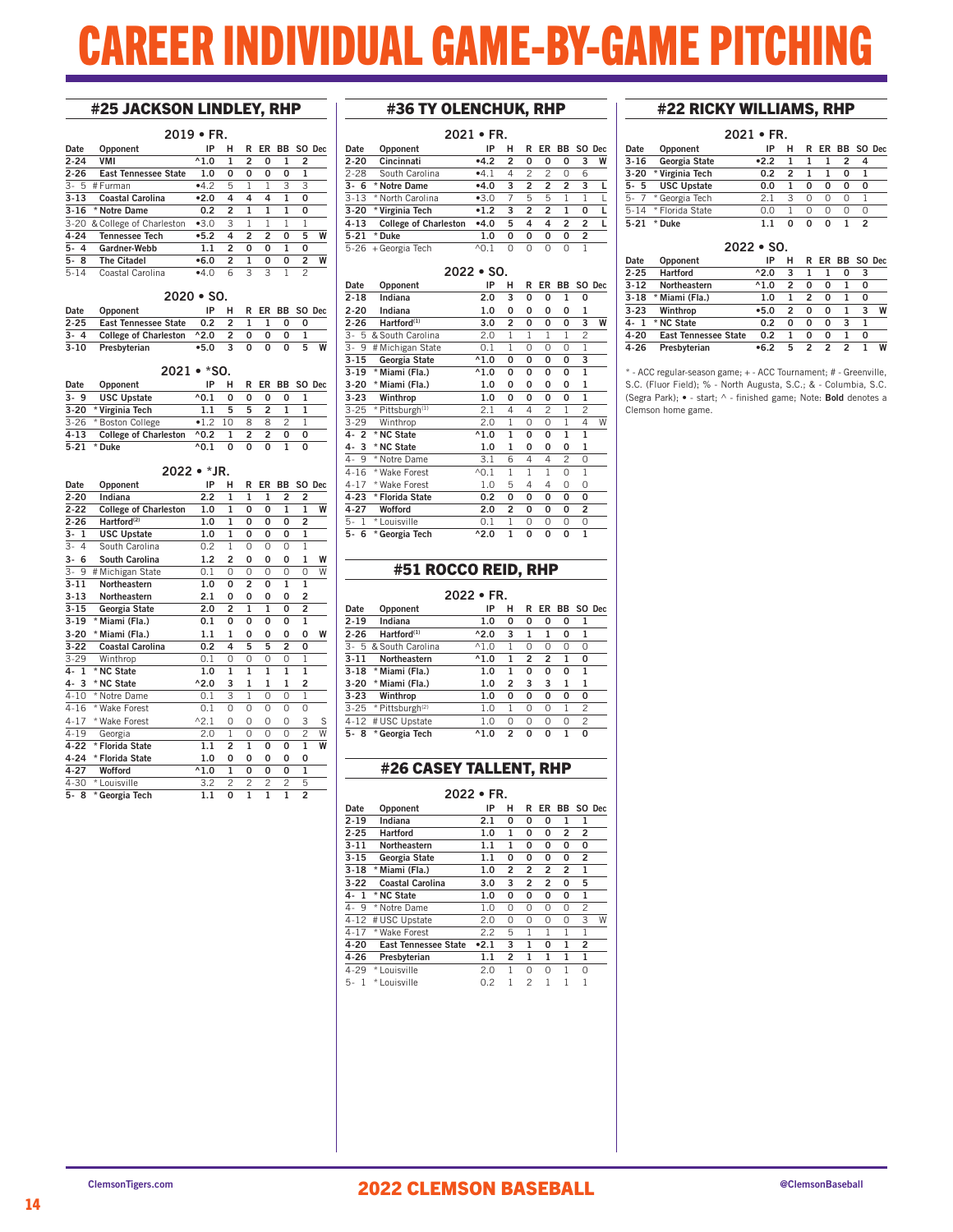# EER INDIVIDUAL GAME-BY-GAME PITCH

### #25 JACKSON LINDLEY, RHP

|          | $2019 \cdot FR.$             |                |                |                |    |    |                |        |  |  |
|----------|------------------------------|----------------|----------------|----------------|----|----|----------------|--------|--|--|
| Date     | Opponent                     | IP             | н              | R              | ER | ВB |                | SO Dec |  |  |
| $2 - 24$ | <b>VMI</b>                   | $^{\wedge}1.0$ | 1              | $\overline{2}$ | 0  |    | 2              |        |  |  |
| $2 - 26$ | <b>East Tennessee State</b>  | 1.0            | 0              | 0              | 0  | 0  | 1              |        |  |  |
| $3 - 5$  | # Furman                     | •4.2           | 5              | 1              | 1  | 3  | 3              |        |  |  |
| $3 - 13$ | <b>Coastal Carolina</b>      | •2.0           | 4              | 4              | 4  | 1  | 0              |        |  |  |
| $3 - 16$ | * Notre Dame                 | 0.2            | $\mathfrak{p}$ | 1              | 1  | 1  | 0              |        |  |  |
|          | 3-20 & College of Charleston | $-3.0$         | 3              | 1              |    |    | 1              |        |  |  |
| 4-24     | <b>Tennessee Tech</b>        | •5.2           | 4              | $\overline{2}$ | 2  | O  | 5              | W      |  |  |
| 5-4      | Gardner-Webb                 | 1.1            | 2              | 0              | 0  | 1  | 0              |        |  |  |
| $5 - 8$  | <b>The Citadel</b>           | •6.0           | 2              | 1              | O  | 0  | $\overline{2}$ | W      |  |  |
| $5 - 14$ | Coastal Carolina             | •4.0           | 6              | 3              | 3  |    | 2              |        |  |  |

### 2020 • SO.

| Date     | Opponent                             | IP.      | H |     | R ER BB SO Dec |    |   |
|----------|--------------------------------------|----------|---|-----|----------------|----|---|
| $2 - 25$ | East Tennessee State 0.2 2           |          |   |     |                |    |   |
|          | 3-4 College of Charleston ^2.0 2 0 0 |          |   |     |                |    |   |
| 3-10     | Presbyterian                         | $-5.0$ 3 |   | 0 O | - 0            | 5. | W |

### 2021 • \*SO.

| Date     | Opponent                     | ΙP                |   |   |   | R ER BB SO Dec |   |  |
|----------|------------------------------|-------------------|---|---|---|----------------|---|--|
| $3 - 9$  | <b>USC Upstate</b>           | $\land$ $\land$ 1 |   | o | n |                |   |  |
| $3 - 20$ | * Virginia Tech              | 11                | 5 | 5 | 2 |                |   |  |
|          | 3-26 * Boston College        | •1210             |   | я | я |                |   |  |
| $4 - 13$ | <b>College of Charleston</b> | $^{\wedge}0.2$    |   | 2 | 2 |                | o |  |
| 5.21     | Duke                         | $\land$ $\land$ 1 |   | n | n |                |   |  |

#### 2022 • \*JR.<br>IP H Date Opponent IP H R ER BB SO Dec<br>2-20 Indiana 2.2 1 1 1 2 2 2-20 Indiana 2.2 1  $\frac{2-22}{2-26}$  College of Charleston 1.0 1 0 0 1 1 W<br>2-26 Hartford<sup>(2)</sup> 1.0 1 0 0 0 2  $\overline{\text{Hartford}^{(2)}}$ 3- 1 USC Upstate 1.0 1 0 0 0<br>3- 4 South Carolina 0.2 1 0 0 0 South Carolina 0.2 1 0 0 0 1<br> **South Carolina** 1.2 2 0 0 0 1 3- 6 South Carolina 1.2 2 0 0 0 1 W<br>  $\overline{3}$ - 9 # Michigan State 0.1 0 0 0 0 0 W 3- 9 # Michigan State 0.1 0 0 0 0 0 W 3-11 Northeastern 1.0 0 2 0 1 1 3-13 Northeastern 2.1 0 0 0 0 2 3-15 Georgia State 2.0 2 1 1 0 2 3-19 \* Miami (Fla.) 0.1 0 0 0 0 1 3-20 \* Miami (Fla.) 1.1 1 0 0 0 0 W 3-22 Coastal Carolina 0.2 4 5 5 2 0 3-29 Winthrop 0.1 0 0 0 0 1 4 - 1 \* NC State 1.0 1 1 1 1 1 4- 3 \* NC State ^2.0 3 1 1 1 2 4-10 \* Notre Dame 0.1 3 1 0 0 1 4-16 \* Wake Forest 0.1 0 0 0 0 0 4-17 \* Wake Forest  $\frac{12}{2}$  0 0 0 0 0 3 S 4-19 Georgia 2.0 1 0 0 0 2 W 4-22 \* Florida State 1.1 2 1 0 0 1 W 4-24 \* Florida State 1.0 0 0 0 0 0 4-27 Wofford ^1.0 1 0 0 0 1 4-30 \* Louisville 3.2 2 2 2 2 5 5- 8 \* Georgia Tech 1.1 0 1 1 1 2

### #36 TY OLENCHUK, RHP

| $2021 \cdot FR$ . |                              |              |                |                |                |                |                |        |  |
|-------------------|------------------------------|--------------|----------------|----------------|----------------|----------------|----------------|--------|--|
| Date              | Opponent                     | ΙP           | н              | R              | ER             | BB.            |                | SO Dec |  |
| 2-20              | Cincinnati                   | •4.2         | $\overline{2}$ | 0              | 0              | 0              | 3              | W      |  |
| $2 - 28$          | South Carolina               | •4.1         | 4              | 2              | $\mathcal{P}$  | O              | 6              |        |  |
| $3 - 6$           | * Notre Dame                 | •4.0         | 3              | $\overline{2}$ | $\overline{2}$ | $\overline{2}$ | 3              |        |  |
| $3 - 13$          | * North Carolina             | $-3.0$       | 7              | 5              | 5              | $\mathbf{1}$   |                |        |  |
| 3-20              | * Virginia Tech              | •1.2         | 3              | $\overline{2}$ | $\overline{2}$ | ٦              | 0              | L      |  |
| 4-13              | <b>College of Charleston</b> | •4.0         | 5              | 4              | 4              | $\overline{2}$ | $\overline{2}$ |        |  |
| 5-21              | * Duke                       | 1.0          | 0              | 0              | O              | 0              | $\overline{2}$ |        |  |
|                   | 5-26 + Georgia Tech          | $\wedge$ 0 1 | Ω              | Ω              | Ω              | n              | 1              |        |  |
|                   |                              |              |                |                |                |                |                |        |  |

### 2022 • SO.

| Date                 | Opponent                    | IP             | н            | R            | ER | BB |              | SO Dec |
|----------------------|-----------------------------|----------------|--------------|--------------|----|----|--------------|--------|
| $2 - 18$             | Indiana                     | 2.0            | 3            | 0            | 0  | 1  | 0            |        |
| $2 - 20$             | Indiana                     | 1.0            | 0            | 0            | 0  | 0  | 1            |        |
| $2 - 26$             | Hartford <sup>(1)</sup>     | 3.0            | 2            | 0            | 0  | 0  | 3            | W      |
| 3-<br>5              | & South Carolina            | 2.0            | 1            | 1            | 1  | 1  | 2            |        |
| $3 - 9$              | # Michigan State            | 0.1            | $\mathbf{1}$ | 0            | 0  | 0  | $\mathbf{1}$ |        |
| $3 - 15$             | Georgia State               | $^{\wedge}1.0$ | 0            | 0            | 0  | 0  | 3            |        |
| $3 - 19$             | * Miami (Fla.)              | $^{\wedge}1.0$ | 0            | 0            | 0  | 0  | 1            |        |
| $3 - 20$             | * Miami (Fla.)              | 1.0            | 0            | 0            | 0  | 0  | 1            |        |
| $3 - 23$             | Winthrop                    | 1.0            | 0            | 0            | 0  | 0  | 1            |        |
| $3 - 25$             | * Pittsburgh <sup>(1)</sup> | 2.1            | 4            | 4            | 2  | 1  | 2            |        |
| $3 - 29$             | Winthrop                    | 2.0            | 1            | 0            | 0  | 1  | 4            | W      |
| 4-2                  | * NC State                  | $^{\wedge}1.0$ | $\mathbf{1}$ | 0            | 0  | 1  | 1            |        |
| 4-3                  | * NC State                  | 1.0            | $\mathbf{1}$ | 0            | 0  | 0  | 1            |        |
| 4-<br>9              | * Notre Dame                | 3.1            | 6            | 4            | 4  | 2  | 0            |        |
| $4 - 16$             | * Wake Forest               | $^{\wedge}0.1$ | $\mathbf{1}$ | $\mathbf{1}$ | 1  | 0  | 1            |        |
| $4 - 17$             | * Wake Forest               | 1.0            | 5            | 4            | 4  | 0  | 0            |        |
| 4-23                 | * Florida State             | 0.2            | 0            | 0            | 0  | 0  | 0            |        |
| 4-27                 | Wofford                     | 2.0            | 2            | 0            | 0  | 0  | 2            |        |
| 5-<br>$\overline{1}$ | * Louisville                | 0.1            | 1            | 0            | 0  | 0  | 0            |        |
| $5 - 6$              | * Georgia Tech              | $^{\wedge}2.0$ | 1            | 0            | 0  | 0  | 1            |        |

### #51 ROCCO REID, RHP

#### 2022 • FR.

| Date     | Opponent                    | IP             | н              | R              | FR             | BB.      |               | SO Dec |
|----------|-----------------------------|----------------|----------------|----------------|----------------|----------|---------------|--------|
| $2 - 19$ | Indiana                     | 1.0            | 0              | 0              | 0              | 0        | 1             |        |
| $2 - 26$ | Hartford <sup>(1)</sup>     | $^{\wedge}2.0$ | 3              | 1              | 1              | 0        | 1             |        |
|          | 3- 5 & South Carolina       | $^{\wedge}1.0$ | 1              | 0              | Ω              | $\Omega$ | $\Omega$      |        |
| $3 - 11$ | Northeastern                | $^{\wedge}1.0$ | 1              | $\overline{2}$ | $\overline{2}$ | 1        | 0             |        |
| $3 - 18$ | * Miami (Fla.)              | 1.0            | 1              | 0              | O              | O        | 1             |        |
| $3 - 20$ | * Miami (Fla.)              | 1.0            | $\overline{2}$ | 3              | 3              | 1        | 1             |        |
| $3 - 23$ | Winthrop                    | 1.0            | 0              | 0              | 0              | 0        | 0             |        |
| $3 - 25$ | * Pittsburgh <sup>(2)</sup> | 1.0            | 1              | Ω              | Ω              | 1        | 2             |        |
| $4 - 12$ | # USC Upstate               | 1.0            | Ω              | 0              | Ω              | O        | $\mathcal{P}$ |        |
| $5 - 8$  | * Georgia Tech              | $^{\wedge}1.0$ | 2              | ŋ              | ŋ              |          | $\Omega$      |        |

### #26 CASEY TALLENT, RHP

#### 2022 • FR. Date Opponent IP H R ER BB SO Dec<br>2-19 Indiana 2.1 0 0 0 1 1  $0$  0 0 1 2-25 Hartford 1.0 1 0 0 2 2<br>3-11 Northeastern 1.1 1 0 0 0 0 Northeastern 1.1 1 0 0 0 0<br>
Georgia State 1.1 0 0 0 0 2 3-15 Georgia State 3-18 \* Miami (Fla.) 1.0 2 2 2 2 3-22 Coastal Carolina 3.0 3 2 2 0 5<br>4-1 \*NC State 1.0 0 0 0 0 1  $4-1$  \* NC State 4- 9 \* Notre Dame 1.0 0 0 0 0 2  $\frac{4-12 \text{ # USC Upstate}}{4-17 \times \text{Wake Forest}}$  2.0 0 0 0 0 3 W  $4-17$  \* Wake Forest 4-20 East Tennessee State •2.1 3 1 0 1 2<br>4-26 Presbyterian 1.1 2 1 1 1 1 4-26 Presbyterian 1.1 2 1 1 1 1<br>4-29 \*Louisville 2.0 1 0 0 1 0 4-29 \* Louisville 2.0 1 0 0 1 0<br>5- 1 \* Louisville 0.2 1 2 1 1 1  $0.2 \quad 1 \quad 2 \quad 1 \quad 1 \quad 1$

### #22 RICKY WILLIAMS, RHP

| $2021 \cdot FR$ |                    |      |   |   |   |              |   |  |
|-----------------|--------------------|------|---|---|---|--------------|---|--|
| Date            | Opponent           | IP   | н | R |   | ER BB SO Dec |   |  |
| $3 - 16$        | Georgia State      | •2.2 |   |   |   | 2            | 4 |  |
| $3 - 20$        | * Virginia Tech    | 0.2  | 2 | 1 | 1 | O            | 1 |  |
| $5 - 5$         | <b>USC Upstate</b> | 0.0  |   | ŋ | o | o            | O |  |
| $5 - 7$         | * Georgia Tech     | 21   | 3 | Ω | Ω | ∩            |   |  |
| $5 - 14$        | * Florida State    | റ റ  |   | Ω | O | n            | Ω |  |
| $5-21$          | Duke               |      |   | ŋ | ŋ |              | 2 |  |

#### 2022 • SO. Date Opponent IP H R ER BB SO Dec 2-25 Hartford ^2.0 3 1 1 0 3 3-12 Northeastern ^1.0 2 0 0 1 0 3-18 \* Miami (Fla.) 1.0 1.2 0.1 0 3-23 Winthrop •5.0 2 0 0 1 3 W 4- 1 \* NC State 0.2 0 0 0 3 1 4-20 East Tennessee State 0.2 1 0 0 1 0 4-26 Presbyterian •6.2 5 2 2 2 1 W

\* - ACC regular-season game; + - ACC Tournament; # - Greenville, S.C. (Fluor Field); % - North Augusta, S.C.; & - Columbia, S.C. (Segra Park); • - start; ^ - finished game; Note: Bold denotes a Clemson home game.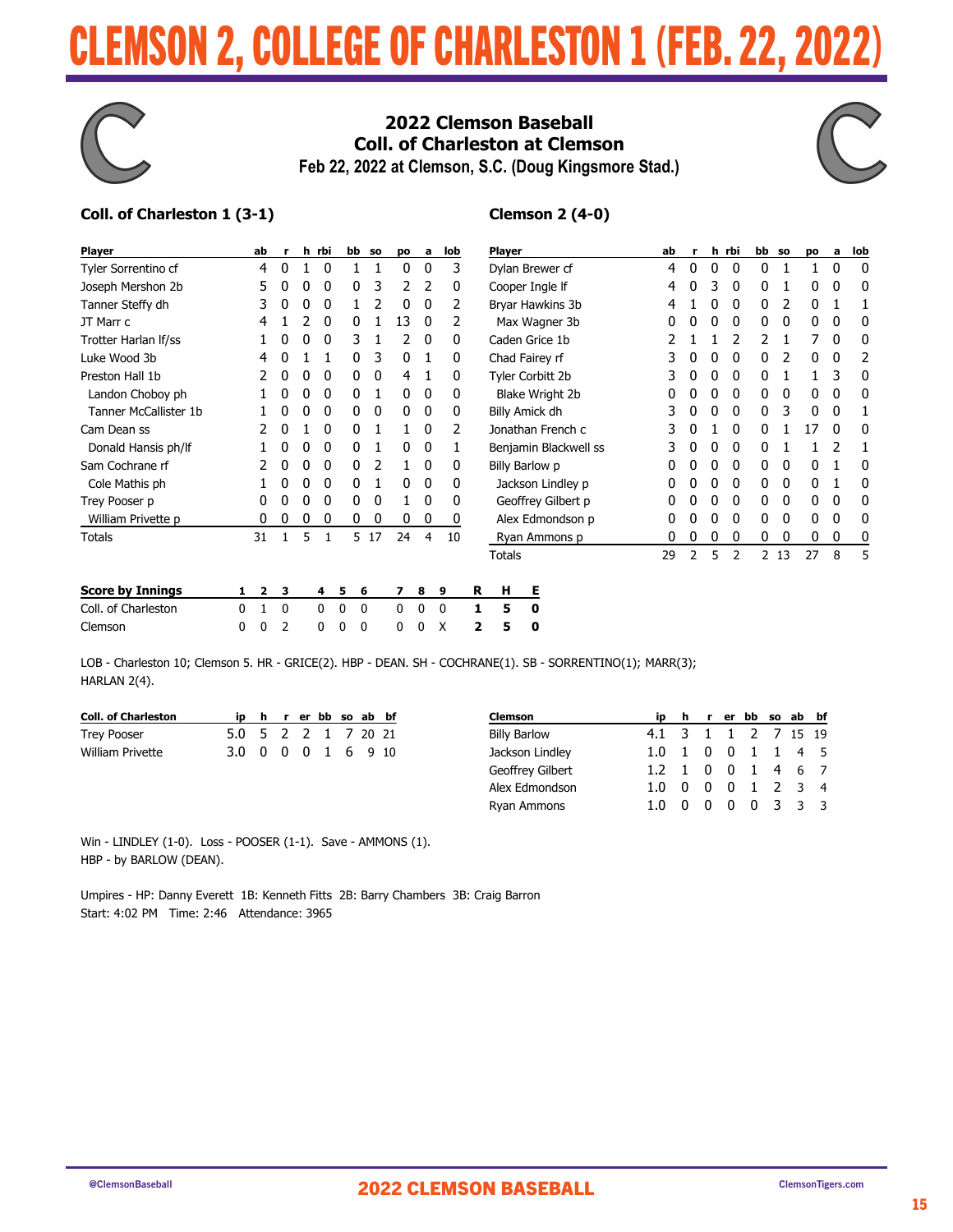# CLEMSON 2, COLLEGE OF CHARLESTON 1 (FEB. 22, 2022)



### 2022 Clemson Baseball **Coll. of Charleston at Clemson** Feb 22, 2022 at Clemson, S.C. (Doug Kingsmore Stad.)



### Coll. of Charleston 1 (3-1)

### **Clemson 2 (4-0)**

| <b>Player</b>         | ab | r | h | rbi | bb | <b>SO</b> | DO | a | lob |
|-----------------------|----|---|---|-----|----|-----------|----|---|-----|
| Tyler Sorrentino cf   | 4  | 0 | 1 | 0   | 1  | 1         | 0  | 0 | 3   |
| Joseph Mershon 2b     | 5  | 0 | 0 | 0   | 0  | 3         | 2  | 2 | N   |
| Tanner Steffy dh      | 3  | 0 | 0 | 0   | 1  | 2         | 0  | 0 | 2   |
| JT Marr c             | 4  | 1 | 2 | 0   | 0  | 1         | 13 | 0 | 2   |
| Trotter Harlan If/ss  |    | 0 | 0 | 0   | 3  | 1         | 2  | 0 | 0   |
| Luke Wood 3b          | 4  | 0 | 1 | 1   | 0  | 3         | 0  | 1 | n   |
| Preston Hall 1b       | 2  | 0 | 0 | 0   | 0  | 0         | 4  | 1 | O   |
| Landon Choboy ph      |    | 0 | 0 | 0   | 0  | 1         | 0  | 0 | N   |
| Tanner McCallister 1b |    | O | 0 | 0   | 0  | 0         | 0  | 0 | N   |
| Cam Dean ss           | 2  | 0 | 1 | 0   | 0  | 1         | 1  | 0 | 2   |
| Donald Hansis ph/lf   |    | 0 | 0 | 0   | 0  | 1         | 0  | 0 |     |
| Sam Cochrane rf       | 2  | O | 0 | 0   | ŋ  | 2         | 1  | 0 | O   |
| Cole Mathis ph        |    | ŋ | 0 | 0   | 0  | 1         | 0  | 0 | O   |
| Trey Pooser p         | N  | 0 | 0 | 0   | 0  | 0         | 1  | 0 | O   |
| William Privette p    | N  | 0 | 0 | 0   | 0  | 0         | 0  | 0 | 0   |
| Totals                | 31 | 1 | 5 | 1   | 5  | 17        | 24 | 4 | 10  |

| <b>Player</b>          | ab | r              | h | rbi | bb | SO. | po | a | lob |
|------------------------|----|----------------|---|-----|----|-----|----|---|-----|
| Dylan Brewer cf        | 4  | 0              | 0 | 0   | 0  | 1   | 1  | 0 | 0   |
| Cooper Ingle If        | 4  | 0              | 3 | 0   | 0  | 1   | 0  | 0 | 0   |
| Bryar Hawkins 3b       | 4  | 1              | 0 | 0   | 0  | 2   | 0  | 1 | 1   |
| Max Wagner 3b          | 0  | 0              | 0 | 0   | 0  | 0   | 0  | 0 | 0   |
| Caden Grice 1b         | 2  | 1              | 1 | 2   | 2  | 1   | 7  | 0 | 0   |
| Chad Fairey rf         | 3  | 0              | 0 | 0   | 0  | 2   | 0  | 0 | 2   |
| Tyler Corbitt 2b       | 3  | 0              | 0 | 0   | 0  | 1   | 1  | 3 | U   |
| <b>Blake Wright 2b</b> | 0  | 0              | 0 | 0   | 0  | 0   | 0  | 0 | 0   |
| Billy Amick dh         | 3  | 0              | 0 | 0   | 0  | 3   | 0  | 0 | 1   |
| Jonathan French c      | 3  | 0              | 1 | 0   | 0  | 1   | 17 | 0 | 0   |
| Benjamin Blackwell ss  | 3  | 0              | 0 | 0   | 0  | 1   | 1  | 2 | 1   |
| Billy Barlow p         | 0  | 0              | 0 | 0   | 0  | 0   | 0  | 1 | 0   |
| Jackson Lindley p      | 0  | 0              | 0 | 0   | 0  | 0   | 0  | 1 | O   |
| Geoffrey Gilbert p     | 0  | 0              | 0 | 0   | 0  | 0   | 0  | 0 | O   |
| Alex Edmondson p       | 0  | 0              | 0 | 0   | 0  | 0   | 0  | 0 | ŋ   |
| Ryan Ammons p          | 0  | 0              | 0 | 0   | 0  | 0   | 0  | 0 | 0   |
| <b>Totals</b>          | 29 | $\overline{2}$ | 5 | 2   | 2  | 13  | 27 | 8 | 5   |

| <b>Score by Innings</b> |  |  |  |  |  | 1 2 3 4 5 6 7 8 9 R              | H E |
|-------------------------|--|--|--|--|--|----------------------------------|-----|
| Coll. of Charleston     |  |  |  |  |  | 0 1 0 0 0 0 0 0 0 1 5 0          |     |
| Clemson                 |  |  |  |  |  | 0 0 2 0 0 0 0 0 0 X <b>2 5 0</b> |     |

LOB - Charleston 10; Clemson 5. HR - GRICE(2). HBP - DEAN. SH - COCHRANE(1). SB - SORRENTINO(1); MARR(3); HARLAN 2(4).

| <b>Coll. of Charleston</b> |                     |  |  | ip h r er bb so ab bf | Clemson             |                     |          | ip h r er bb so ab bf |  |  |
|----------------------------|---------------------|--|--|-----------------------|---------------------|---------------------|----------|-----------------------|--|--|
| Trey Pooser                | 5.0 5 2 2 1 7 20 21 |  |  |                       | <b>Billy Barlow</b> | 4.1 3 1 1 2 7 15 19 |          |                       |  |  |
| William Privette           | 3.0 0 0 0 1 6 9 10  |  |  |                       | Jackson Lindley     | 1.0 1 0 0 1 1 4 5   |          |                       |  |  |
|                            |                     |  |  |                       | Geoffrey Gilbert    | 1.2 1 0 0 1 4 6 7   |          |                       |  |  |
|                            |                     |  |  |                       | Alex Edmondson      | 1.0 0 0 0 1 2 3 4   |          |                       |  |  |
|                            |                     |  |  |                       | Ryan Ammons         | $1.0 \quad 0$       | $\Omega$ | 0 0 3 3 3             |  |  |

Win - LINDLEY (1-0). Loss - POOSER (1-1). Save - AMMONS (1). HBP - by BARLOW (DEAN).

Umpires - HP: Danny Everett 1B: Kenneth Fitts 2B: Barry Chambers 3B: Craig Barron Start: 4:02 PM Time: 2:46 Attendance: 3965